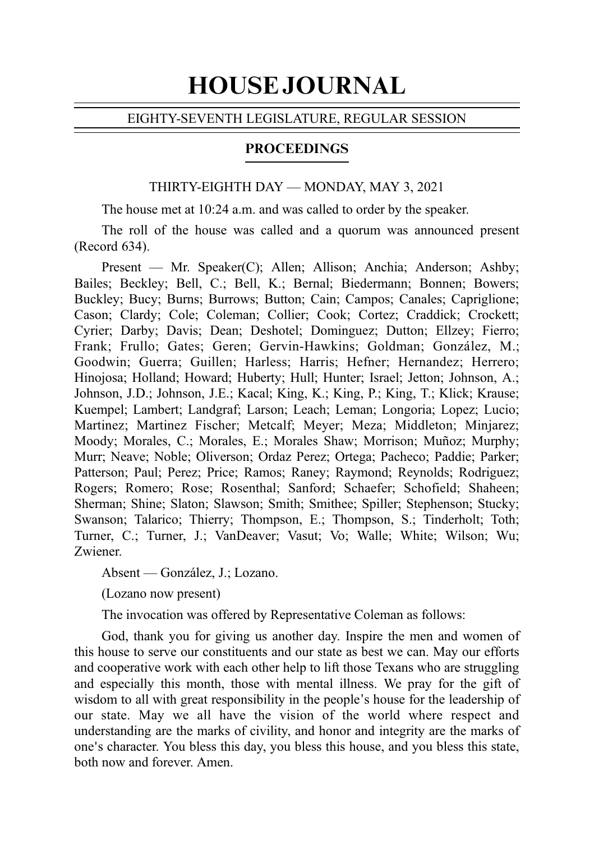# HOUSE JOURNAL

#### EIGHTY-SEVENTH LEGISLATURE, REGULAR SESSION

## **PROCEEDINGS**

#### THIRTY-EIGHTH DAY — MONDAY, MAY 3, 2021

The house met at 10:24 a.m. and was called to order by the speaker.

The roll of the house was called and a quorum was announced present (Record 634).

Present — Mr. Speaker(C); Allen; Allison; Anchia; Anderson; Ashby; Bailes; Beckley; Bell, C.; Bell, K.; Bernal; Biedermann; Bonnen; Bowers; Buckley; Bucy; Burns; Burrows; Button; Cain; Campos; Canales; Capriglione; Cason; Clardy; Cole; Coleman; Collier; Cook; Cortez; Craddick; Crockett; Cyrier; Darby; Davis; Dean; Deshotel; Dominguez; Dutton; Ellzey; Fierro; Frank; Frullo; Gates; Geren; Gervin-Hawkins; Goldman; González, M.; Goodwin; Guerra; Guillen; Harless; Harris; Hefner; Hernandez; Herrero; Hinojosa; Holland; Howard; Huberty; Hull; Hunter; Israel; Jetton; Johnson, A.; Johnson, J.D.; Johnson, J.E.; Kacal; King, K.; King, P.; King, T.; Klick; Krause; Kuempel; Lambert; Landgraf; Larson; Leach; Leman; Longoria; Lopez; Lucio; Martinez; Martinez Fischer; Metcalf; Meyer; Meza; Middleton; Minjarez; Moody; Morales, C.; Morales, E.; Morales Shaw; Morrison; Muñoz; Murphy; Murr; Neave; Noble; Oliverson; Ordaz Perez; Ortega; Pacheco; Paddie; Parker; Patterson; Paul; Perez; Price; Ramos; Raney; Raymond; Reynolds; Rodriguez; Rogers; Romero; Rose; Rosenthal; Sanford; Schaefer; Schofield; Shaheen; Sherman; Shine; Slaton; Slawson; Smith; Smithee; Spiller; Stephenson; Stucky; Swanson; Talarico; Thierry; Thompson, E.; Thompson, S.; Tinderholt; Toth; Turner, C.; Turner, J.; VanDeaver; Vasut; Vo; Walle; White; Wilson; Wu; Zwiener.

Absent — González, J.; Lozano.

(Lozano now present)

The invocation was offered by Representative Coleman as follows:

God, thank you for giving us another day. Inspire the men and women of this house to serve our constituents and our state as best we can. May our efforts and cooperative work with each other help to lift those Texans who are struggling and especially this month, those with mental illness. We pray for the gift of wisdom to all with great responsibility in the people's house for the leadership of our state. May we all have the vision of the world where respect and understanding are the marks of civility, and honor and integrity are the marks of one's character. You bless this day, you bless this house, and you bless this state, both now and forever. Amen.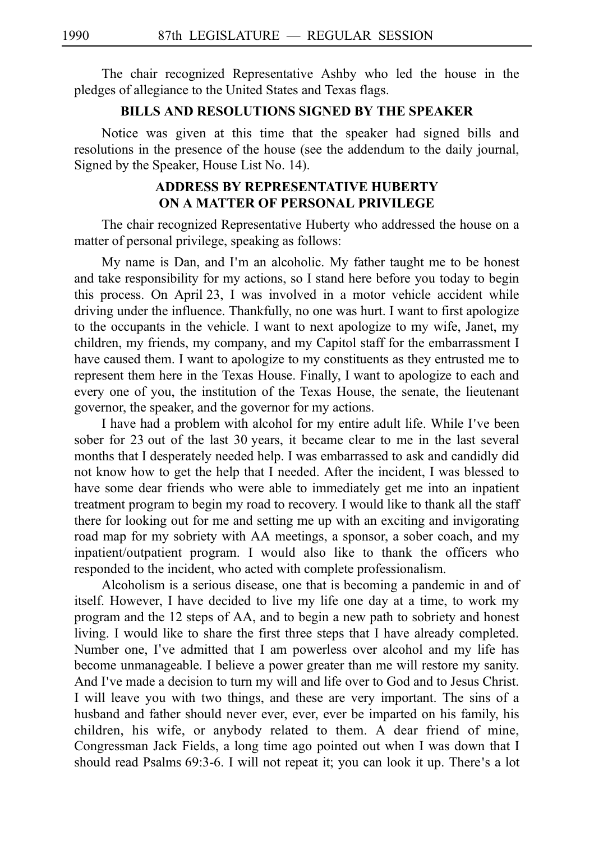The chair recognized Representative Ashby who led the house in the pledges of allegiance to the United States and Texas flags.

## **BILLS AND RESOLUTIONS SIGNED BY THE SPEAKER**

Notice was given at this time that the speaker had signed bills and resolutions in the presence of the house (see the addendum to the daily journal, Signed by the Speaker, House List No. 14).

# **ADDRESS BY REPRESENTATIVE HUBERTY ON A MATTER OF PERSONAL PRIVILEGE**

The chair recognized Representative Huberty who addressed the house on a matter of personal privilege, speaking as follows:

My name is Dan, and I'm an alcoholic. My father taught me to be honest and take responsibility for my actions, so I stand here before you today to begin this process. On April 23, I was involved in a motor vehicle accident while driving under the influence. Thankfully, no one was hurt. I want to first apologize to the occupants in the vehicle. I want to next apologize to my wife, Janet, my children, my friends, my company, and my Capitol staff for the embarrassment I have caused them. I want to apologize to my constituents as they entrusted me to represent them here in the Texas House. Finally, I want to apologize to each and every one of you, the institution of the Texas House, the senate, the lieutenant governor, the speaker, and the governor for my actions.

I have had a problem with alcohol for my entire adult life. While I've been sober for 23 out of the last 30 years, it became clear to me in the last several months that I desperately needed help. I was embarrassed to ask and candidly did not know how to get the help that I needed. After the incident, I was blessed to have some dear friends who were able to immediately get me into an inpatient treatment program to begin my road to recovery. I would like to thank all the staff there for looking out for me and setting me up with an exciting and invigorating road map for my sobriety with AA meetings, a sponsor, a sober coach, and my inpatient/outpatient program. I would also like to thank the officers who responded to the incident, who acted with complete professionalism.

Alcoholism is a serious disease, one that is becoming a pandemic in and of itself. However, I have decided to live my life one day at a time, to work my program and the 12 steps of AA, and to begin a new path to sobriety and honest living. I would like to share the first three steps that I have already completed. Number one, I've admitted that I am powerless over alcohol and my life has become unmanageable. I believe a power greater than me will restore my sanity. And I've made a decision to turn my will and life over to God and to Jesus Christ. I will leave you with two things, and these are very important. The sins of a husband and father should never ever, ever, ever be imparted on his family, his children, his wife, or anybody related to them. A dear friend of mine, Congressman Jack Fields, a long time ago pointed out when I was down that I should read Psalms 69:3-6. I will not repeat it; you can look it up. There's a lot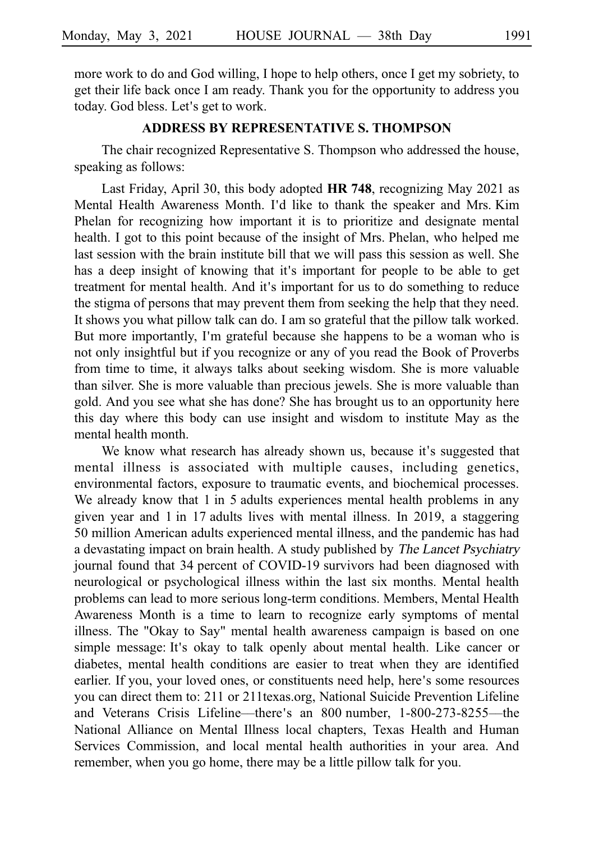more work to do and God willing, I hope to help others, once I get my sobriety, to get their life back once I am ready. Thank you for the opportunity to address you today. God bless. Let's get to work.

#### **ADDRESS BY REPRESENTATIVE S. THOMPSON**

The chair recognized Representative S. Thompson who addressed the house, speaking as follows:

Last Friday, April 30, this body adopted HR 748, recognizing May 2021 as Mental Health Awareness Month. I'd like to thank the speaker and Mrs. Kim Phelan for recognizing how important it is to prioritize and designate mental health. I got to this point because of the insight of Mrs. Phelan, who helped me last session with the brain institute bill that we will pass this session as well. She has a deep insight of knowing that it's important for people to be able to get treatment for mental health. And it's important for us to do something to reduce the stigma of persons that may prevent them from seeking the help that they need. It shows you what pillow talk can do. I am so grateful that the pillow talk worked. But more importantly, I'm grateful because she happens to be a woman who is not only insightful but if you recognize or any of you read the Book of Proverbs from time to time, it always talks about seeking wisdom. She is more valuable than silver. She is more valuable than precious jewels. She is more valuable than gold. And you see what she has done? She has brought us to an opportunity here this day where this body can use insight and wisdom to institute May as the mental health month.

We know what research has already shown us, because it's suggested that mental illness is associated with multiple causes, including genetics, environmental factors, exposure to traumatic events, and biochemical processes. We already know that 1 in 5 adults experiences mental health problems in any given year and  $1$  in  $17$  adults lives with mental illness. In 2019, a staggering 50 million American adults experienced mental illness, and the pandemic has had a devastating impact on brain health. A study published by The Lancet Psychiatry journal found that 34 percent of COVID-19 survivors had been diagnosed with neurological or psychological illness within the last six months. Mental health problems can lead to more serious long-term conditions. Members, Mental Health Awareness Month is a time to learn to recognize early symptoms of mental illness. The "Okay to Say" mental health awareness campaign is based on one simple message: It's okay to talk openly about mental health. Like cancer or diabetes, mental health conditions are easier to treat when they are identified earlier. If you, your loved ones, or constituents need help, here's some resources you can direct them to: 211 or 211texas.org, National Suicide Prevention Lifeline and Veterans Crisis Lifeline—there's an 800 number, 1-800-273-8255—the National Alliance on Mental Illness local chapters, Texas Health and Human Services Commission, and local mental health authorities in your area. And remember, when you go home, there may be a little pillow talk for you.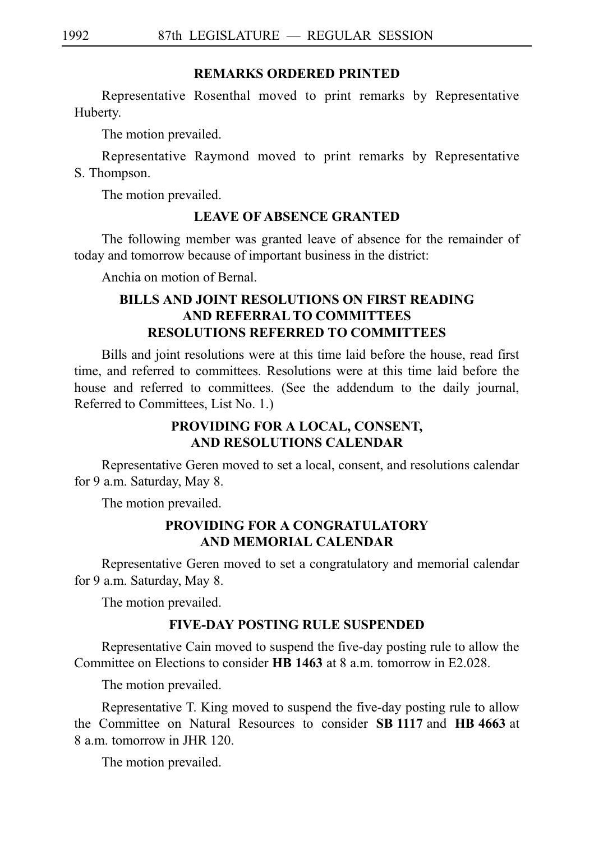## **REMARKS ORDERED PRINTED**

Representative Rosenthal moved to print remarks by Representative Huberty.

The motion prevailed.

Representative Raymond moved to print remarks by Representative S. Thompson.

The motion prevailed.

# **LEAVE OF ABSENCE GRANTED**

The following member was granted leave of absence for the remainder of today and tomorrow because of important business in the district:

Anchia on motion of Bernal.

# **BILLS AND JOINT RESOLUTIONS ON FIRST READING AND REFERRAL TO COMMITTEES RESOLUTIONS REFERRED TO COMMITTEES**

Bills and joint resolutions were at this time laid before the house, read first time, and referred to committees. Resolutions were at this time laid before the house and referred to committees. (See the addendum to the daily journal, Referred to Committees, List No. 1.)

# **PROVIDING FOR A LOCAL, CONSENT, AND RESOLUTIONS CALENDAR**

Representative Geren moved to set a local, consent, and resolutions calendar for 9 a.m. Saturday, May 8.

The motion prevailed.

# **PROVIDING FOR A CONGRATULATORY AND MEMORIAL CALENDAR**

Representative Geren moved to set a congratulatory and memorial calendar for 9 a.m. Saturday, May 8.

The motion prevailed.

# **FIVE-DAY POSTING RULE SUSPENDED**

Representative Cain moved to suspend the five-day posting rule to allow the Committee on Elections to consider **HB 1463** at 8 a.m. tomorrow in E2.028.

The motion prevailed.

Representative T. King moved to suspend the five-day posting rule to allow the Committee on Natural Resources to consider **SBi1117**iand **HBi4663**iat 8 a.m. tomorrow in JHR 120.

The motion prevailed.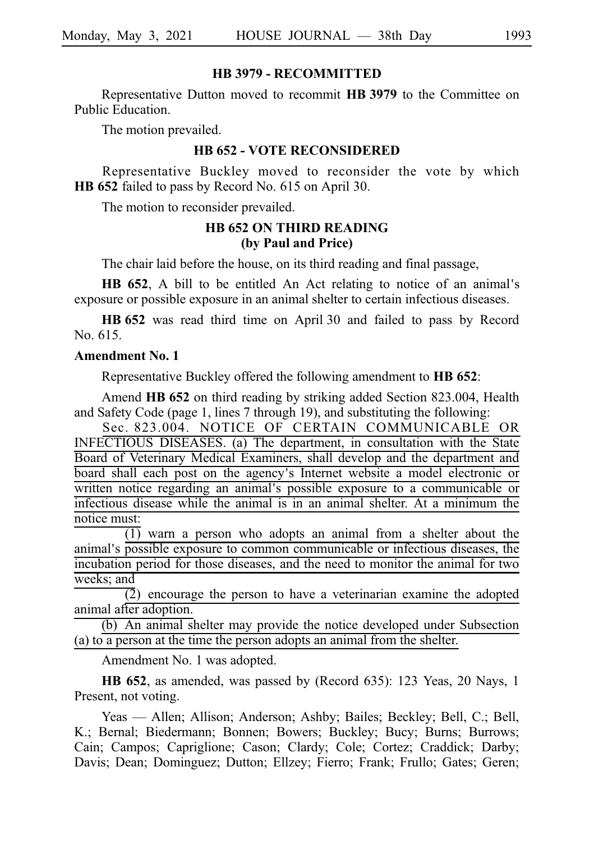#### **HB 3979 - RECOMMITTED**

Representative Dutton moved to recommit **HBi3979** to the Committee on Public Education.

The motion prevailed.

#### **HB 652 - VOTE RECONSIDERED**

Representative Buckley moved to reconsider the vote by which **HB** 652 failed to pass by Record No. 615 on April 30.

The motion to reconsider prevailed.

## **HB 652 ON THIRD READING (by Paul and Price)**

The chair laid before the house, on its third reading and final passage,

**HB 652**, A bill to be entitled An Act relating to notice of an animal's exposure or possible exposure in an animal shelter to certain infectious diseases.

**HB** 652 was read third time on April 30 and failed to pass by Record No. 615.

#### **Amendment No. 1**

Representative Buckley offered the following amendment to **HB** 652:

Amend **HB 652** on third reading by striking added Section 823.004, Health and Safety Code (page 1, lines 7 through 19), and substituting the following:

Sec. 823.004. NOTICE OF CERTAIN COMMUNICABLE OR INFECTIOUS DISEASES. (a) The department, in consultation with the State Board of Veterinary Medical Examiners, shall develop and the department and board shall each post on the agency's Internet website a model electronic or written notice regarding an animal's possible exposure to a communicable or infectious disease while the animal is in an animal shelter. At a minimum the notice must:

 $\overline{(1)}$  warn a person who adopts an animal from a shelter about the animal's possible exposure to common communicable or infectious diseases, the incubation period for those diseases, and the need to monitor the animal for two weeks; and

 $\overline{2}$ ) encourage the person to have a veterinarian examine the adopted animal after adoption.

(b) An animal shelter may provide the notice developed under Subsection (a) to a person at the time the person adopts an animal from the shelter.

Amendment No. 1 was adopted.

**HB 652**, as amended, was passed by (Record 635): 123 Yeas, 20 Nays, 1 Present, not voting.

Yeas — Allen; Allison; Anderson; Ashby; Bailes; Beckley; Bell, C.; Bell, K.; Bernal; Biedermann; Bonnen; Bowers; Buckley; Bucy; Burns; Burrows; Cain; Campos; Capriglione; Cason; Clardy; Cole; Cortez; Craddick; Darby; Davis; Dean; Dominguez; Dutton; Ellzey; Fierro; Frank; Frullo; Gates; Geren;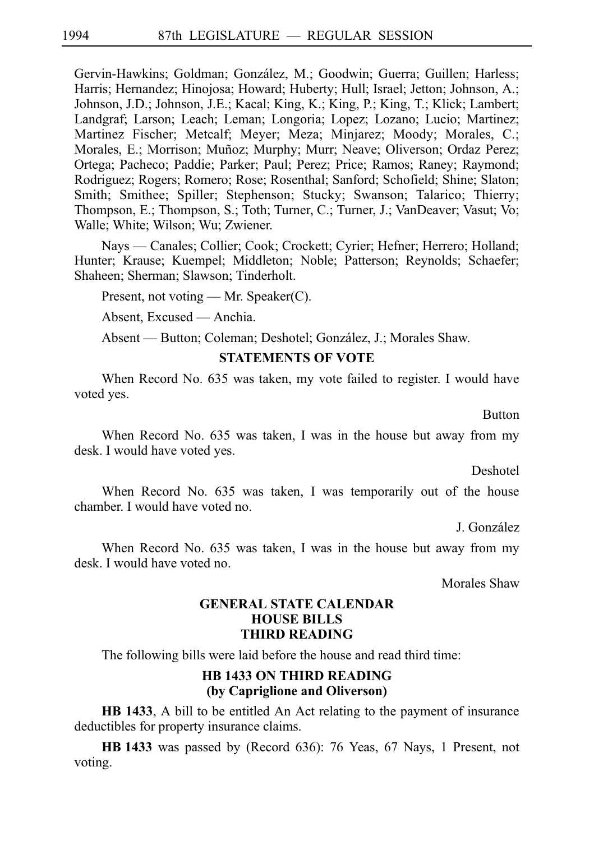Gervin-Hawkins; Goldman; González, M.; Goodwin; Guerra; Guillen; Harless; Harris; Hernandez; Hinojosa; Howard; Huberty; Hull; Israel; Jetton; Johnson, A.; Johnson, J.D.; Johnson, J.E.; Kacal; King, K.; King, P.; King, T.; Klick; Lambert; Landgraf; Larson; Leach; Leman; Longoria; Lopez; Lozano; Lucio; Martinez; Martinez Fischer; Metcalf; Meyer; Meza; Minjarez; Moody; Morales, C.; Morales, E.; Morrison; Muñoz; Murphy; Murr; Neave; Oliverson; Ordaz Perez; Ortega; Pacheco; Paddie; Parker; Paul; Perez; Price; Ramos; Raney; Raymond; Rodriguez; Rogers; Romero; Rose; Rosenthal; Sanford; Schofield; Shine; Slaton; Smith; Smithee; Spiller; Stephenson; Stucky; Swanson; Talarico; Thierry; Thompson, E.; Thompson, S.; Toth; Turner, C.; Turner, J.; VanDeaver; Vasut; Vo; Walle; White; Wilson; Wu; Zwiener.

Nays — Canales; Collier; Cook; Crockett; Cyrier; Hefner; Herrero; Holland; Hunter; Krause; Kuempel; Middleton; Noble; Patterson; Reynolds; Schaefer; Shaheen; Sherman; Slawson; Tinderholt.

Present, not voting — Mr. Speaker(C).

Absent, Excused — Anchia.

Absent — Button; Coleman; Deshotel; González, J.; Morales Shaw.

#### **STATEMENTS OF VOTE**

When Record No. 635 was taken, my vote failed to register. I would have voted yes.

Button

When Record No. 635 was taken, I was in the house but away from my desk. I would have voted yes.

Deshotel

When Record No. 635 was taken, I was temporarily out of the house chamber. I would have voted no.

J. Gonza´lez

When Record No. 635 was taken, I was in the house but away from my desk. I would have voted no.

Morales Shaw

## **GENERAL STATE CALENDAR HOUSE BILLS THIRD READING**

The following bills were laid before the house and read third time:

## **HB 1433 ON THIRD READING (by Capriglione and Oliverson)**

**HB 1433**, A bill to be entitled An Act relating to the payment of insurance deductibles for property insurance claims.

**HBi1433** was passed by (Record 636): 76 Yeas, 67 Nays, 1 Present, not voting.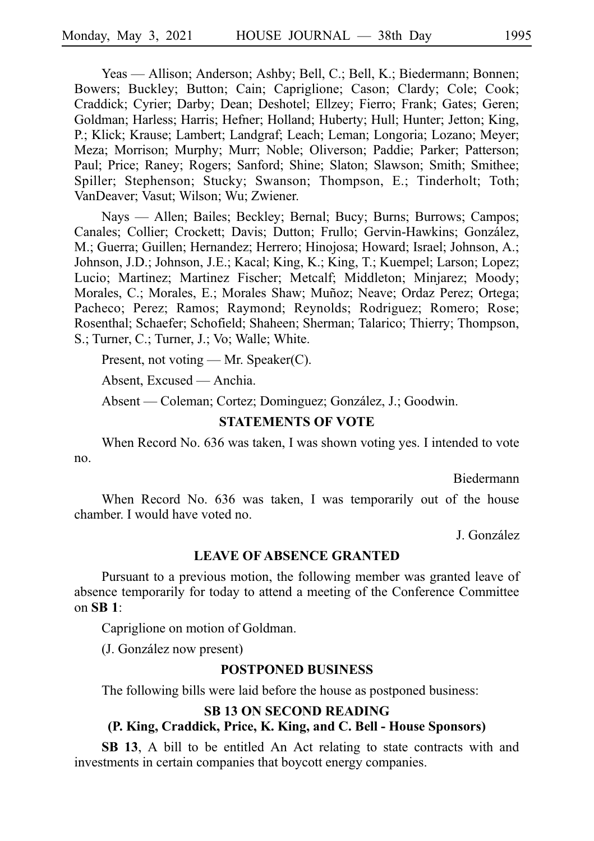Yeas — Allison; Anderson; Ashby; Bell, C.; Bell, K.; Biedermann; Bonnen; Bowers; Buckley; Button; Cain; Capriglione; Cason; Clardy; Cole; Cook; Craddick; Cyrier; Darby; Dean; Deshotel; Ellzey; Fierro; Frank; Gates; Geren; Goldman; Harless; Harris; Hefner; Holland; Huberty; Hull; Hunter; Jetton; King, P.; Klick; Krause; Lambert; Landgraf; Leach; Leman; Longoria; Lozano; Meyer; Meza; Morrison; Murphy; Murr; Noble; Oliverson; Paddie; Parker; Patterson; Paul; Price; Raney; Rogers; Sanford; Shine; Slaton; Slawson; Smith; Smithee; Spiller; Stephenson; Stucky; Swanson; Thompson, E.; Tinderholt; Toth; VanDeaver; Vasut; Wilson; Wu; Zwiener.

Nays — Allen; Bailes; Beckley; Bernal; Bucy; Burns; Burrows; Campos; Canales; Collier; Crockett; Davis; Dutton; Frullo; Gervin-Hawkins; González, M.; Guerra; Guillen; Hernandez; Herrero; Hinojosa; Howard; Israel; Johnson, A.; Johnson, J.D.; Johnson, J.E.; Kacal; King, K.; King, T.; Kuempel; Larson; Lopez; Lucio; Martinez; Martinez Fischer; Metcalf; Middleton; Minjarez; Moody; Morales, C.; Morales, E.; Morales Shaw; Muñoz; Neave; Ordaz Perez; Ortega; Pacheco; Perez; Ramos; Raymond; Reynolds; Rodriguez; Romero; Rose; Rosenthal; Schaefer; Schofield; Shaheen; Sherman; Talarico; Thierry; Thompson, S.; Turner, C.; Turner, J.; Vo; Walle; White.

Present, not voting — Mr. Speaker(C).

Absent, Excused — Anchia.

Absent — Coleman; Cortez; Dominguez; González, J.; Goodwin.

# **STATEMENTS OF VOTE**

When Record No. 636 was taken, I was shown voting yes. I intended to vote no.

Biedermann

When Record No. 636 was taken, I was temporarily out of the house chamber. I would have voted no.

J. González

#### **LEAVE OF ABSENCE GRANTED**

Pursuant to a previous motion, the following member was granted leave of absence temporarily for today to attend a meeting of the Conference Committee on **SBi1**:

Capriglione on motion of Goldman.

(J. González now present)

#### **POSTPONED BUSINESS**

The following bills were laid before the house as postponed business:

#### **SB 13 ON SECOND READING**

#### **(P. King, Craddick, Price, K. King, and C. Bell - House Sponsors)**

**SB 13**, A bill to be entitled An Act relating to state contracts with and investments in certain companies that boycott energy companies.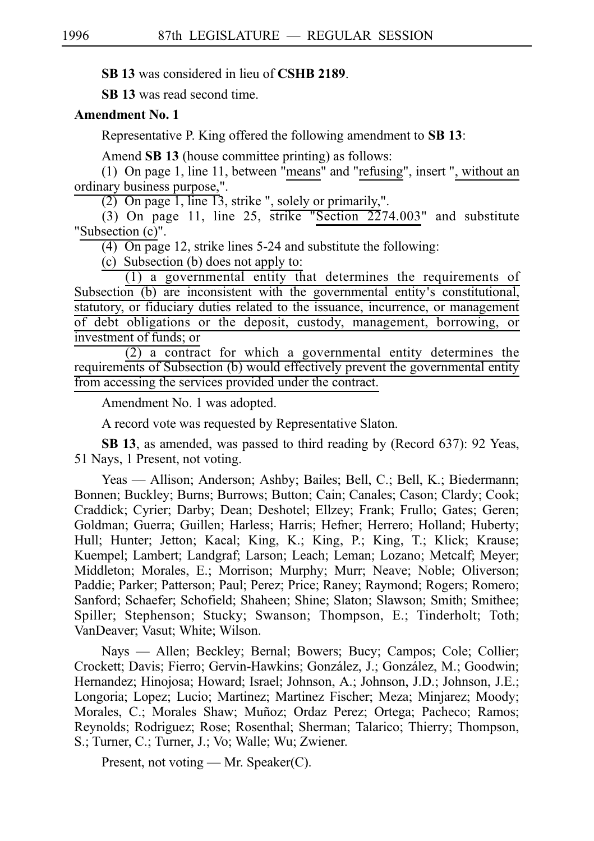**SB 13** was considered in lieu of **CSHB 2189**.

**SBi13** was read second time.

#### **Amendment No. 1**

Representative P. King offered the following amendment to **SBi13**:

Amend **SB 13** (house committee printing) as follows:

(1) On page 1, line 11, between "means" and "refusing", insert ", without an ordinary business purpose,".

(2) On page 1, line 13, strike ", solely or primarily,".

(3) On page 11, line 25, strike "Section  $2274.003$ " and substitute "Subsection (c)".

 $(4)$  On page 12, strike lines 5-24 and substitute the following:

(c) Subsection (b) does not apply to:

 $(1)$  a governmental entity that determines the requirements of Subsection  $(b)$  are inconsistent with the governmental entity's constitutional, statutory, or fiduciary duties related to the issuance, incurrence, or management of debt obligations or the deposit, custody, management, borrowing, or investment of funds; or

 $(2)$  a contract for which a governmental entity determines the requirements of Subsection (b) would effectively prevent the governmental entity from accessing the services provided under the contract.

Amendment No. 1 was adopted.

A record vote was requested by Representative Slaton.

**SB 13**, as amended, was passed to third reading by (Record 637): 92 Yeas, 51 Nays, 1 Present, not voting.

Yeas — Allison; Anderson; Ashby; Bailes; Bell, C.; Bell, K.; Biedermann; Bonnen; Buckley; Burns; Burrows; Button; Cain; Canales; Cason; Clardy; Cook; Craddick; Cyrier; Darby; Dean; Deshotel; Ellzey; Frank; Frullo; Gates; Geren; Goldman; Guerra; Guillen; Harless; Harris; Hefner; Herrero; Holland; Huberty; Hull; Hunter; Jetton; Kacal; King, K.; King, P.; King, T.; Klick; Krause; Kuempel; Lambert; Landgraf; Larson; Leach; Leman; Lozano; Metcalf; Meyer; Middleton; Morales, E.; Morrison; Murphy; Murr; Neave; Noble; Oliverson; Paddie; Parker; Patterson; Paul; Perez; Price; Raney; Raymond; Rogers; Romero; Sanford; Schaefer; Schofield; Shaheen; Shine; Slaton; Slawson; Smith; Smithee; Spiller; Stephenson; Stucky; Swanson; Thompson, E.; Tinderholt; Toth; VanDeaver; Vasut; White; Wilson.

Nays — Allen; Beckley; Bernal; Bowers; Bucy; Campos; Cole; Collier; Crockett; Davis; Fierro; Gervin-Hawkins; González, J.; González, M.; Goodwin; Hernandez; Hinojosa; Howard; Israel; Johnson, A.; Johnson, J.D.; Johnson, J.E.; Longoria; Lopez; Lucio; Martinez; Martinez Fischer; Meza; Minjarez; Moody; Morales, C.; Morales Shaw; Muñoz; Ordaz Perez; Ortega; Pacheco; Ramos; Reynolds; Rodriguez; Rose; Rosenthal; Sherman; Talarico; Thierry; Thompson, S.; Turner, C.; Turner, J.; Vo; Walle; Wu; Zwiener.

Present, not voting — Mr. Speaker(C).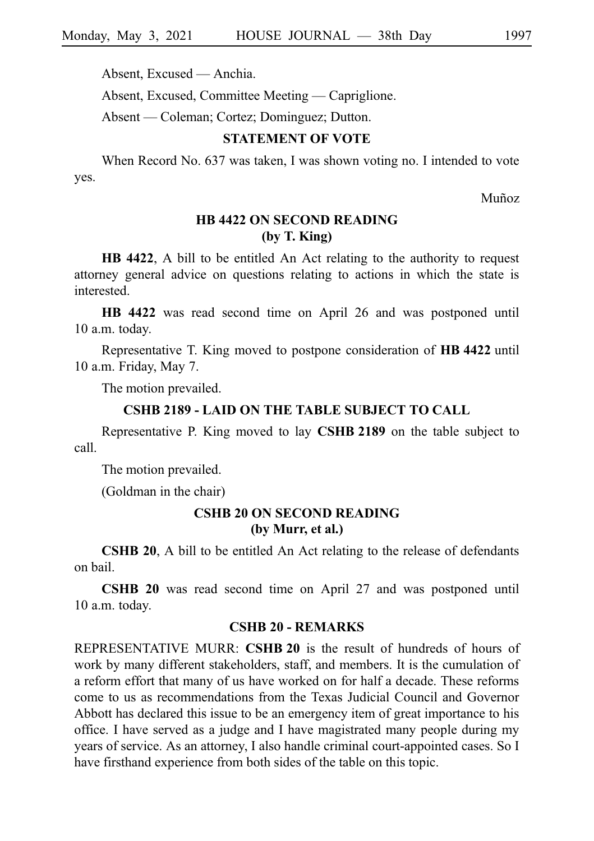Absent, Excused — Anchia.

Absent, Excused, Committee Meeting — Capriglione.

Absent — Coleman; Cortez; Dominguez; Dutton.

#### **STATEMENT OF VOTE**

When Record No. 637 was taken, I was shown voting no. I intended to vote yes.

Muñoz

# **HB 4422 ON SECOND READING (by T. King)**

**HB 4422**, A bill to be entitled An Act relating to the authority to request attorney general advice on questions relating to actions in which the state is interested.

**HB 4422** was read second time on April 26 and was postponed until 10 a.m. today.

Representative T. King moved to postpone consideration of **HBi4422**iuntil 10 a.m. Friday, May 7.

The motion prevailed.

#### **CSHB 2189 - LAID ON THE TABLE SUBJECT TO CALL**

Representative P. King moved to lay **CSHBi2189** on the table subject to call.

The motion prevailed.

(Goldman in the chair)

### **CSHB 20 ON SECOND READING (by Murr, et al.)**

**CSHB 20**, A bill to be entitled An Act relating to the release of defendants on bail.

**CSHB 20** was read second time on April 27 and was postponed until 10 a.m. today.

#### **CSHB 20 - REMARKS**

REPRESENTATIVE MURR: **CSHBi20** is the result of hundreds of hours of work by many different stakeholders, staff, and members. It is the cumulation of a reform effort that many of us have worked on for half a decade. These reforms come to us as recommendations from the Texas Judicial Council and Governor Abbott has declared this issue to be an emergency item of great importance to his office. I have served as a judge and I have magistrated many people during my years of service. As an attorney, I also handle criminal court-appointed cases. So I have firsthand experience from both sides of the table on this topic.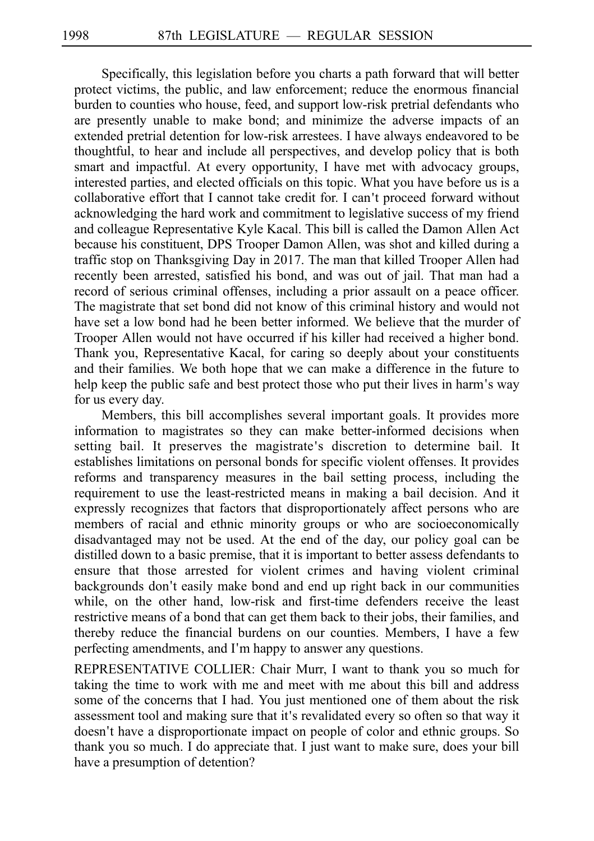Specifically, this legislation before you charts a path forward that will better protect victims, the public, and law enforcement; reduce the enormous financial burden to counties who house, feed, and support low-risk pretrial defendants who are presently unable to make bond; and minimize the adverse impacts of an extended pretrial detention for low-risk arrestees. I have always endeavored to be thoughtful, to hear and include all perspectives, and develop policy that is both smart and impactful. At every opportunity, I have met with advocacy groups, interested parties, and elected officials on this topic. What you have before us is a collaborative effort that I cannot take credit for. I can't proceed forward without acknowledging the hard work and commitment to legislative success of my friend and colleague Representative Kyle Kacal. This bill is called the Damon Allen Act because his constituent, DPS Trooper Damon Allen, was shot and killed during a traffic stop on Thanksgiving Day in 2017. The man that killed Trooper Allen had recently been arrested, satisfied his bond, and was out of jail. That man had a record of serious criminal offenses, including a prior assault on a peace officer. The magistrate that set bond did not know of this criminal history and would not have set a low bond had he been better informed. We believe that the murder of Trooper Allen would not have occurred if his killer had received a higher bond. Thank you, Representative Kacal, for caring so deeply about your constituents and their families. We both hope that we can make a difference in the future to help keep the public safe and best protect those who put their lives in harm's way for us every day.

Members, this bill accomplishes several important goals. It provides more information to magistrates so they can make better-informed decisions when setting bail. It preserves the magistrate ' s discretion to determine bail. It establishes limitations on personal bonds for specific violent offenses. It provides reforms and transparency measures in the bail setting process, including the requirement to use the least-restricted means in making a bail decision. And it expressly recognizes that factors that disproportionately affect persons who are members of racial and ethnic minority groups or who are socioeconomically disadvantaged may not be used. At the end of the day, our policy goal can be distilled down to a basic premise, that it is important to better assess defendants to ensure that those arrested for violent crimes and having violent criminal backgrounds don't easily make bond and end up right back in our communities while, on the other hand, low-risk and first-time defenders receive the least restrictive means of a bond that can get them back to their jobs, their families, and thereby reduce the financial burdens on our counties. Members, I have a few perfecting amendments, and I'm happy to answer any questions.

REPRESENTATIVE COLLIER: Chair Murr, I want to thank you so much for taking the time to work with me and meet with me about this bill and address some of the concerns that I had. You just mentioned one of them about the risk assessment tool and making sure that it's revalidated every so often so that way it doesn't have a disproportionate impact on people of color and ethnic groups. So thank you so much. I do appreciate that. I just want to make sure, does your bill have a presumption of detention?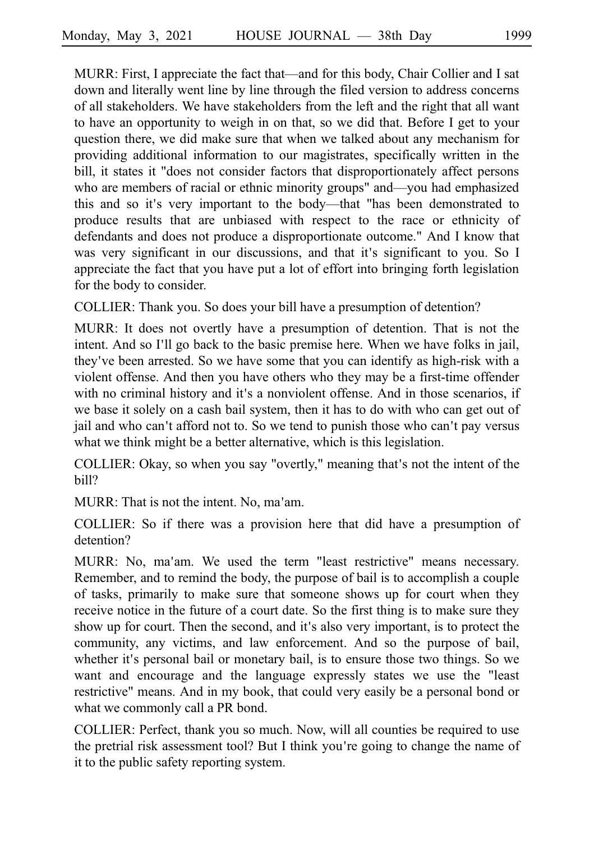MURR: First, I appreciate the fact that––and for this body, Chair Collier and I sat down and literally went line by line through the filed version to address concerns of all stakeholders. We have stakeholders from the left and the right that all want to have an opportunity to weigh in on that, so we did that. Before I get to your question there, we did make sure that when we talked about any mechanism for providing additional information to our magistrates, specifically written in the bill, it states it "does not consider factors that disproportionately affect persons who are members of racial or ethnic minority groups" and—you had emphasized this and so it's very important to the body—that "has been demonstrated to produce results that are unbiased with respect to the race or ethnicity of defendants and does not produce a disproportionate outcome." And I know that was very significant in our discussions, and that it's significant to you. So I appreciate the fact that you have put a lot of effort into bringing forth legislation for the body to consider.

COLLIER: Thank you. So does your bill have a presumption of detention?

MURR: It does not overtly have a presumption of detention. That is not the intent. And so I'll go back to the basic premise here. When we have folks in jail, they ve been arrested. So we have some that you can identify as high-risk with a ' violent offense. And then you have others who they may be a first-time offender with no criminal history and it's a nonviolent offense. And in those scenarios, if we base it solely on a cash bail system, then it has to do with who can get out of jail and who can't afford not to. So we tend to punish those who can't pay versus what we think might be a better alternative, which is this legislation.

COLLIER: Okay, so when you say "overtly," meaning that's not the intent of the bill?

MURR: That is not the intent. No, ma'am.

COLLIER: So if there was a provision here that did have a presumption of detention?

MURR: No, ma'am. We used the term "least restrictive" means necessary. Remember, and to remind the body, the purpose of bail is to accomplish a couple of tasks, primarily to make sure that someone shows up for court when they receive notice in the future of a court date. So the first thing is to make sure they show up for court. Then the second, and it's also very important, is to protect the community, any victims, and law enforcement. And so the purpose of bail, whether it's personal bail or monetary bail, is to ensure those two things. So we want and encourage and the language expressly states we use the "least restrictive" means. And in my book, that could very easily be a personal bond or what we commonly call a PR bond.

COLLIER: Perfect, thank you so much. Now, will all counties be required to use the pretrial risk assessment tool? But I think you're going to change the name of it to the public safety reporting system.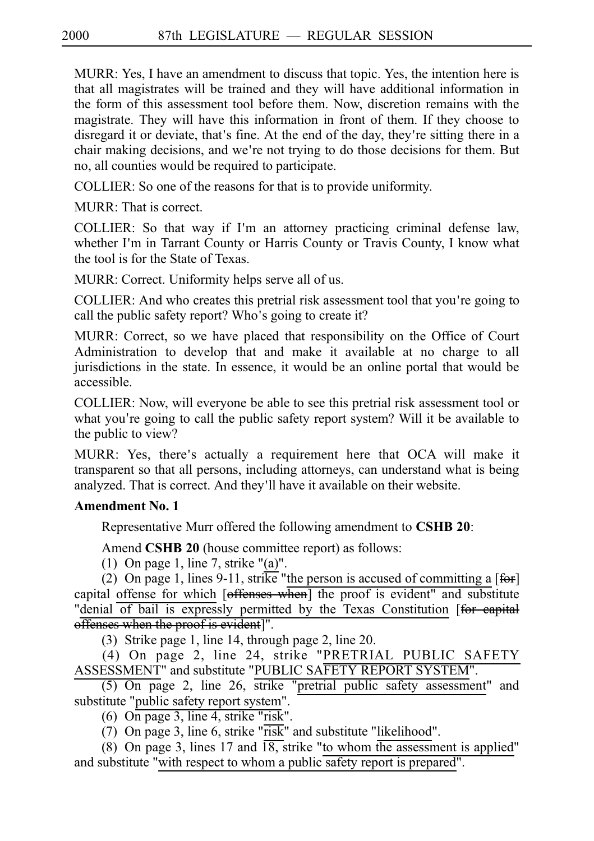MURR: Yes, I have an amendment to discuss that topic. Yes, the intention here is that all magistrates will be trained and they will have additional information in the form of this assessment tool before them. Now, discretion remains with the magistrate. They will have this information in front of them. If they choose to disregard it or deviate, that's fine. At the end of the day, they're sitting there in a chair making decisions, and we're not trying to do those decisions for them. But no, all counties would be required to participate.

COLLIER: So one of the reasons for that is to provide uniformity.

 $MIRR \cdot That$  is correct.

COLLIER: So that way if I'm an attorney practicing criminal defense law, whether I'm in Tarrant County or Harris County or Travis County, I know what the tool is for the State of Texas.

MURR: Correct. Uniformity helps serve all of us.

COLLIER: And who creates this pretrial risk assessment tool that you re going to ' call the public safety report? Who's going to create it?

MURR: Correct, so we have placed that responsibility on the Office of Court Administration to develop that and make it available at no charge to all jurisdictions in the state. In essence, it would be an online portal that would be accessible.

COLLIER: Now, will everyone be able to see this pretrial risk assessment tool or what you're going to call the public safety report system? Will it be available to the public to view?

MURR: Yes, there's actually a requirement here that OCA will make it transparent so that all persons, including attorneys, can understand what is being analyzed. That is correct. And they'll have it available on their website.

# **Amendment No. 1**

Representative Murr offered the following amendment to **CSHB 20**:

Amend **CSHB 20** (house committee report) as follows:

(1) On page 1, line 7, strike " $(a)$ ".

(2) On page 1, lines 9-11, strike "the person is accused of committing a  $[**f** +**g**$ " capital offense for which [offenses when] the proof is evident" and substitute "denial of bail is expressly permitted by the Texas Constitution [for eapital offenses when the proof is evident]".

(3) Strike page 1, line 14, through page 2, line 20.

(4) On page 2, line 24, strike "PRETRIAL PUBLIC SAFETY ASSESSMENT" and substitute "PUBLIC SAFETY REPORT SYSTEM".

 $(5)$  On page 2, line 26, strike "pretrial public safety assessment" and substitute "public safety report system".

(6) On page 3, line 4, strike "risk".

(7) On page 3, line 6, strike " $\overline{\text{risk}}$ " and substitute "likelihood".

(8) On page 3, lines 17 and  $\overline{18}$ , strike "to whom the assessment is applied" and substitute "with respect to whom a public safety report is prepared".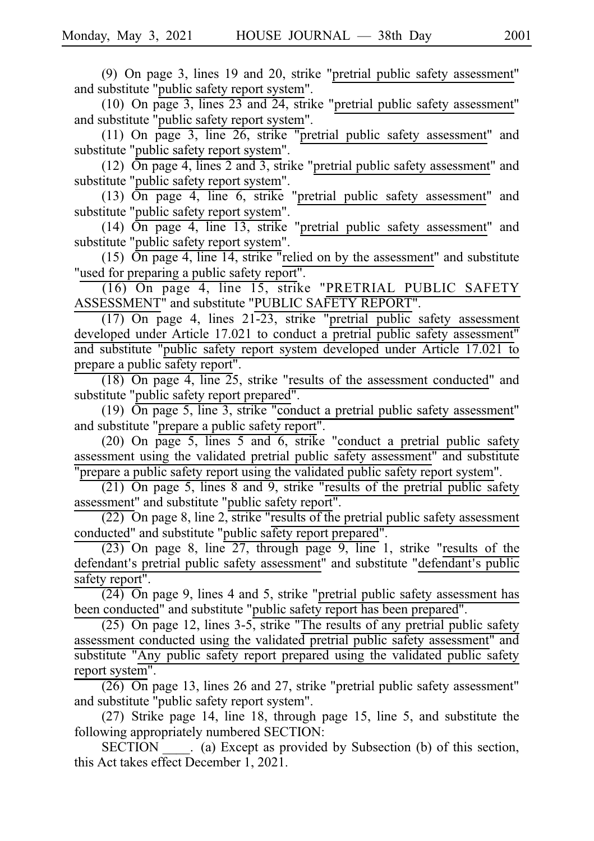(9) On page 3, lines 19 and 20, strike "pretrial public safety assessment" and substitute "public safety report system".

(10) On page 3, lines  $23$  and  $24$ , strike "pretrial public safety assessment" and substitute "public safety report system".

(11) On page 3, line  $26$ , strike "pretrial public safety assessment" and substitute "public safety report system".

(12)  $\overline{\text{On page 4, lines 2 and 3, strike}}$  "pretrial public safety assessment" and substitute "public safety report system".

(13)  $\overline{\text{On page 4}}$ , line 6, strike "pretrial public safety assessment" and substitute "public safety report system".

(14)  $\overline{\text{On page 4}}$ , line 13, strike "pretrial public safety assessment" and substitute "public safety report system".

(15)  $\overline{On}$  page 4, line 14, strike "relied on by the assessment" and substitute "used for preparing a public safety report".

 $(16)$  On page 4, line 15, strike "PRETRIAL PUBLIC SAFETY ASSESSMENT" and substitute "PUBLIC SAFETY REPORT".

 $(17)$  On page 4, lines 21-23, strike "pretrial public safety assessment developed under Article 17.021 to conduct a pretrial public safety assessment" and substitute "public safety report system developed under Article 17.021 to prepare a public safety report".

 $(18)$  On page 4, line 25, strike "results of the assessment conducted" and substitute "public safety report prepared".

(19)  $\overline{On}$  page 5, line 3, strike "conduct a pretrial public safety assessment" and substitute "prepare a public safety report".

(20) On page 5, lines 5 and 6, strike "conduct a pretrial public safety assessment using the validated pretrial public safety assessment" and substitute "prepare a public safety report using the validated public safety report system".

 $(21)$  On page 5, lines 8 and 9, strike "results of the pretrial public safety assessment" and substitute "public safety report".

 $\overline{(22)}$  On page 8, line 2, strike "results of the pretrial public safety assessment conducted" and substitute "public safety report prepared".

 $(23)$  On page 8, line 27, through page 9, line 1, strike "results of the defendant's pretrial public safety assessment" and substitute "defendant's public safety report".

 $(24)$  On page 9, lines 4 and 5, strike "pretrial public safety assessment has been conducted" and substitute "public safety report has been prepared".

 $(25)$  On page 12, lines 3-5, strike "The results of any pretrial public safety assessment conducted using the validated pretrial public safety assessment" and substitute "Any public safety report prepared using the validated public safety report system".

 $(26)$  On page 13, lines 26 and 27, strike "pretrial public safety assessment" and substitute "public safety report system".

 $(27)$  Strike page 14, line 18, through page 15, line 5, and substitute the following appropriately numbered SECTION:

SECTION (a) Except as provided by Subsection (b) of this section, this Act takes effect December 1, 2021.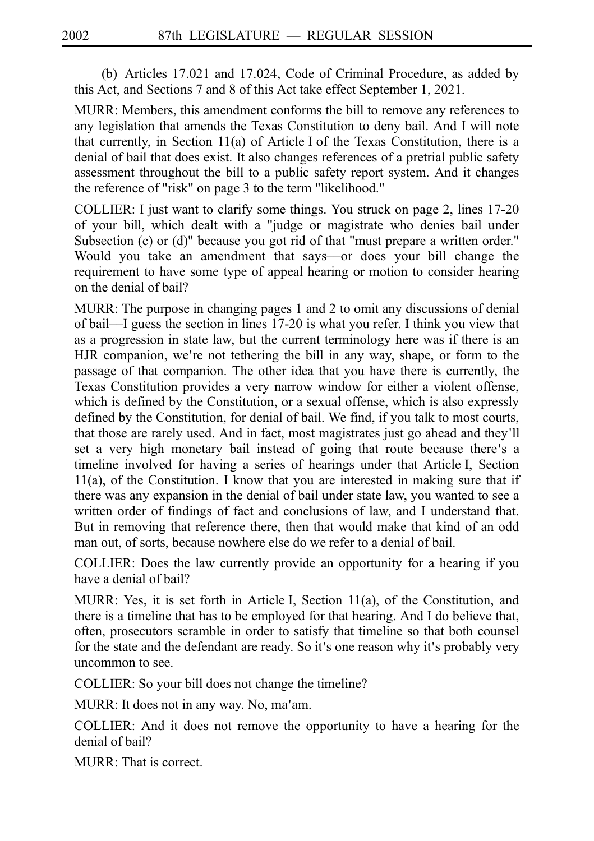(b) Articles  $17.021$  and  $17.024$ , Code of Criminal Procedure, as added by this Act, and Sections 7 and 8 of this Act take effect September 1, 2021.

MURR: Members, this amendment conforms the bill to remove any references to any legislation that amends the Texas Constitution to deny bail. And I will note that currently, in Section  $11(a)$  of Article I of the Texas Constitution, there is a denial of bail that does exist. It also changes references of a pretrial public safety assessment throughout the bill to a public safety report system. And it changes the reference of "risk" on page 3 to the term "likelihood."

COLLIER: I just want to clarify some things. You struck on page 2, lines 17-20 of your bill, which dealt with a "judge or magistrate who denies bail under Subsection (c) or (d)" because you got rid of that "must prepare a written order." Would you take an amendment that says––or does your bill change the requirement to have some type of appeal hearing or motion to consider hearing on the denial of bail?

MURR: The purpose in changing pages 1 and 2 to omit any discussions of denial of bail––I guess the section in lines 17-20 is what you refer. I think you view that as a progression in state law, but the current terminology here was if there is an HJR companion, we're not tethering the bill in any way, shape, or form to the passage of that companion. The other idea that you have there is currently, the Texas Constitution provides a very narrow window for either a violent offense, which is defined by the Constitution, or a sexual offense, which is also expressly defined by the Constitution, for denial of bail. We find, if you talk to most courts, that those are rarely used. And in fact, most magistrates just go ahead and they ll' set a very high monetary bail instead of going that route because there's a timeline involved for having a series of hearings under that Article I, Section 11(a), of the Constitution. I know that you are interested in making sure that if there was any expansion in the denial of bail under state law, you wanted to see a written order of findings of fact and conclusions of law, and I understand that. But in removing that reference there, then that would make that kind of an odd man out, of sorts, because nowhere else do we refer to a denial of bail.

COLLIER: Does the law currently provide an opportunity for a hearing if you have a denial of bail?

MURR: Yes, it is set forth in Article I, Section  $11(a)$ , of the Constitution, and there is a timeline that has to be employed for that hearing. And I do believe that, often, prosecutors scramble in order to satisfy that timeline so that both counsel for the state and the defendant are ready. So it's one reason why it's probably very uncommon to see.

COLLIER: So your bill does not change the timeline?

MURR: It does not in any way. No, ma'am.

COLLIER: And it does not remove the opportunity to have a hearing for the denial of bail?

MURR: That is correct.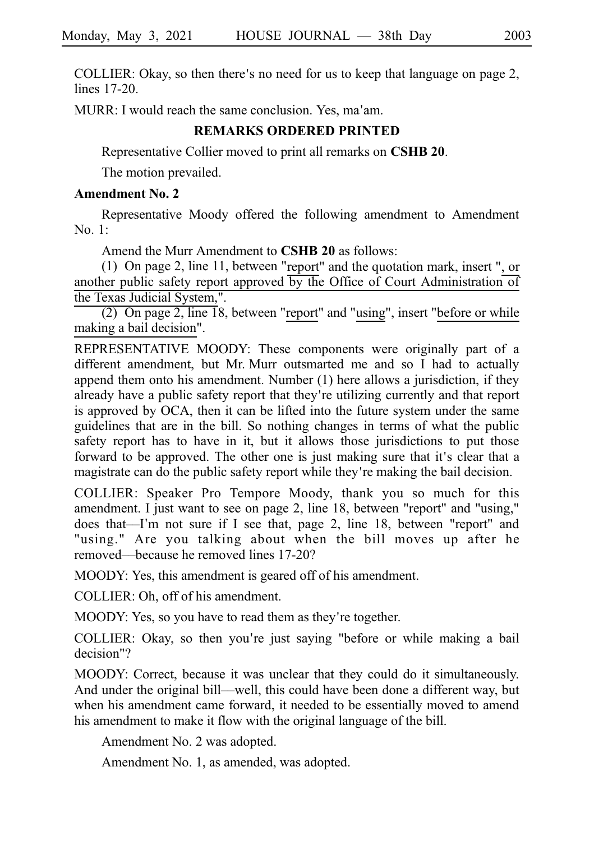COLLIER: Okay, so then there's no need for us to keep that language on page 2, lines  $17-20$ .

MURR: I would reach the same conclusion. Yes, ma'am.

## **REMARKS ORDERED PRINTED**

Representative Collier moved to print all remarks on **CSHB 20**.

The motion prevailed.

## **Amendment No. 2**

Representative Moody offered the following amendment to Amendment No. 1:

Amend the Murr Amendment to **CSHB 20** as follows:

(1) On page 2, line 11, between "report" and the quotation mark, insert ", or another public safety report approved by the Office of Court Administration of the Texas Judicial System,".

(2) On page 2, line  $\overline{18}$ , between "report" and "using", insert "before or while making a bail decision".

REPRESENTATIVE MOODY: These components were originally part of a different amendment, but Mr. Murr outsmarted me and so I had to actually append them onto his amendment. Number (1) here allows a jurisdiction, if they already have a public safety report that they're utilizing currently and that report is approved by OCA, then it can be lifted into the future system under the same guidelines that are in the bill. So nothing changes in terms of what the public safety report has to have in it, but it allows those jurisdictions to put those forward to be approved. The other one is just making sure that it's clear that a magistrate can do the public safety report while they're making the bail decision.

COLLIER: Speaker Pro Tempore Moody, thank you so much for this amendment. I just want to see on page 2, line 18, between "report" and "using," does that—I'm not sure if I see that, page 2, line 18, between "report" and "using." Are you talking about when the bill moves up after he removed––because he removed lines 17-20?

MOODY: Yes, this amendment is geared off of his amendment.

COLLIER: Oh, off of his amendment.

MOODY: Yes, so you have to read them as they're together.

COLLIER: Okay, so then you're just saying "before or while making a bail decision"?

MOODY: Correct, because it was unclear that they could do it simultaneously. And under the original bill––well, this could have been done a different way, but when his amendment came forward, it needed to be essentially moved to amend his amendment to make it flow with the original language of the bill.

Amendment No. 2 was adopted.

Amendment No. 1, as amended, was adopted.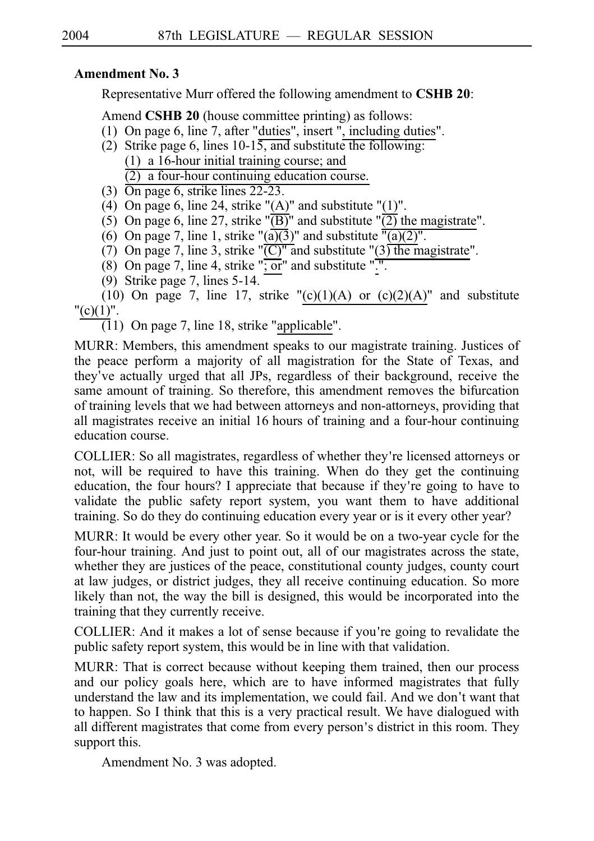# **Amendment No. 3**

Representative Murr offered the following amendment to **CSHB 20**:

Amend **CSHB 20** (house committee printing) as follows:

- (1) On page 6, line 7, after "duties", insert ", including duties".
- (2) Strike page 6, lines  $10-15$ , and substitute the following:  $(1)$  a 16-hour initial training course; and  $(2)$  a four-hour continuing education course.
- (3)  $\overline{On}$  page 6, strike lines 22-23.
- (4) On page 6, line 24, strike " $(A)$ " and substitute " $(1)$ ".
- (5) On page 6, line 27, strike " $\overline{(\text{B})}$ " and substitute " $\overline{(2)}$  the magistrate".
- (6) On page 7, line 1, strike " $(a)(3)$ " and substitute " $(a)(2)$ ".
- (7) On page 7, line 3, strike " $\overline{(C)}$ " and substitute "(3) the magistrate".
- (8) On page 7, line 4, strike " $; \overline{or}$ " and substitute " $\overline{...}$ .
- (9) Strike page 7, lines  $5-14$ .

(10) On page 7, line 17, strike " $(c)(1)(A)$  or  $(c)(2)(A)$ " and substitute " $(c)(1)$ ".

 $(11)$  On page 7, line 18, strike "applicable".

MURR: Members, this amendment speaks to our magistrate training. Justices of the peace perform a majority of all magistration for the State of Texas, and they ve actually urged that all JPs, regardless of their background, receive the ' same amount of training. So therefore, this amendment removes the bifurcation of training levels that we had between attorneys and non-attorneys, providing that all magistrates receive an initial 16 hours of training and a four-hour continuing education course.

COLLIER: So all magistrates, regardless of whether they re licensed attorneys or ' not, will be required to have this training. When do they get the continuing education, the four hours? I appreciate that because if they're going to have to validate the public safety report system, you want them to have additional training. So do they do continuing education every year or is it every other year?

MURR: It would be every other year. So it would be on a two-year cycle for the four-hour training. And just to point out, all of our magistrates across the state, whether they are justices of the peace, constitutional county judges, county court at law judges, or district judges, they all receive continuing education. So more likely than not, the way the bill is designed, this would be incorporated into the training that they currently receive.

COLLIER: And it makes a lot of sense because if you re going to revalidate the ' public safety report system, this would be in line with that validation.

MURR: That is correct because without keeping them trained, then our process and our policy goals here, which are to have informed magistrates that fully understand the law and its implementation, we could fail. And we don't want that to happen. So I think that this is a very practical result. We have dialogued with all different magistrates that come from every person's district in this room. They support this.

Amendment No. 3 was adopted.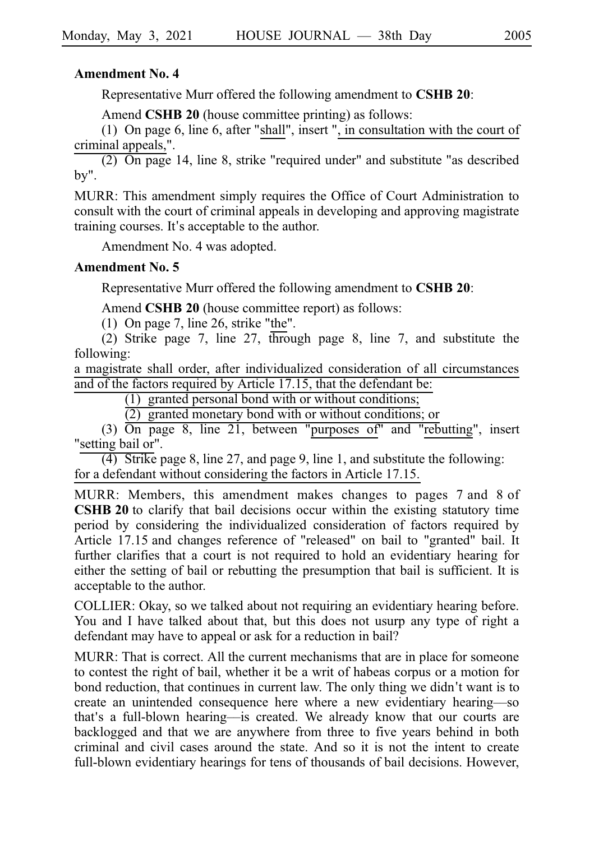## **Amendment No. 4**

Representative Murr offered the following amendment to **CSHB 20**:

Amend **CSHB 20** (house committee printing) as follows:

(1) On page 6, line 6, after "shall", insert ", in consultation with the court of criminal appeals,".

 $(2)$  On page 14, line 8, strike "required under" and substitute "as described by".

MURR: This amendment simply requires the Office of Court Administration to consult with the court of criminal appeals in developing and approving magistrate training courses. It's acceptable to the author.

Amendment No. 4 was adopted.

## **Amendment No. 5**

Representative Murr offered the following amendment to **CSHB 20**:

Amend **CSHB 20** (house committee report) as follows:

(1) On page 7, line 26, strike "the".

(2) Strike page 7, line 27, through page 8, line 7, and substitute the following:

a magistrate shall order, after individualized consideration of all circumstances and of the factors required by Article 17.15, that the defendant be:

 $(1)$  granted personal bond with or without conditions;

 $(2)$  granted monetary bond with or without conditions; or

(3)  $\overline{On}$  page 8, line 21, between "purposes of" and "rebutting", insert "setting bail or".

(4) Strike page 8, line 27, and page 9, line 1, and substitute the following: for a defendant without considering the factors in Article 17.15.

MURR: Members, this amendment makes changes to pages 7 and 8 of **CSHB 20** to clarify that bail decisions occur within the existing statutory time period by considering the individualized consideration of factors required by Article 17.15 and changes reference of "released" on bail to "granted" bail. It further clarifies that a court is not required to hold an evidentiary hearing for either the setting of bail or rebutting the presumption that bail is sufficient. It is acceptable to the author.

COLLIER: Okay, so we talked about not requiring an evidentiary hearing before. You and I have talked about that, but this does not usurp any type of right a defendant may have to appeal or ask for a reduction in bail?

MURR: That is correct. All the current mechanisms that are in place for someone to contest the right of bail, whether it be a writ of habeas corpus or a motion for bond reduction, that continues in current law. The only thing we didn't want is to create an unintended consequence here where a new evidentiary hearing––so that's a full-blown hearing--is created. We already know that our courts are backlogged and that we are anywhere from three to five years behind in both criminal and civil cases around the state. And so it is not the intent to create full-blown evidentiary hearings for tens of thousands of bail decisions. However,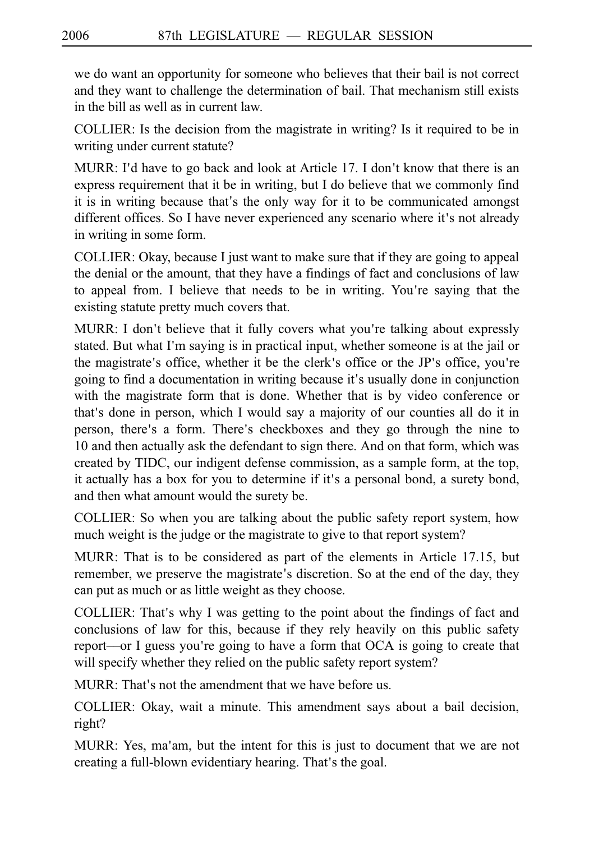we do want an opportunity for someone who believes that their bail is not correct and they want to challenge the determination of bail. That mechanism still exists in the bill as well as in current law.

COLLIER: Is the decision from the magistrate in writing? Is it required to be in writing under current statute?

MURR: I'd have to go back and look at Article 17. I don't know that there is an express requirement that it be in writing, but I do believe that we commonly find it is in writing because that's the only way for it to be communicated amongst different offices. So I have never experienced any scenario where it's not already in writing in some form.

COLLIER: Okay, because I just want to make sure that if they are going to appeal the denial or the amount, that they have a findings of fact and conclusions of law to appeal from. I believe that needs to be in writing. You're saying that the existing statute pretty much covers that.

MURR: I don't believe that it fully covers what you're talking about expressly stated. But what I'm saying is in practical input, whether someone is at the jail or the magistrate's office, whether it be the clerk's office or the JP's office, you're going to find a documentation in writing because it's usually done in conjunction with the magistrate form that is done. Whether that is by video conference or that's done in person, which I would say a majority of our counties all do it in person, there's a form. There's checkboxes and they go through the nine to 10 and then actually ask the defendant to sign there. And on that form, which was created by TIDC, our indigent defense commission, as a sample form, at the top, it actually has a box for you to determine if it's a personal bond, a surety bond, and then what amount would the surety be.

COLLIER: So when you are talking about the public safety report system, how much weight is the judge or the magistrate to give to that report system?

MURR: That is to be considered as part of the elements in Article 17.15, but remember, we preserve the magistrate's discretion. So at the end of the day, they can put as much or as little weight as they choose.

COLLIER: That's why I was getting to the point about the findings of fact and conclusions of law for this, because if they rely heavily on this public safety report—or I guess you're going to have a form that OCA is going to create that will specify whether they relied on the public safety report system?

MURR: That's not the amendment that we have before us.

COLLIER: Okay, wait a minute. This amendment says about a bail decision, right?

MURR: Yes, ma'am, but the intent for this is just to document that we are not creating a full-blown evidentiary hearing. That's the goal.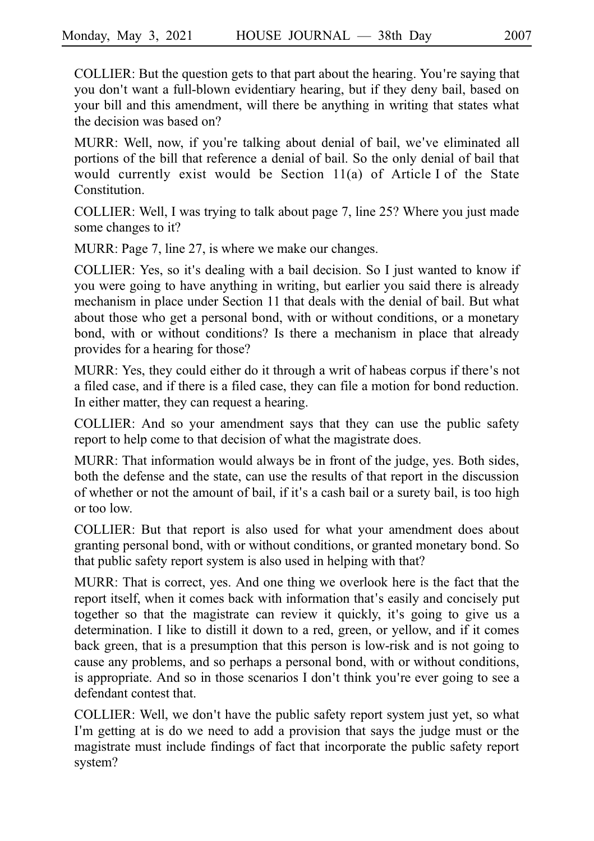COLLIER: But the question gets to that part about the hearing. You're saying that you don't want a full-blown evidentiary hearing, but if they deny bail, based on your bill and this amendment, will there be anything in writing that states what the decision was based on?

MURR: Well, now, if you're talking about denial of bail, we've eliminated all portions of the bill that reference a denial of bail. So the only denial of bail that would currently exist would be Section  $11(a)$  of Article I of the State Constitution.

COLLIER: Well, I was trying to talk about page 7, line 25? Where you just made some changes to it?

MURR: Page 7, line 27, is where we make our changes.

COLLIER: Yes, so it's dealing with a bail decision. So I just wanted to know if you were going to have anything in writing, but earlier you said there is already mechanism in place under Section 11 that deals with the denial of bail. But what about those who get a personal bond, with or without conditions, or a monetary bond, with or without conditions? Is there a mechanism in place that already provides for a hearing for those?

MURR: Yes, they could either do it through a writ of habeas corpus if there's not a filed case, and if there is a filed case, they can file a motion for bond reduction. In either matter, they can request a hearing.

COLLIER: And so your amendment says that they can use the public safety report to help come to that decision of what the magistrate does.

MURR: That information would always be in front of the judge, yes. Both sides, both the defense and the state, can use the results of that report in the discussion of whether or not the amount of bail, if it's a cash bail or a surety bail, is too high or too low.

COLLIER: But that report is also used for what your amendment does about granting personal bond, with or without conditions, or granted monetary bond. So that public safety report system is also used in helping with that?

MURR: That is correct, yes. And one thing we overlook here is the fact that the report itself, when it comes back with information that's easily and concisely put together so that the magistrate can review it quickly, it's going to give us a determination. I like to distill it down to a red, green, or yellow, and if it comes back green, that is a presumption that this person is low-risk and is not going to cause any problems, and so perhaps a personal bond, with or without conditions, is appropriate. And so in those scenarios I don't think you're ever going to see a defendant contest that.

COLLIER: Well, we don't have the public safety report system just yet, so what I'm getting at is do we need to add a provision that says the judge must or the magistrate must include findings of fact that incorporate the public safety report system?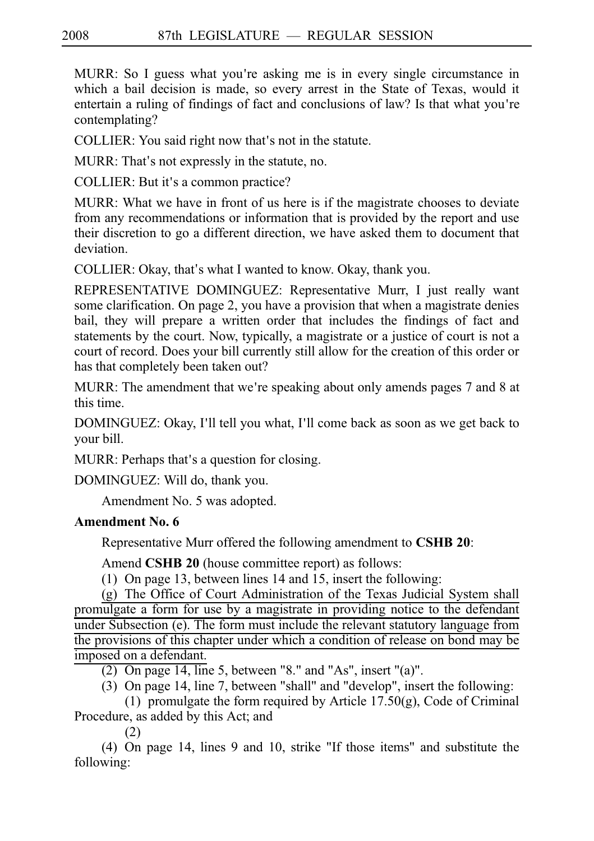MURR: So I guess what you're asking me is in every single circumstance in which a bail decision is made, so every arrest in the State of Texas, would it entertain a ruling of findings of fact and conclusions of law? Is that what you're contemplating?

COLLIER: You said right now that's not in the statute.

MURR: That's not expressly in the statute, no.

COLLIER: But it's a common practice?

MURR: What we have in front of us here is if the magistrate chooses to deviate from any recommendations or information that is provided by the report and use their discretion to go a different direction, we have asked them to document that deviation.

COLLIER: Okay, that's what I wanted to know. Okay, thank you.

REPRESENTATIVE DOMINGUEZ: Representative Murr, I just really want some clarification. On page 2, you have a provision that when a magistrate denies bail, they will prepare a written order that includes the findings of fact and statements by the court. Now, typically, a magistrate or a justice of court is not a court of record. Does your bill currently still allow for the creation of this order or has that completely been taken out?

MURR: The amendment that we're speaking about only amends pages 7 and 8 at this time.

DOMINGUEZ: Okay, I'll tell you what, I'll come back as soon as we get back to your bill.

MURR: Perhaps that's a question for closing.

DOMINGUEZ: Will do, thank you.

Amendment No. 5 was adopted.

# **Amendment No. 6**

Representative Murr offered the following amendment to **CSHB 20**:

Amend **CSHB 20** (house committee report) as follows:

(1) On page 13, between lines 14 and 15, insert the following:

 $(g)$  The Office of Court Administration of the Texas Judicial System shall promulgate a form for use by a magistrate in providing notice to the defendant under Subsection (e). The form must include the relevant statutory language from the provisions of this chapter under which a condition of release on bond may be imposed on a defendant.

(2) On page 14, line 5, between "8." and "As", insert "(a)".

(3) On page 14, line 7, between "shall" and "develop", insert the following:

(1) promulgate the form required by Article 17.50(g), Code of Criminal Procedure, as added by this Act; and

(2)

(4) On page 14, lines 9 and 10, strike "If those items" and substitute the following: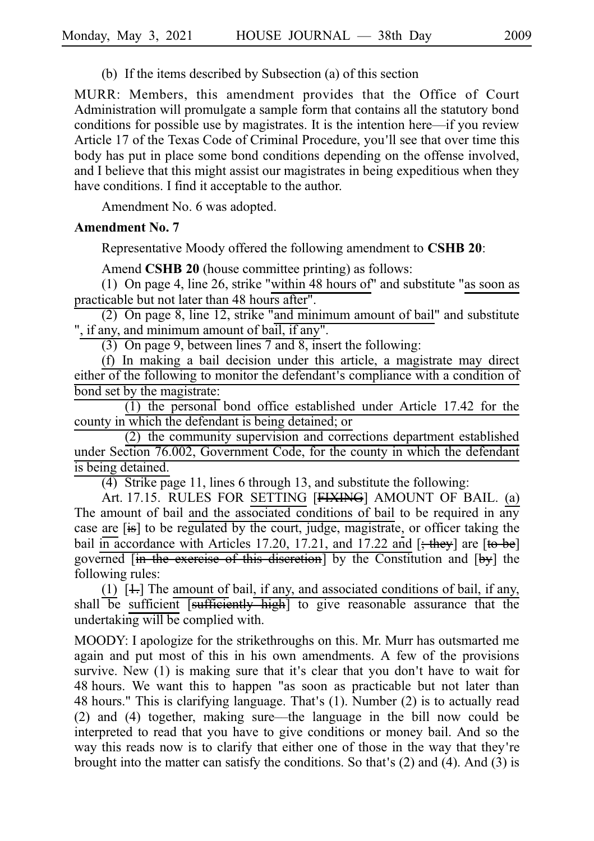(b) If the items described by Subsection (a) of this section

MURR: Members, this amendment provides that the Office of Court Administration will promulgate a sample form that contains all the statutory bond conditions for possible use by magistrates. It is the intention here––if you review Article 17 of the Texas Code of Criminal Procedure, you'll see that over time this body has put in place some bond conditions depending on the offense involved, and I believe that this might assist our magistrates in being expeditious when they have conditions. I find it acceptable to the author.

Amendment No. 6 was adopted.

#### **Amendment No. 7**

Representative Moody offered the following amendment to **CSHB 20**:

Amend **CSHB 20** (house committee printing) as follows:

(1) On page 4, line 26, strike "within 48 hours of" and substitute "as soon as practicable but not later than 48 hours after".

(2) On page 8, line 12, strike "and minimum amount of bail" and substitute ", if any, and minimum amount of bail, if any".

(3) On page 9, between lines 7 and 8, insert the following:

 $(f)$  In making a bail decision under this article, a magistrate may direct either of the following to monitor the defendant's compliance with a condition of bond set by the magistrate:

 $(1)$  the personal bond office established under Article 17.42 for the county in which the defendant is being detained; or

 $(2)$  the community supervision and corrections department established under Section 76.002, Government Code, for the county in which the defendant is being detained.

(4) Strike page 11, lines 6 through 13, and substitute the following:

Art. 17.15. RULES FOR SETTING [FIXING] AMOUNT OF BAIL. (a) The amount of bail and the associated conditions of bail to be required in any case are [is] to be regulated by the court, judge, magistrate, or officer taking the bail in accordance with Articles 17.20, 17.21, and 17.22 and  $[$ ; they] are  $[$  to be] governed  $\overline{\mathbf{a}}$  in the exercise of this discretion by the Constitution and  $\overline{\mathbf{b}}$  the following rules:

(1)  $[1]$ . The amount of bail, if any, and associated conditions of bail, if any, shall be sufficient [sufficiently high] to give reasonable assurance that the undertaking will be complied with.

MOODY: I apologize for the strikethroughs on this. Mr. Murr has outsmarted me again and put most of this in his own amendments. A few of the provisions survive. New  $(1)$  is making sure that it's clear that you don't have to wait for 48 hours. We want this to happen "as soon as practicable but not later than 48 hours." This is clarifying language. That's  $(1)$ . Number  $(2)$  is to actually read (2) and (4) together, making sure––the language in the bill now could be interpreted to read that you have to give conditions or money bail. And so the way this reads now is to clarify that either one of those in the way that they're brought into the matter can satisfy the conditions. So that's  $(2)$  and  $(4)$ . And  $(3)$  is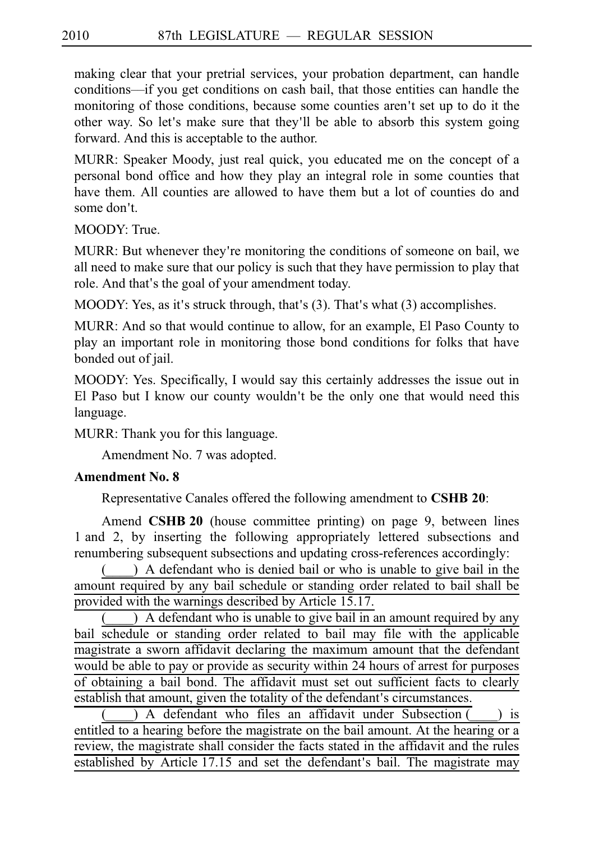making clear that your pretrial services, your probation department, can handle conditions––if you get conditions on cash bail, that those entities can handle the monitoring of those conditions, because some counties aren't set up to do it the other way. So let's make sure that they'll be able to absorb this system going forward. And this is acceptable to the author.

MURR: Speaker Moody, just real quick, you educated me on the concept of a personal bond office and how they play an integral role in some counties that have them. All counties are allowed to have them but a lot of counties do and some don't.

MOODY: True.

MURR: But whenever they're monitoring the conditions of someone on bail, we all need to make sure that our policy is such that they have permission to play that role. And that's the goal of your amendment today.

MOODY: Yes, as it's struck through, that's  $(3)$ . That's what  $(3)$  accomplishes.

MURR: And so that would continue to allow, for an example, El Paso County to play an important role in monitoring those bond conditions for folks that have bonded out of jail.

MOODY: Yes. Specifically, I would say this certainly addresses the issue out in El Paso but I know our county wouldn't be the only one that would need this language.

MURR: Thank you for this language.

Amendment No. 7 was adopted.

## **Amendment No. 8**

Representative Canales offered the following amendment to **CSHB 20**:

Amend **CSHB 20** (house committee printing) on page 9, between lines 1 and 2, by inserting the following appropriately lettered subsections and renumbering subsequent subsections and updating cross-references accordingly:

 $($ ) A defendant who is denied bail or who is unable to give bail in the amount required by any bail schedule or standing order related to bail shall be provided with the warnings described by Article 15.17.

(a) A defendant who is unable to give bail in an amount required by any bail schedule or standing order related to bail may file with the applicable magistrate a sworn affidavit declaring the maximum amount that the defendant would be able to pay or provide as security within 24 hours of arrest for purposes of obtaining a bail bond. The affidavit must set out sufficient facts to clearly establish that amount, given the totality of the defendant's circumstances.

) A defendant who files an affidavit under Subsection  $($  ) is entitled to a hearing before the magistrate on the bail amount. At the hearing or a review, the magistrate shall consider the facts stated in the affidavit and the rules established by Article 17.15 and set the defendant's bail. The magistrate may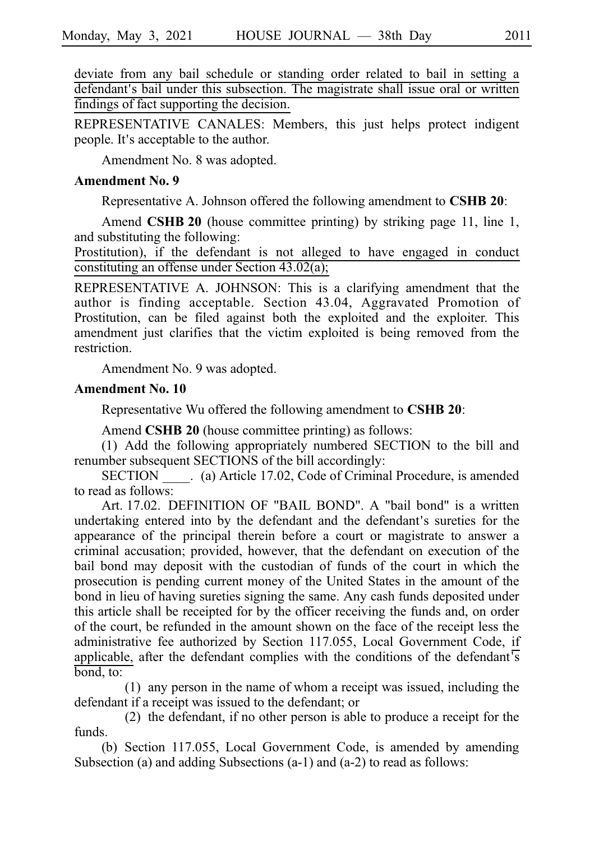deviate from any bail schedule or standing order related to bail in setting a defendant's bail under this subsection. The magistrate shall issue oral or written findings of fact supporting the decision.

REPRESENTATIVE CANALES: Members, this just helps protect indigent people. It's acceptable to the author.

Amendment No. 8 was adopted.

#### **Amendment No. 9**

Representative A. Johnson offered the following amendment to **CSHBi20**:

Amend **CSHB 20** (house committee printing) by striking page 11, line 1, and substituting the following:

Prostitution), if the defendant is not alleged to have engaged in conduct constituting an offense under Section 43.02(a);

REPRESENTATIVE A. JOHNSON: This is a clarifying amendment that the author is finding acceptable. Section 43.04, Aggravated Promotion of Prostitution, can be filed against both the exploited and the exploiter. This amendment just clarifies that the victim exploited is being removed from the restriction.

Amendment No. 9 was adopted.

#### **Amendment No. 10**

Representative Wu offered the following amendment to **CSHB 20**:

Amend **CSHB 20** (house committee printing) as follows:

(1) Add the following appropriately numbered SECTION to the bill and renumber subsequent SECTIONS of the bill accordingly:

SECTION (a) Article 17.02, Code of Criminal Procedure, is amended to read as follows:

Art. 17.02. DEFINITION OF "BAIL BOND". A "bail bond" is a written undertaking entered into by the defendant and the defendant's sureties for the appearance of the principal therein before a court or magistrate to answer a criminal accusation; provided, however, that the defendant on execution of the bail bond may deposit with the custodian of funds of the court in which the prosecution is pending current money of the United States in the amount of the bond in lieu of having sureties signing the same. Any cash funds deposited under this article shall be receipted for by the officer receiving the funds and, on order of the court, be refunded in the amount shown on the face of the receipt less the administrative fee authorized by Section 117.055, Local Government Code, if applicable, after the defendant complies with the conditions of the defendant's bond, to:

 $(1)$  any person in the name of whom a receipt was issued, including the defendant if a receipt was issued to the defendant; or

 $(2)$  the defendant, if no other person is able to produce a receipt for the funds.

(b) Section 117.055, Local Government Code, is amended by amending Subsection (a) and adding Subsections (a-1) and (a-2) to read as follows: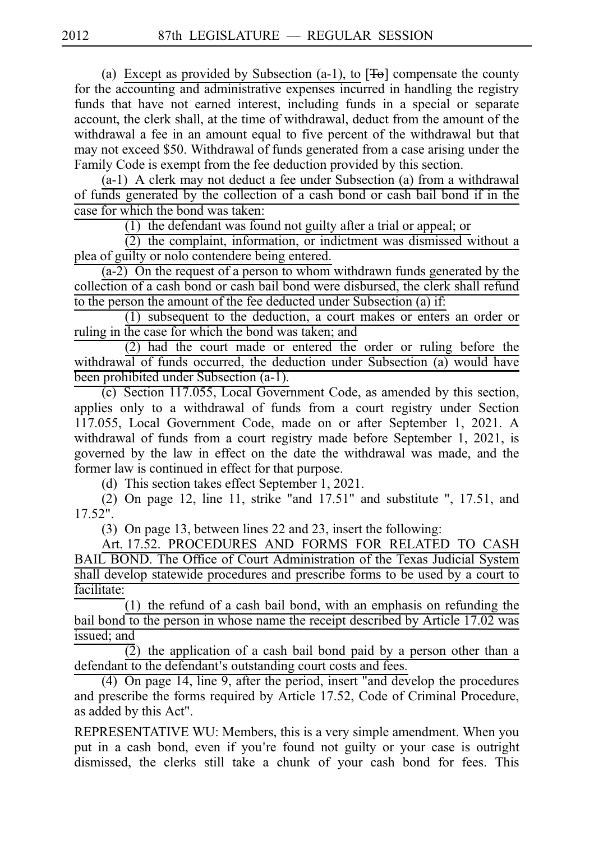(a) Except as provided by Subsection (a-1), to  $[\overline{Te}]$  compensate the county for the accounting and administrative expenses incurred in handling the registry funds that have not earned interest, including funds in a special or separate account, the clerk shall, at the time of withdrawal, deduct from the amount of the withdrawal a fee in an amount equal to five percent of the withdrawal but that may not exceed \$50. Withdrawal of funds generated from a case arising under the Family Code is exempt from the fee deduction provided by this section.

 $(a-1)$  A clerk may not deduct a fee under Subsection (a) from a withdrawal of funds generated by the collection of a cash bond or cash bail bond if in the case for which the bond was taken:

 $(1)$  the defendant was found not guilty after a trial or appeal; or

 $\overline{2}$ ) the complaint, information, or indictment was dismissed without a plea of guilty or nolo contendere being entered.

 $(a-2)$  On the request of a person to whom withdrawn funds generated by the collection of a cash bond or cash bail bond were disbursed, the clerk shall refund to the person the amount of the fee deducted under Subsection (a) if:

 $(1)$  subsequent to the deduction, a court makes or enters an order or ruling in the case for which the bond was taken; and

 $(2)$  had the court made or entered the order or ruling before the withdrawal of funds occurred, the deduction under Subsection (a) would have been prohibited under Subsection (a-1).

 $(c)$  Section 117.055, Local Government Code, as amended by this section, applies only to a withdrawal of funds from a court registry under Section 117.055, Local Government Code, made on or after September 1, 2021. A withdrawal of funds from a court registry made before September 1, 2021, is governed by the law in effect on the date the withdrawal was made, and the former law is continued in effect for that purpose.

(d) This section takes effect September 1, 2021.

(2) On page 12, line 11, strike "and  $17.51$ " and substitute ",  $17.51$ , and 17.52".

(3) On page 13, between lines 22 and 23, insert the following:

Art. 17.52. PROCEDURES AND FORMS FOR RELATED TO CASH BAIL BOND. The Office of Court Administration of the Texas Judicial System shall develop statewide procedures and prescribe forms to be used by a court to facilitate:

 $(1)$  the refund of a cash bail bond, with an emphasis on refunding the bail bond to the person in whose name the receipt described by Article 17.02 was issued; and

 $(2)$  the application of a cash bail bond paid by a person other than a defendant to the defendant's outstanding court costs and fees.

(4) On page 14, line 9, after the period, insert "and develop the procedures and prescribe the forms required by Article 17.52, Code of Criminal Procedure, as added by this Act".

REPRESENTATIVE WU: Members, this is a very simple amendment. When you put in a cash bond, even if you're found not guilty or your case is outright dismissed, the clerks still take a chunk of your cash bond for fees. This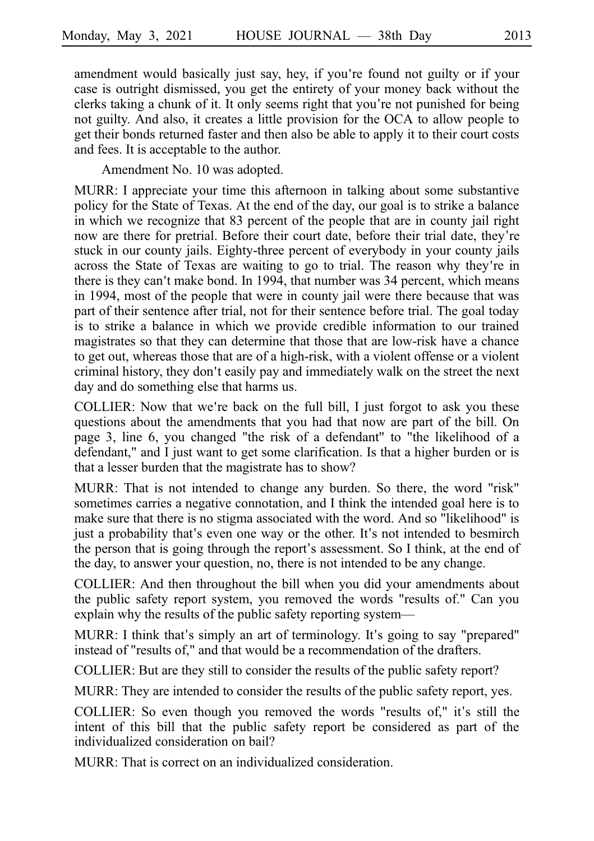amendment would basically just say, hey, if you're found not guilty or if your case is outright dismissed, you get the entirety of your money back without the clerks taking a chunk of it. It only seems right that you're not punished for being not guilty. And also, it creates a little provision for the OCA to allow people to get their bonds returned faster and then also be able to apply it to their court costs and fees. It is acceptable to the author.

Amendment No. 10 was adopted.

MURR: I appreciate your time this afternoon in talking about some substantive policy for the State of Texas. At the end of the day, our goal is to strike a balance in which we recognize that 83 percent of the people that are in county jail right now are there for pretrial. Before their court date, before their trial date, they re' stuck in our county jails. Eighty-three percent of everybody in your county jails across the State of Texas are waiting to go to trial. The reason why they're in there is they can't make bond. In 1994, that number was 34 percent, which means in 1994, most of the people that were in county jail were there because that was part of their sentence after trial, not for their sentence before trial. The goal today is to strike a balance in which we provide credible information to our trained magistrates so that they can determine that those that are low-risk have a chance to get out, whereas those that are of a high-risk, with a violent offense or a violent criminal history, they don't easily pay and immediately walk on the street the next day and do something else that harms us.

COLLIER: Now that we're back on the full bill, I just forgot to ask you these questions about the amendments that you had that now are part of the bill. On page 3, line 6, you changed "the risk of a defendant" to "the likelihood of a defendant," and I just want to get some clarification. Is that a higher burden or is that a lesser burden that the magistrate has to show?

MURR: That is not intended to change any burden. So there, the word "risk" sometimes carries a negative connotation, and I think the intended goal here is to make sure that there is no stigma associated with the word. And so "likelihood" is just a probability that's even one way or the other. It's not intended to besmirch the person that is going through the report's assessment. So I think, at the end of the day, to answer your question, no, there is not intended to be any change.

COLLIER: And then throughout the bill when you did your amendments about the public safety report system, you removed the words "results of." Can you explain why the results of the public safety reporting system—

MURR: I think that's simply an art of terminology. It's going to say "prepared" instead of "results of," and that would be a recommendation of the drafters.

COLLIER: But are they still to consider the results of the public safety report?

MURR: They are intended to consider the results of the public safety report, yes.

COLLIER: So even though you removed the words "results of," it's still the intent of this bill that the public safety report be considered as part of the individualized consideration on bail?

MURR: That is correct on an individualized consideration.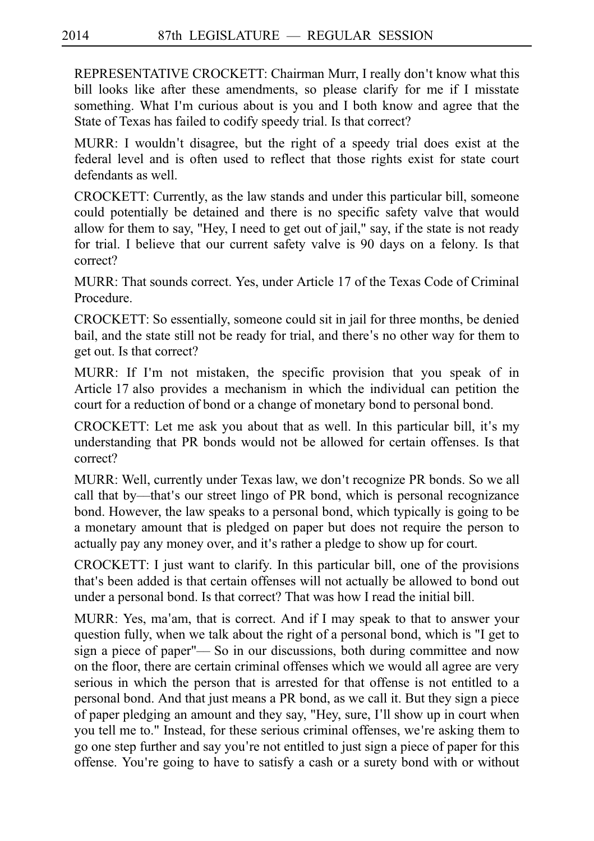REPRESENTATIVE CROCKETT: Chairman Murr, I really don't know what this bill looks like after these amendments, so please clarify for me if I misstate something. What I'm curious about is you and I both know and agree that the State of Texas has failed to codify speedy trial. Is that correct?

MURR: I wouldn't disagree, but the right of a speedy trial does exist at the federal level and is often used to reflect that those rights exist for state court defendants as well.

CROCKETT: Currently, as the law stands and under this particular bill, someone could potentially be detained and there is no specific safety valve that would allow for them to say, "Hey, I need to get out of jail," say, if the state is not ready for trial. I believe that our current safety valve is 90 days on a felony. Is that correct?

MURR: That sounds correct. Yes, under Article 17 of the Texas Code of Criminal Procedure.

CROCKETT: So essentially, someone could sit in jail for three months, be denied bail, and the state still not be ready for trial, and there's no other way for them to get out. Is that correct?

MURR: If I'm not mistaken, the specific provision that you speak of in Article 17 also provides a mechanism in which the individual can petition the court for a reduction of bond or a change of monetary bond to personal bond.

CROCKETT: Let me ask you about that as well. In this particular bill, it's my understanding that PR bonds would not be allowed for certain offenses. Is that correct?

MURR: Well, currently under Texas law, we don't recognize PR bonds. So we all call that by—that's our street lingo of PR bond, which is personal recognizance bond. However, the law speaks to a personal bond, which typically is going to be a monetary amount that is pledged on paper but does not require the person to actually pay any money over, and it's rather a pledge to show up for court.

CROCKETT: I just want to clarify. In this particular bill, one of the provisions that's been added is that certain offenses will not actually be allowed to bond out under a personal bond. Is that correct? That was how I read the initial bill.

MURR: Yes, ma'am, that is correct. And if I may speak to that to answer your question fully, when we talk about the right of a personal bond, which is "I get to sign a piece of paper"— So in our discussions, both during committee and now on the floor, there are certain criminal offenses which we would all agree are very serious in which the person that is arrested for that offense is not entitled to a personal bond. And that just means a PR bond, as we call it. But they sign a piece of paper pledging an amount and they say, "Hey, sure, I'll show up in court when you tell me to." Instead, for these serious criminal offenses, we're asking them to go one step further and say you're not entitled to just sign a piece of paper for this offense. You re going to have to satisfy a cash or a surety bond with or without '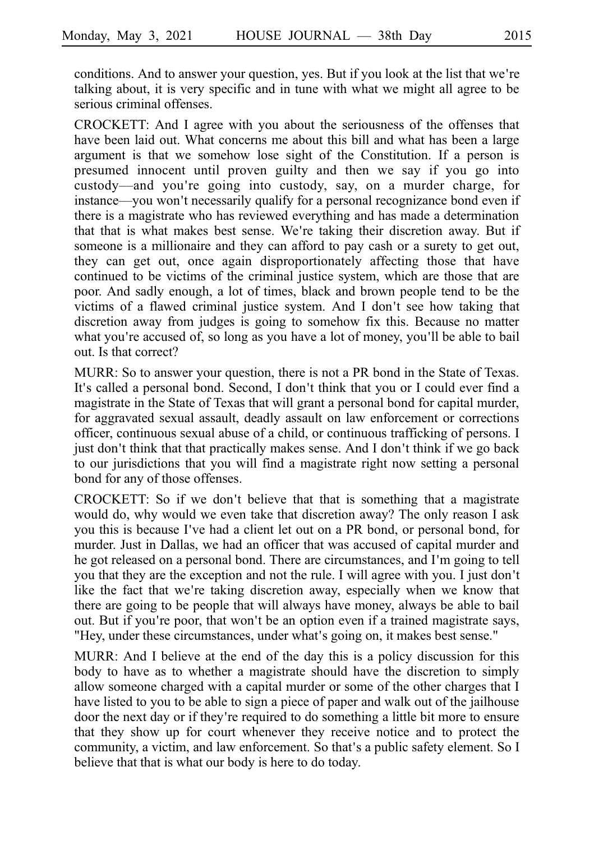conditions. And to answer your question, yes. But if you look at the list that we're talking about, it is very specific and in tune with what we might all agree to be serious criminal offenses.

CROCKETT: And I agree with you about the seriousness of the offenses that have been laid out. What concerns me about this bill and what has been a large argument is that we somehow lose sight of the Constitution. If a person is presumed innocent until proven guilty and then we say if you go into custody––and you ' re going into custody, say, on a murder charge, for instance—you won't necessarily qualify for a personal recognizance bond even if there is a magistrate who has reviewed everything and has made a determination that that is what makes best sense. We're taking their discretion away. But if someone is a millionaire and they can afford to pay cash or a surety to get out, they can get out, once again disproportionately affecting those that have continued to be victims of the criminal justice system, which are those that are poor. And sadly enough, a lot of times, black and brown people tend to be the victims of a flawed criminal justice system. And I don't see how taking that discretion away from judges is going to somehow fix this. Because no matter what you're accused of, so long as you have a lot of money, you'll be able to bail out. Is that correct?

MURR: So to answer your question, there is not a PR bond in the State of Texas. It's called a personal bond. Second, I don't think that you or I could ever find a magistrate in the State of Texas that will grant a personal bond for capital murder, for aggravated sexual assault, deadly assault on law enforcement or corrections officer, continuous sexual abuse of a child, or continuous trafficking of persons. I just don't think that that practically makes sense. And I don't think if we go back to our jurisdictions that you will find a magistrate right now setting a personal bond for any of those offenses.

CROCKETT: So if we don't believe that that is something that a magistrate would do, why would we even take that discretion away? The only reason I ask you this is because I've had a client let out on a PR bond, or personal bond, for murder. Just in Dallas, we had an officer that was accused of capital murder and he got released on a personal bond. There are circumstances, and I'm going to tell you that they are the exception and not the rule. I will agree with you. I just don t' like the fact that we're taking discretion away, especially when we know that there are going to be people that will always have money, always be able to bail out. But if you're poor, that won't be an option even if a trained magistrate says, "Hey, under these circumstances, under what's going on, it makes best sense."

MURR: And I believe at the end of the day this is a policy discussion for this body to have as to whether a magistrate should have the discretion to simply allow someone charged with a capital murder or some of the other charges that I have listed to you to be able to sign a piece of paper and walk out of the jailhouse door the next day or if they're required to do something a little bit more to ensure that they show up for court whenever they receive notice and to protect the community, a victim, and law enforcement. So that's a public safety element. So I believe that that is what our body is here to do today.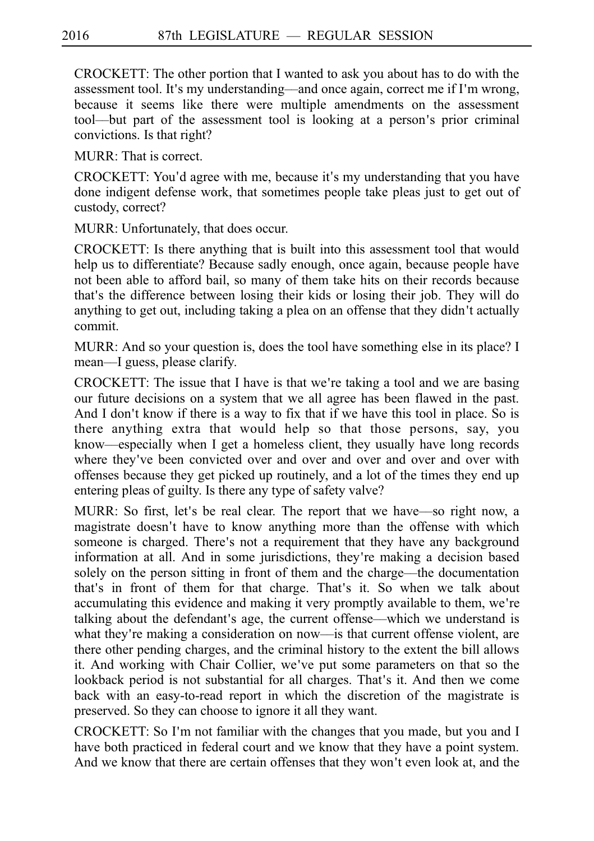CROCKETT: The other portion that I wanted to ask you about has to do with the assessment tool. It's my understanding—and once again, correct me if I'm wrong, because it seems like there were multiple amendments on the assessment tool—but part of the assessment tool is looking at a person's prior criminal convictions. Is that right?

MURR: That is correct.

CROCKETT: You'd agree with me, because it's my understanding that you have done indigent defense work, that sometimes people take pleas just to get out of custody, correct?

MURR: Unfortunately, that does occur.

CROCKETT: Is there anything that is built into this assessment tool that would help us to differentiate? Because sadly enough, once again, because people have not been able to afford bail, so many of them take hits on their records because that's the difference between losing their kids or losing their job. They will do anything to get out, including taking a plea on an offense that they didn't actually commit.

MURR: And so your question is, does the tool have something else in its place? I mean––I guess, please clarify.

CROCKETT: The issue that I have is that we're taking a tool and we are basing our future decisions on a system that we all agree has been flawed in the past. And I don't know if there is a way to fix that if we have this tool in place. So is there anything extra that would help so that those persons, say, you know––especially when I get a homeless client, they usually have long records where they've been convicted over and over and over and over and over with offenses because they get picked up routinely, and a lot of the times they end up entering pleas of guilty. Is there any type of safety valve?

MURR: So first, let's be real clear. The report that we have—so right now, a magistrate doesn't have to know anything more than the offense with which someone is charged. There's not a requirement that they have any background information at all. And in some jurisdictions, they re making a decision based ' solely on the person sitting in front of them and the charge––the documentation that's in front of them for that charge. That's it. So when we talk about accumulating this evidence and making it very promptly available to them, we're talking about the defendant's age, the current offense—which we understand is what they're making a consideration on now—is that current offense violent, are there other pending charges, and the criminal history to the extent the bill allows it. And working with Chair Collier, we've put some parameters on that so the lookback period is not substantial for all charges. That's it. And then we come back with an easy-to-read report in which the discretion of the magistrate is preserved. So they can choose to ignore it all they want.

CROCKETT: So I'm not familiar with the changes that you made, but you and I have both practiced in federal court and we know that they have a point system. And we know that there are certain offenses that they won't even look at, and the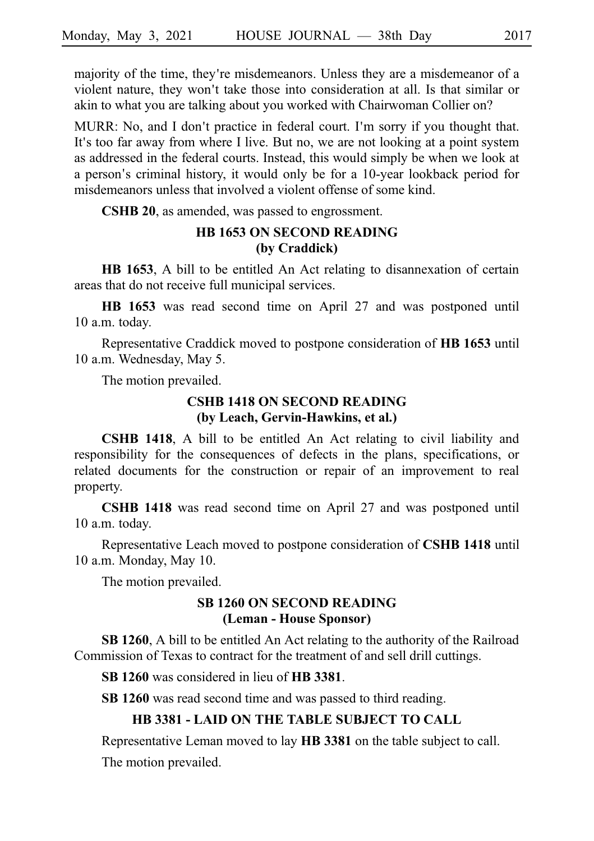majority of the time, they're misdemeanors. Unless they are a misdemeanor of a violent nature, they won't take those into consideration at all. Is that similar or akin to what you are talking about you worked with Chairwoman Collier on?

MURR: No, and I don't practice in federal court. I'm sorry if you thought that. It's too far away from where I live. But no, we are not looking at a point system as addressed in the federal courts. Instead, this would simply be when we look at a person's criminal history, it would only be for a 10-year lookback period for misdemeanors unless that involved a violent offense of some kind.

**CSHB 20**, as amended, was passed to engrossment.

# **HB 1653 ON SECOND READING (by Craddick)**

**HB 1653**, A bill to be entitled An Act relating to disannexation of certain areas that do not receive full municipal services.

**HB 1653** was read second time on April 27 and was postponed until 10 a.m. today.

Representative Craddick moved to postpone consideration of HB 1653 until 10 a.m. Wednesday, May 5.

The motion prevailed.

# **CSHB 1418 ON SECOND READING (by Leach, Gervin-Hawkins, et al.)**

**CSHB 1418**, A bill to be entitled An Act relating to civil liability and responsibility for the consequences of defects in the plans, specifications, or related documents for the construction or repair of an improvement to real property.

**CSHB 1418** was read second time on April 27 and was postponed until 10 a.m. today.

Representative Leach moved to postpone consideration of **CSHB 1418** until 10 a.m. Monday, May 10.

The motion prevailed.

## **SB 1260 ON SECOND READING (Leman - House Sponsor)**

**SB 1260**, A bill to be entitled An Act relating to the authority of the Railroad Commission of Texas to contract for the treatment of and sell drill cuttings.

**SB 1260** was considered in lieu of **HB 3381**.

**SB 1260** was read second time and was passed to third reading.

#### **HB 3381 - LAID ON THE TABLE SUBJECT TO CALL**

Representative Leman moved to lay **HB 3381** on the table subject to call.

The motion prevailed.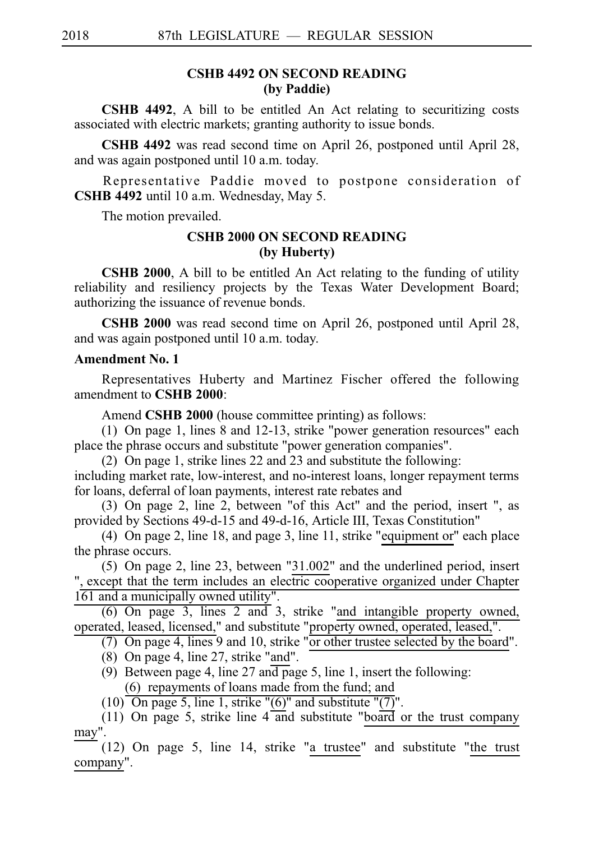## **CSHB 4492 ON SECOND READING (by Paddie)**

**CSHB 4492**, A bill to be entitled An Act relating to securitizing costs associated with electric markets; granting authority to issue bonds.

**CSHB 4492** was read second time on April 26, postponed until April 28, and was again postponed until 10 a.m. today.

Representative Paddie moved to postpone consideration of **CSHB 4492** until 10 a.m. Wednesday, May 5.

The motion prevailed.

## **CSHB 2000 ON SECOND READING (by Huberty)**

**CSHB 2000**, A bill to be entitled An Act relating to the funding of utility reliability and resiliency projects by the Texas Water Development Board; authorizing the issuance of revenue bonds.

**CSHB 2000** was read second time on April 26, postponed until April 28, and was again postponed until 10 a.m. today.

## **Amendment No. 1**

Representatives Huberty and Martinez Fischer offered the following amendment to **CSHB** 2000:

Amend **CSHB 2000** (house committee printing) as follows:

(1) On page 1, lines 8 and 12-13, strike "power generation resources" each place the phrase occurs and substitute "power generation companies".

(2)  $\overline{O}$ n page 1, strike lines 22 and 23 and substitute the following:

including market rate, low-interest, and no-interest loans, longer repayment terms for loans, deferral of loan payments, interest rate rebates and

(3) On page 2, line 2, between "of this Act" and the period, insert ", as provided by Sections 49-d-15 and 49-d-16, Article III, Texas Constitution"

(4) On page 2, line 18, and page 3, line 11, strike "equipment or" each place the phrase occurs.

(5) On page 2, line 23, between "31.002" and the underlined period, insert ", except that the term includes an electric cooperative organized under Chapter 161 and a municipally owned utility".

 $(6)$  On page 3, lines 2 and 3, strike "and intangible property owned, operated, leased, licensed," and substitute "property owned, operated, leased,".

(7) On page 4, lines 9 and 10, strike "or other trustee selected by the board".

- (8) On page 4, line  $27$ , strike "and".
- (9) Between page 4, line 27 and page 5, line 1, insert the following:  $(6)$  repayments of loans made from the fund; and

 $(10)$  On page 5, line 1, strike "(6)" and substitute "(7)".

(11) On page 5, strike line  $4$  and substitute "board or the trust company may".

 $(12)$  On page 5, line 14, strike "a trustee" and substitute "the trust company".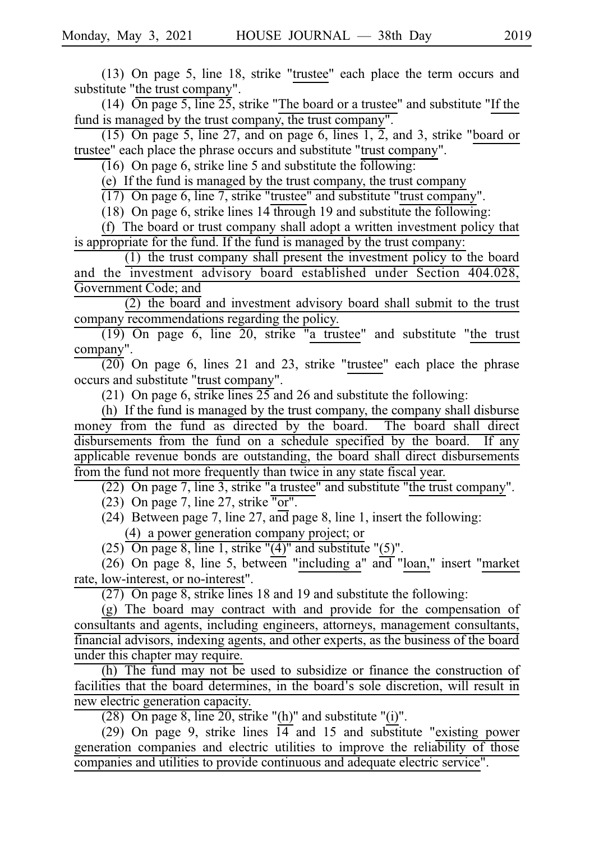$(13)$  On page 5, line 18, strike "trustee" each place the term occurs and substitute "the trust company".

(14)  $\overline{On}$  page 5, line 25, strike "The board or a trustee" and substitute "If the fund is managed by the trust company, the trust company".

 $(15)$  On page 5, line 27, and on page 6, lines 1, 2, and 3, strike "board or trustee" each place the phrase occurs and substitute "trust company".

 $(16)$  On page 6, strike line 5 and substitute the following:

(e) If the fund is managed by the trust company, the trust company

 $(17)$  On page 6, line 7, strike "trustee" and substitute "trust company".

(18) On page 6, strike lines  $14$  through 19 and substitute the following:

 $(f)$  The board or trust company shall adopt a written investment policy that is appropriate for the fund. If the fund is managed by the trust company:

 $(1)$  the trust company shall present the investment policy to the board and the investment advisory board established under Section 404.028, Government Code; and

 $(2)$  the board and investment advisory board shall submit to the trust company recommendations regarding the policy.

 $(19)$  On page 6, line 20, strike "a trustee" and substitute "the trust company".

 $\overline{(20)}$  On page 6, lines 21 and 23, strike "trustee" each place the phrase occurs and substitute "trust company".

(21) On page 6, strike lines  $25$  and 26 and substitute the following:

(h) If the fund is managed by the trust company, the company shall disburse money from the fund as directed by the board. The board shall direct disbursements from the fund on a schedule specified by the board. If any applicable revenue bonds are outstanding, the board shall direct disbursements from the fund not more frequently than twice in any state fiscal year.

(22) On page 7, line 3, strike "a trustee" and substitute "the trust company".

(23) On page 7, line 27, strike "or".

(24) Between page 7, line 27, and page 8, line 1, insert the following: (4) a power generation company project; or

(25) On page 8, line 1, strike " $(4)$ " and substitute " $(5)$ ".

 $(26)$  On page 8, line 5, between "including a" and "loan," insert "market" rate, low-interest, or no-interest".

 $(27)$  On page 8, strike lines 18 and 19 and substitute the following:

 $(g)$  The board may contract with and provide for the compensation of consultants and agents, including engineers, attorneys, management consultants, financial advisors, indexing agents, and other experts, as the business of the board under this chapter may require.

 $(h)$  The fund may not be used to subsidize or finance the construction of facilities that the board determines, in the board's sole discretion, will result in new electric generation capacity.

(28) On page 8, line 20, strike "(h)" and substitute "(i)".

 $(29)$  On page 9, strike lines  $\overline{14}$  and 15 and substitute "existing power generation companies and electric utilities to improve the reliability of those companies and utilities to provide continuous and adequate electric service".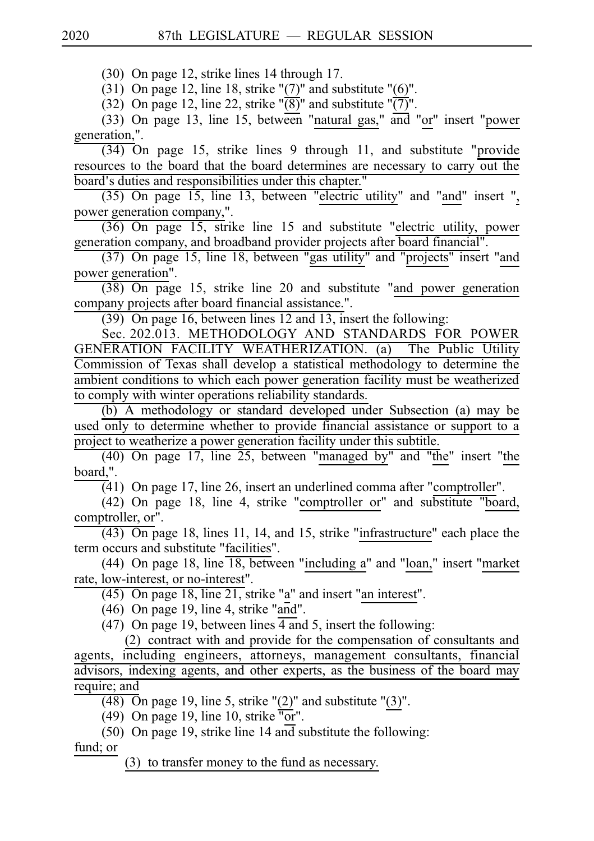$(30)$  On page 12, strike lines 14 through 17.

(31) On page 12, line 18, strike " $(7)$ " and substitute " $(6)$ ".

(32) On page 12, line 22, strike " $\overline{(8)}$ " and substitute " $\overline{(7)}$ ".

(33) On page 13, line 15, between "natural gas," and "or" insert "power generation,".

 $(34)$  On page 15, strike lines 9 through 11, and substitute "provide resources to the board that the board determines are necessary to carry out the board's duties and responsibilities under this chapter."

 $(35)$  On page 15, line 13, between "electric utility" and "and" insert ", power generation company,".

 $(36)$  On page 15, strike line 15 and substitute "electric utility, power generation company, and broadband provider projects after board financial".

(37) On page 15, line 18, between "gas utility" and "projects" insert "and power generation".

 $(38)$  On page 15, strike line 20 and substitute "and power generation company projects after board financial assistance.".

(39) On page 16, between lines 12 and 13, insert the following:

Sec. 202.013. METHODOLOGY AND STANDARDS FOR POWER GENERATION FACILITY WEATHERIZATION. (a) The Public Utility Commission of Texas shall develop a statistical methodology to determine the ambient conditions to which each power generation facility must be weatherized to comply with winter operations reliability standards.

(b) A methodology or standard developed under Subsection (a) may be used only to determine whether to provide financial assistance or support to a project to weatherize a power generation facility under this subtitle.

 $(40)$  On page 17, line 25, between "managed by" and "the" insert "the board,".

 $(41)$  On page 17, line 26, insert an underlined comma after "comptroller".

 $(42)$  On page 18, line 4, strike "comptroller or" and substitute "board, comptroller, or".

 $\overline{(43)}$  On page 18, lines 11, 14, and 15, strike "infrastructure" each place the term occurs and substitute "facilities".

(44) On page 18, line  $\overline{18}$ , between "including a" and "loan," insert "market rate, low-interest, or no-interest".

 $(45)$  On page 18, line  $\overline{21}$ , strike "a" and insert "an interest".

 $(46)$  On page 19, line 4, strike "and".

(47) On page 19, between lines  $\overline{4}$  and 5, insert the following:

(2) contract with and provide for the compensation of consultants and agents, including engineers, attorneys, management consultants, financial advisors, indexing agents, and other experts, as the business of the board may require; and

 $(48)$  On page 19, line 5, strike " $(2)$ " and substitute " $(3)$ ".

(49) On page 19, line 10, strike " $\overline{or}$ ".

(50) On page 19, strike line 14 and substitute the following:

fund; or

 $(3)$  to transfer money to the fund as necessary.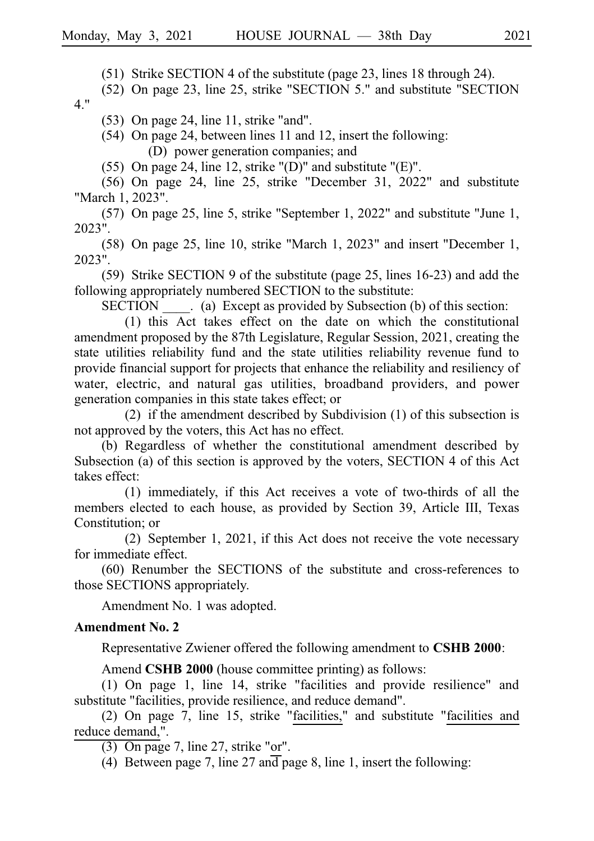$(51)$  Strike SECTION 4 of the substitute (page 23, lines 18 through 24).

(52) On page 23, line 25, strike "SECTION 5." and substitute "SECTION 4."

 $(53)$  On page 24, line 11, strike "and".

 $(54)$  On page 24, between lines 11 and 12, insert the following: (D) power generation companies; and

(55) On page 24, line 12, strike "(D)" and substitute "(E)".

 $(56)$  On page 24, line 25, strike "December 31, 2022" and substitute "March 1, 2023".

 $(57)$  On page 25, line 5, strike "September 1, 2022" and substitute "June 1, 2023".

 $(58)$  On page 25, line 10, strike "March 1, 2023" and insert "December 1, 2023".

(59) Strike SECTION 9 of the substitute (page 25, lines  $16-23$ ) and add the following appropriately numbered SECTION to the substitute:

 $SECTION \t (a) Except as provided by Subsection (b) of this section:$ 

 $(1)$  this Act takes effect on the date on which the constitutional amendment proposed by the 87th Legislature, Regular Session, 2021, creating the state utilities reliability fund and the state utilities reliability revenue fund to provide financial support for projects that enhance the reliability and resiliency of water, electric, and natural gas utilities, broadband providers, and power generation companies in this state takes effect; or

(2) if the amendment described by Subdivision  $(1)$  of this subsection is not approved by the voters, this Act has no effect.

(b) Regardless of whether the constitutional amendment described by Subsection (a) of this section is approved by the voters, SECTION 4 of this Act takes effect:

 $(1)$  immediately, if this Act receives a vote of two-thirds of all the members elected to each house, as provided by Section 39, Article III, Texas Constitution; or

(2) September 1, 2021, if this Act does not receive the vote necessary for immediate effect.

 $(60)$  Renumber the SECTIONS of the substitute and cross-references to those SECTIONS appropriately.

Amendment No. 1 was adopted.

## **Amendment No. 2**

Representative Zwiener offered the following amendment to **CSHB 2000**:

Amend **CSHB 2000** (house committee printing) as follows:

 $(1)$  On page 1, line 14, strike "facilities and provide resilience" and substitute "facilities, provide resilience, and reduce demand".

(2) On page 7, line 15, strike "facilities," and substitute "facilities and reduce demand,".

 $(3)$  On page 7, line 27, strike "or".

(4) Between page 7, line 27 and page 8, line 1, insert the following: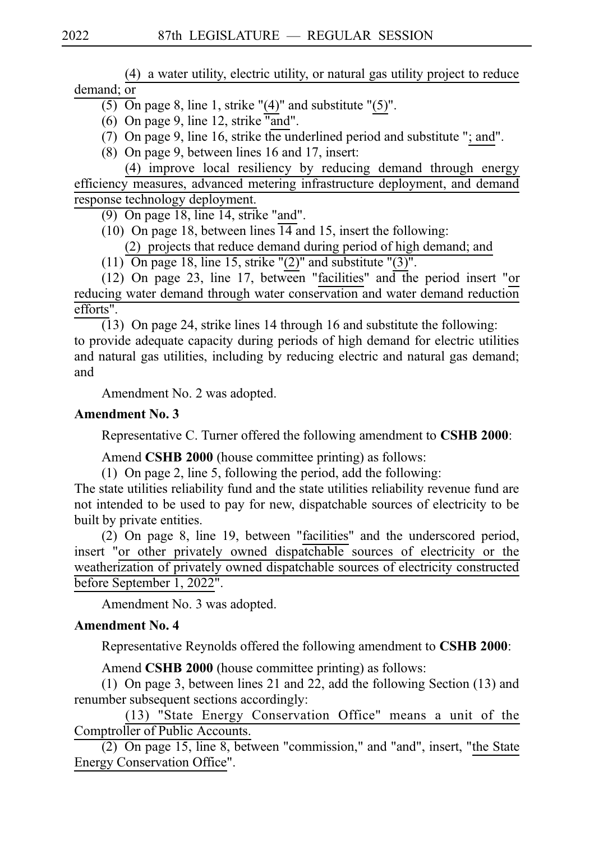(4) a water utility, electric utility, or natural gas utility project to reduce demand; or

 $\overline{(5)}$  On page 8, line 1, strike "(4)" and substitute "(5)".

- (6) On page 9, line 12, strike "and".
- (7) On page 9, line 16, strike the underlined period and substitute "; and".
- $(8)$  On page 9, between lines 16 and 17, insert:

(4) improve local resiliency by reducing demand through energy efficiency measures, advanced metering infrastructure deployment, and demand response technology deployment.

(9) On page  $18$ , line 14, strike "and".

(10) On page 18, between lines  $\overline{14}$  and 15, insert the following:

(2) projects that reduce demand during period of high demand; and

(11) On page 18, line 15, strike " $(2)$ " and substitute " $(3)$ ".

(12) On page 23, line 17, between "facilities" and the period insert "or reducing water demand through water conservation and water demand reduction efforts".

(13) On page 24, strike lines 14 through 16 and substitute the following: to provide adequate capacity during periods of high demand for electric utilities and natural gas utilities, including by reducing electric and natural gas demand; and

Amendment No. 2 was adopted.

# **Amendment No. 3**

Representative C. Turner offered the following amendment to **CSHB 2000**:

Amend **CSHB 2000** (house committee printing) as follows:

(1) On page 2, line 5, following the period, add the following:

The state utilities reliability fund and the state utilities reliability revenue fund are not intended to be used to pay for new, dispatchable sources of electricity to be built by private entities.

(2) On page 8, line 19, between "facilities" and the underscored period, insert "or other privately owned dispatchable sources of electricity or the weatherization of privately owned dispatchable sources of electricity constructed before September 1, 2022".

Amendment No. 3 was adopted.

# **Amendment No. 4**

Representative Reynolds offered the following amendment to **CSHB 2000**:

Amend **CSHB 2000** (house committee printing) as follows:

(1) On page 3, between lines 21 and 22, add the following Section  $(13)$  and renumber subsequent sections accordingly:

 $(13)$  "State Energy Conservation Office" means a unit of the Comptroller of Public Accounts.

(2) On page 15, line 8, between "commission," and "and", insert, "the State Energy Conservation Office".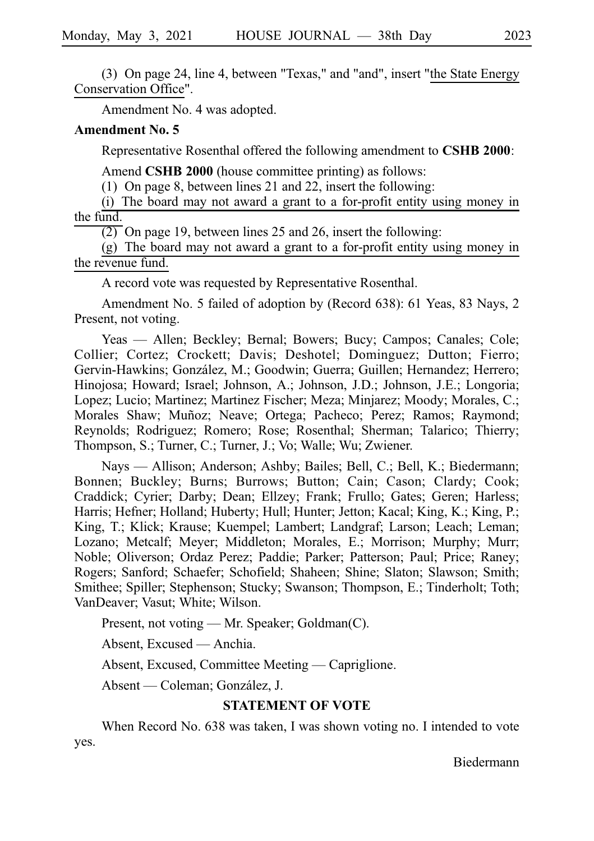(3) On page 24, line 4, between "Texas," and "and", insert "the State Energy Conservation Office".

Amendment No. 4 was adopted.

#### **Amendment No. 5**

Representative Rosenthal offered the following amendment to **CSHB 2000**:

Amend **CSHB 2000** (house committee printing) as follows:

(1) On page 8, between lines 21 and 22, insert the following:

 $(i)$  The board may not award a grant to a for-profit entity using money in the fund.

 $\overline{(2)}$  On page 19, between lines 25 and 26, insert the following:

 $(g)$  The board may not award a grant to a for-profit entity using money in the revenue fund.

A record vote was requested by Representative Rosenthal.

Amendment No. 5 failed of adoption by (Record 638): 61 Yeas, 83 Nays, 2 Present, not voting.

Yeas — Allen; Beckley; Bernal; Bowers; Bucy; Campos; Canales; Cole; Collier; Cortez; Crockett; Davis; Deshotel; Dominguez; Dutton; Fierro; Gervin-Hawkins; González, M.; Goodwin; Guerra; Guillen; Hernandez; Herrero; Hinojosa; Howard; Israel; Johnson, A.; Johnson, J.D.; Johnson, J.E.; Longoria; Lopez; Lucio; Martinez; Martinez Fischer; Meza; Minjarez; Moody; Morales, C.; Morales Shaw; Muñoz; Neave; Ortega; Pacheco; Perez; Ramos; Raymond; Reynolds; Rodriguez; Romero; Rose; Rosenthal; Sherman; Talarico; Thierry; Thompson, S.; Turner, C.; Turner, J.; Vo; Walle; Wu; Zwiener.

Nays — Allison; Anderson; Ashby; Bailes; Bell, C.; Bell, K.; Biedermann; Bonnen; Buckley; Burns; Burrows; Button; Cain; Cason; Clardy; Cook; Craddick; Cyrier; Darby; Dean; Ellzey; Frank; Frullo; Gates; Geren; Harless; Harris; Hefner; Holland; Huberty; Hull; Hunter; Jetton; Kacal; King, K.; King, P.; King, T.; Klick; Krause; Kuempel; Lambert; Landgraf; Larson; Leach; Leman; Lozano; Metcalf; Meyer; Middleton; Morales, E.; Morrison; Murphy; Murr; Noble; Oliverson; Ordaz Perez; Paddie; Parker; Patterson; Paul; Price; Raney; Rogers; Sanford; Schaefer; Schofield; Shaheen; Shine; Slaton; Slawson; Smith; Smithee; Spiller; Stephenson; Stucky; Swanson; Thompson, E.; Tinderholt; Toth; VanDeaver; Vasut; White; Wilson.

Present, not voting — Mr. Speaker; Goldman(C).

Absent, Excused — Anchia.

Absent, Excused, Committee Meeting — Capriglione.

Absent — Coleman; González, J.

## **STATEMENT OF VOTE**

When Record No. 638 was taken, I was shown voting no. I intended to vote yes.

Biedermann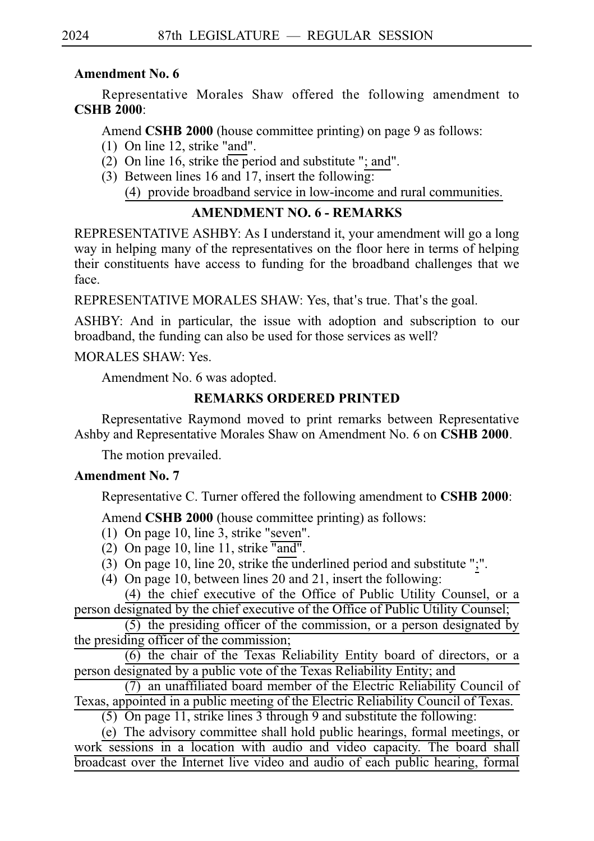## **Amendment No. 6**

Representative Morales Shaw offered the following amendment to **CSHB** 2000:

Amend **CSHB 2000** (house committee printing) on page 9 as follows:

- (1) On line 12, strike "and".
- (2) On line 16, strike the period and substitute "; and".
- (3) Between lines 16 and 17, insert the following: (4) provide broadband service in low-income and rural communities.

# **AMENDMENT NO. 6 - REMARKS**

REPRESENTATIVE ASHBY: As I understand it, your amendment will go a long way in helping many of the representatives on the floor here in terms of helping their constituents have access to funding for the broadband challenges that we face.

REPRESENTATIVE MORALES SHAW: Yes, that's true. That's the goal.

ASHBY: And in particular, the issue with adoption and subscription to our broadband, the funding can also be used for those services as well?

# MORALES SHAW: Yes.

Amendment No. 6 was adopted.

# **REMARKS ORDERED PRINTED**

Representative Raymond moved to print remarks between Representative Ashby and Representative Morales Shaw on Amendment No. 6 on **CSHB 2000**.

The motion prevailed.

# **Amendment No. 7**

Representative C. Turner offered the following amendment to **CSHB 2000**:

Amend **CSHB 2000** (house committee printing) as follows:

- (1) On page 10, line 3, strike "seven".
- (2) On page 10, line 11, strike  $\overline{\phantom{a} \text{and} \phantom{a}}$ .
- (3) On page 10, line 20, strike the underlined period and substitute " $;$ ".
- (4) On page 10, between lines 20 and 21, insert the following:

(4) the chief executive of the Office of Public Utility Counsel, or a person designated by the chief executive of the Office of Public Utility Counsel;

 $(5)$  the presiding officer of the commission, or a person designated by the presiding officer of the commission;

 $\overline{(6)}$  the chair of the Texas Reliability Entity board of directors, or a person designated by a public vote of the Texas Reliability Entity; and

 $(7)$  an unaffiliated board member of the Electric Reliability Council of Texas, appointed in a public meeting of the Electric Reliability Council of Texas.

(5) On page 11, strike lines 3 through 9 and substitute the following:

(e) The advisory committee shall hold public hearings, formal meetings, or work sessions in a location with audio and video capacity. The board shall broadcast over the Internet live video and audio of each public hearing, formal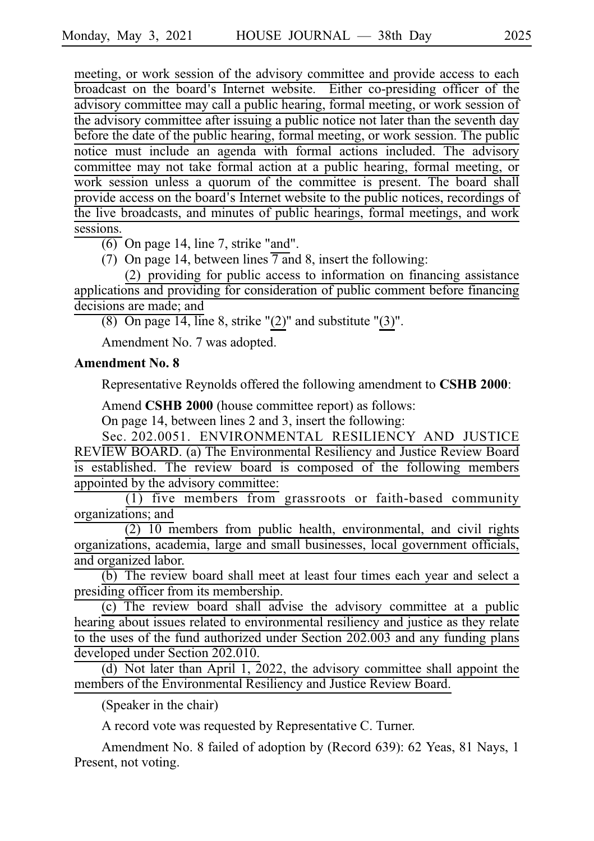meeting, or work session of the advisory committee and provide access to each broadcast on the board's Internet website. Either co-presiding officer of the advisory committee may call a public hearing, formal meeting, or work session of the advisory committee after issuing a public notice not later than the seventh day before the date of the public hearing, formal meeting, or work session. The public notice must include an agenda with formal actions included. The advisory committee may not take formal action at a public hearing, formal meeting, or work session unless a quorum of the committee is present. The board shall provide access on the board's Internet website to the public notices, recordings of the live broadcasts, and minutes of public hearings, formal meetings, and work sessions.

 $\overline{(6)}$  On page 14, line 7, strike "and".

(7) On page 14, between lines  $\overline{7}$  and 8, insert the following:

 $(2)$  providing for public access to information on financing assistance applications and providing for consideration of public comment before financing decisions are made; and

(8) On page 14, line 8, strike " $(2)$ " and substitute " $(3)$ ".

Amendment No. 7 was adopted.

#### **Amendment No. 8**

Representative Reynolds offered the following amendment to **CSHB 2000**:

Amend **CSHB 2000** (house committee report) as follows:

On page 14, between lines 2 and 3, insert the following:

Sec. 202.0051. ENVIRONMENTAL RESILIENCY AND JUSTICE REVIEW BOARD. (a) The Environmental Resiliency and Justice Review Board is established. The review board is composed of the following members appointed by the advisory committee:

 $(1)$  five members from grassroots or faith-based community organizations; and

 $(2)$  10 members from public health, environmental, and civil rights organizations, academia, large and small businesses, local government officials, and organized labor.

(b) The review board shall meet at least four times each year and select a presiding officer from its membership.

(c) The review board shall advise the advisory committee at a public hearing about issues related to environmental resiliency and justice as they relate to the uses of the fund authorized under Section 202.003 and any funding plans developed under Section 202.010.

 $(d)$  Not later than April 1, 2022, the advisory committee shall appoint the members of the Environmental Resiliency and Justice Review Board.

(Speaker in the chair)

A record vote was requested by Representative C. Turner.

Amendment No. 8 failed of adoption by (Record 639): 62 Yeas, 81 Nays, 1 Present, not voting.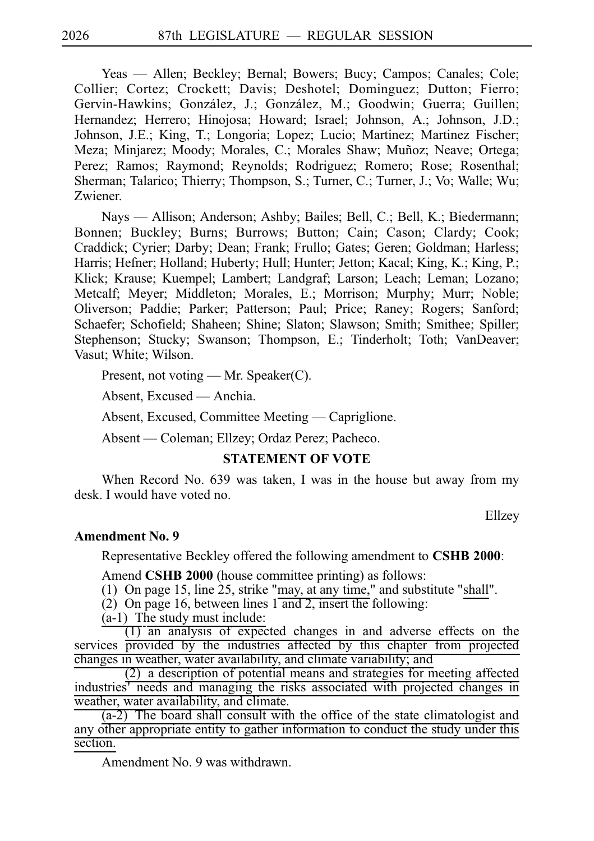Yeas — Allen; Beckley; Bernal; Bowers; Bucy; Campos; Canales; Cole; Collier; Cortez; Crockett; Davis; Deshotel; Dominguez; Dutton; Fierro; Gervin-Hawkins; González, J.; González, M.; Goodwin; Guerra; Guillen; Hernandez; Herrero; Hinojosa; Howard; Israel; Johnson, A.; Johnson, J.D.; Johnson, J.E.; King, T.; Longoria; Lopez; Lucio; Martinez; Martinez Fischer; Meza; Minjarez; Moody; Morales, C.; Morales Shaw; Muñoz; Neave; Ortega; Perez; Ramos; Raymond; Reynolds; Rodriguez; Romero; Rose; Rosenthal; Sherman; Talarico; Thierry; Thompson, S.; Turner, C.; Turner, J.; Vo; Walle; Wu; Zwiener.

Nays — Allison; Anderson; Ashby; Bailes; Bell, C.; Bell, K.; Biedermann; Bonnen; Buckley; Burns; Burrows; Button; Cain; Cason; Clardy; Cook; Craddick; Cyrier; Darby; Dean; Frank; Frullo; Gates; Geren; Goldman; Harless; Harris; Hefner; Holland; Huberty; Hull; Hunter; Jetton; Kacal; King, K.; King, P.; Klick; Krause; Kuempel; Lambert; Landgraf; Larson; Leach; Leman; Lozano; Metcalf; Meyer; Middleton; Morales, E.; Morrison; Murphy; Murr; Noble; Oliverson; Paddie; Parker; Patterson; Paul; Price; Raney; Rogers; Sanford; Schaefer; Schofield; Shaheen; Shine; Slaton; Slawson; Smith; Smithee; Spiller; Stephenson; Stucky; Swanson; Thompson, E.; Tinderholt; Toth; VanDeaver; Vasut; White; Wilson.

Present, not voting — Mr. Speaker(C).

Absent, Excused — Anchia.

Absent, Excused, Committee Meeting — Capriglione.

Absent — Coleman; Ellzey; Ordaz Perez; Pacheco.

#### **STATEMENT OF VOTE**

When Record No. 639 was taken, I was in the house but away from my desk. I would have voted no.

Ellzey

#### **Amendment No. 9**

Representative Beckley offered the following amendment to **CSHB 2000**:

Amend **CSHB 2000** (house committee printing) as follows:

(1) On page 15, line 25, strike "may, at any time," and substitute "shall".

(2) On page 16, between lines  $1 \text{ and } 2$ , insert the following:

 $(a-1)$  The study must include:

 $(1)$  an analysis of expected changes in and adverse effects on the services provided by the industries affected by this chapter from projected changes in weather, water availability, and climate variability; and

 $(2)$  a description of potential means and strategies for meeting affected industries' needs and managing the risks associated with projected changes in weather, water availability, and climate.

 $(a-2)$ . The board shall consult with the office of the state climatologist and any other appropriate entity to gather information to conduct the study under this section.

Amendment No. 9 was withdrawn.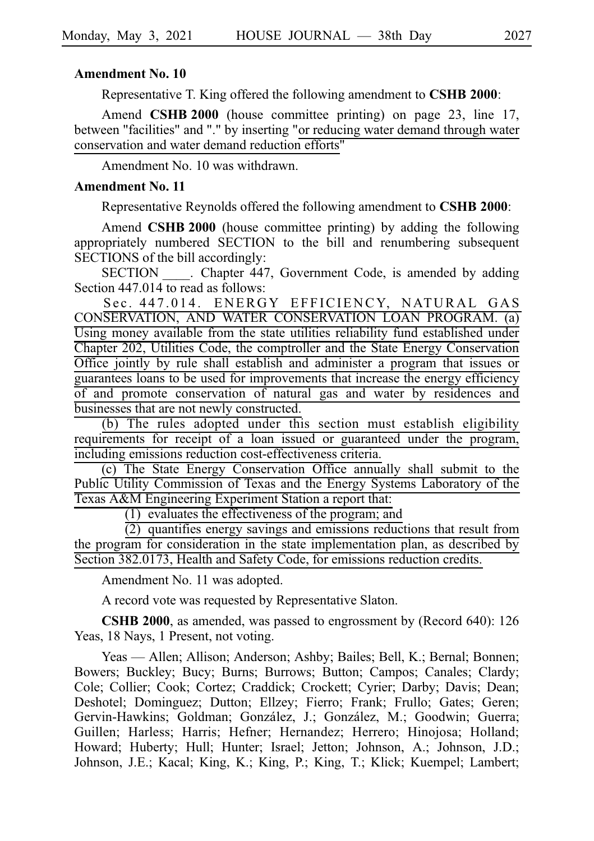#### **Amendment No. 10**

Representative T. King offered the following amendment to **CSHB 2000**:

Amend **CSHB 2000** (house committee printing) on page 23, line 17, between "facilities" and "." by inserting "or reducing water demand through water conservation and water demand reduction efforts"

Amendment No. 10 was withdrawn.

#### **Amendment No. 11**

Representative Reynolds offered the following amendment to **CSHB 2000**:

Amend **CSHB 2000** (house committee printing) by adding the following appropriately numbered SECTION to the bill and renumbering subsequent SECTIONS of the bill accordingly:

SECTION Chapter 447, Government Code, is amended by adding Section 447.014 to read as follows:

Sec. 447.014. ENERGY EFFICIENCY, NATURAL GAS CONSERVATION, AND WATER CONSERVATION LOAN PROGRAM. (a) Using money available from the state utilities reliability fund established under Chapter 202, Utilities Code, the comptroller and the State Energy Conservation Office jointly by rule shall establish and administer a program that issues or guarantees loans to be used for improvements that increase the energy efficiency of and promote conservation of natural gas and water by residences and businesses that are not newly constructed.

(b) The rules adopted under this section must establish eligibility requirements for receipt of a loan issued or guaranteed under the program, including emissions reduction cost-effectiveness criteria.

(c) The State Energy Conservation Office annually shall submit to the Public Utility Commission of Texas and the Energy Systems Laboratory of the Texas A&M Engineering Experiment Station a report that:

 $(1)$  evaluates the effectiveness of the program; and

 $(2)$  quantifies energy savings and emissions reductions that result from the program for consideration in the state implementation plan, as described by Section 382.0173, Health and Safety Code, for emissions reduction credits.

Amendment No. 11 was adopted.

A record vote was requested by Representative Slaton.

**CSHB 2000**, as amended, was passed to engrossment by (Record 640): 126 Yeas, 18 Nays, 1 Present, not voting.

Yeas — Allen; Allison; Anderson; Ashby; Bailes; Bell, K.; Bernal; Bonnen; Bowers; Buckley; Bucy; Burns; Burrows; Button; Campos; Canales; Clardy; Cole; Collier; Cook; Cortez; Craddick; Crockett; Cyrier; Darby; Davis; Dean; Deshotel; Dominguez; Dutton; Ellzey; Fierro; Frank; Frullo; Gates; Geren; Gervin-Hawkins; Goldman; González, J.; González, M.; Goodwin; Guerra; Guillen; Harless; Harris; Hefner; Hernandez; Herrero; Hinojosa; Holland; Howard; Huberty; Hull; Hunter; Israel; Jetton; Johnson, A.; Johnson, J.D.; Johnson, J.E.; Kacal; King, K.; King, P.; King, T.; Klick; Kuempel; Lambert;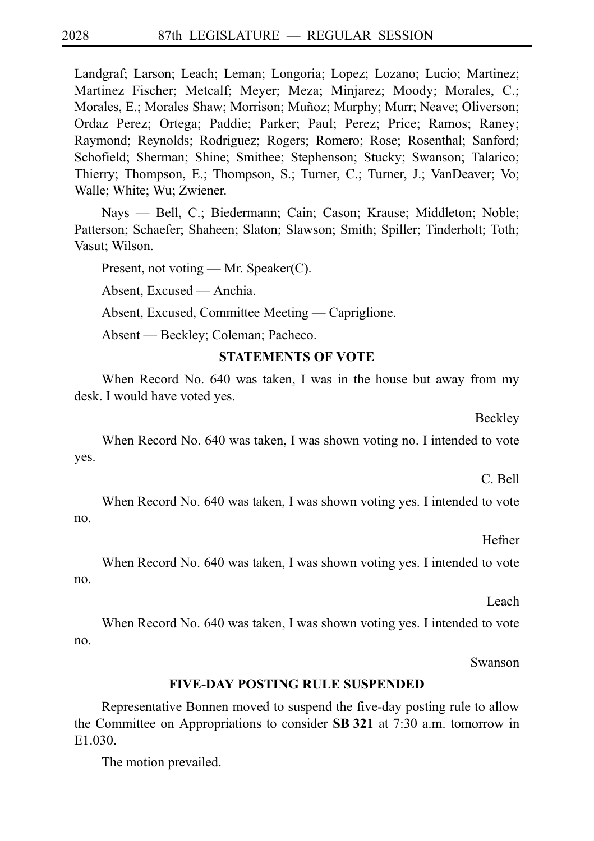Landgraf; Larson; Leach; Leman; Longoria; Lopez; Lozano; Lucio; Martinez; Martinez Fischer; Metcalf; Meyer; Meza; Minjarez; Moody; Morales, C.; Morales, E.; Morales Shaw; Morrison; Muñoz; Murphy; Murr; Neave; Oliverson; Ordaz Perez; Ortega; Paddie; Parker; Paul; Perez; Price; Ramos; Raney; Raymond; Reynolds; Rodriguez; Rogers; Romero; Rose; Rosenthal; Sanford; Schofield; Sherman; Shine; Smithee; Stephenson; Stucky; Swanson; Talarico; Thierry; Thompson, E.; Thompson, S.; Turner, C.; Turner, J.; VanDeaver; Vo; Walle; White; Wu; Zwiener.

Nays — Bell, C.; Biedermann; Cain; Cason; Krause; Middleton; Noble; Patterson; Schaefer; Shaheen; Slaton; Slawson; Smith; Spiller; Tinderholt; Toth; Vasut; Wilson.

Present, not voting — Mr. Speaker(C).

Absent, Excused — Anchia.

Absent, Excused, Committee Meeting — Capriglione.

Absent — Beckley; Coleman; Pacheco.

#### **STATEMENTS OF VOTE**

When Record No. 640 was taken, I was in the house but away from my desk. I would have voted yes.

Beckley

When Record No. 640 was taken, I was shown voting no. I intended to vote yes.

C. Bell

When Record No. 640 was taken, I was shown voting yes. I intended to vote no.

Hefner

When Record No. 640 was taken, I was shown voting yes. I intended to vote no.

Leach

When Record No. 640 was taken, I was shown voting yes. I intended to vote no.

Swanson

#### **FIVE-DAY POSTING RULE SUSPENDED**

Representative Bonnen moved to suspend the five-day posting rule to allow the Committee on Appropriations to consider **SBi321** at 7:30 a.m. tomorrow in E1.030.

The motion prevailed.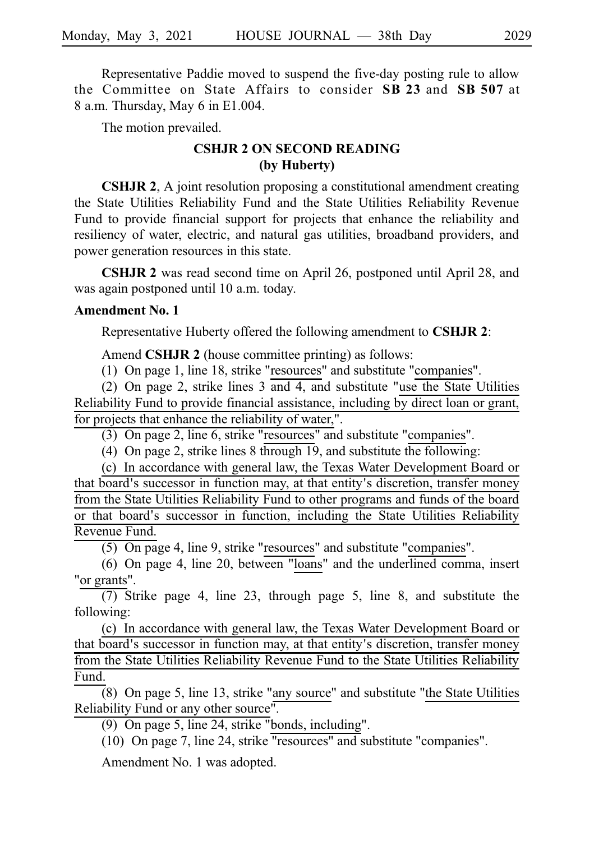Representative Paddie moved to suspend the five-day posting rule to allow the Committee on State Affairs to consider SB 23 and SB 507 at 8 a.m. Thursday, May 6 in E1.004.

The motion prevailed.

# **CSHJR 2 ON SECOND READING (by Huberty)**

**CSHJR 2**, A joint resolution proposing a constitutional amendment creating the State Utilities Reliability Fund and the State Utilities Reliability Revenue Fund to provide financial support for projects that enhance the reliability and resiliency of water, electric, and natural gas utilities, broadband providers, and power generation resources in this state.

**CSHJR 2** was read second time on April 26, postponed until April 28, and was again postponed until 10 a.m. today.

#### **Amendment No. 1**

Representative Huberty offered the following amendment to **CSHJR 2**:

Amend **CSHJR 2** (house committee printing) as follows:

 $(1)$  On page 1, line 18, strike "resources" and substitute "companies".

(2) On page 2, strike lines  $3 \overline{$  and  $4$ , and substitute "use the State Utilities" Reliability Fund to provide financial assistance, including by direct loan or grant, for projects that enhance the reliability of water,".

(3) On page 2, line 6, strike "resources" and substitute "companies".

(4) On page 2, strike lines 8 through 19, and substitute the following:

(c) In accordance with general law, the Texas Water Development Board or that board's successor in function may, at that entity's discretion, transfer money from the State Utilities Reliability Fund to other programs and funds of the board or that board's successor in function, including the State Utilities Reliability Revenue Fund.

(5) On page 4, line 9, strike "resources" and substitute "companies".

(6) On page 4, line 20, between "loans" and the underlined comma, insert "or grants".

(7) Strike page 4, line 23, through page 5, line 8, and substitute the following:

(c) In accordance with general law, the Texas Water Development Board or that board's successor in function may, at that entity's discretion, transfer money from the State Utilities Reliability Revenue Fund to the State Utilities Reliability Fund.

 $\overline{8}$ ) On page 5, line 13, strike "any source" and substitute "the State Utilities" Reliability Fund or any other source".

 $(9)$  On page 5, line 24, strike "bonds, including".

 $(10)$  On page 7, line 24, strike "resources" and substitute "companies".

Amendment No. 1 was adopted.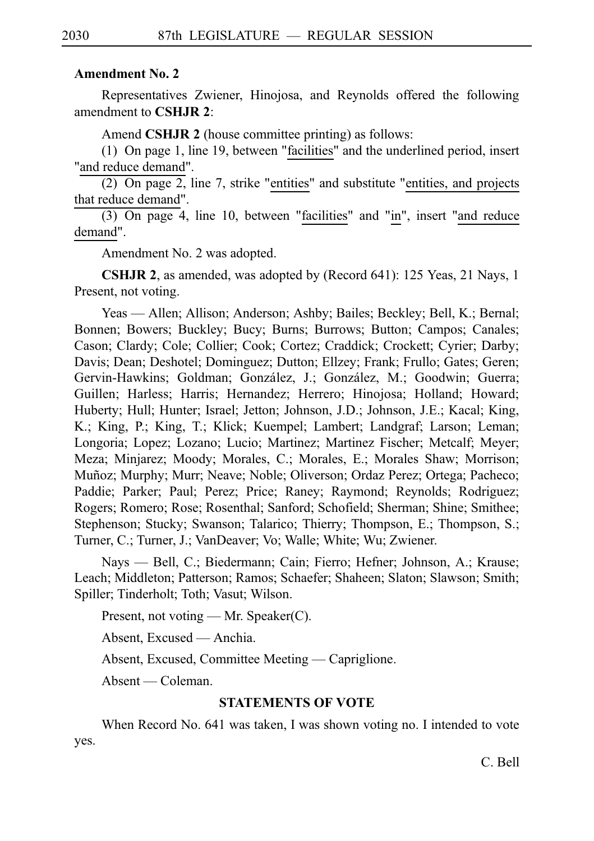#### **Amendment No. 2**

Representatives Zwiener, Hinojosa, and Reynolds offered the following amendment to **CSHJR 2**:

Amend **CSHJR 2** (house committee printing) as follows:

(1) On page 1, line 19, between "facilities" and the underlined period, insert "and reduce demand".

 $(2)$  On page 2, line 7, strike "entities" and substitute "entities, and projects that reduce demand".

 $(3)$  On page 4, line 10, between "facilities" and "in", insert "and reduce demand".

Amendment No. 2 was adopted.

**CSHJR 2**, as amended, was adopted by (Record 641): 125 Yeas, 21 Nays, 1 Present, not voting.

Yeas — Allen; Allison; Anderson; Ashby; Bailes; Beckley; Bell, K.; Bernal; Bonnen; Bowers; Buckley; Bucy; Burns; Burrows; Button; Campos; Canales; Cason; Clardy; Cole; Collier; Cook; Cortez; Craddick; Crockett; Cyrier; Darby; Davis; Dean; Deshotel; Dominguez; Dutton; Ellzey; Frank; Frullo; Gates; Geren; Gervin-Hawkins; Goldman; González, J.; González, M.; Goodwin; Guerra; Guillen; Harless; Harris; Hernandez; Herrero; Hinojosa; Holland; Howard; Huberty; Hull; Hunter; Israel; Jetton; Johnson, J.D.; Johnson, J.E.; Kacal; King, K.; King, P.; King, T.; Klick; Kuempel; Lambert; Landgraf; Larson; Leman; Longoria; Lopez; Lozano; Lucio; Martinez; Martinez Fischer; Metcalf; Meyer; Meza; Minjarez; Moody; Morales, C.; Morales, E.; Morales Shaw; Morrison; Muñoz; Murphy; Murr; Neave; Noble; Oliverson; Ordaz Perez; Ortega; Pacheco; Paddie; Parker; Paul; Perez; Price; Raney; Raymond; Reynolds; Rodriguez; Rogers; Romero; Rose; Rosenthal; Sanford; Schofield; Sherman; Shine; Smithee; Stephenson; Stucky; Swanson; Talarico; Thierry; Thompson, E.; Thompson, S.; Turner, C.; Turner, J.; VanDeaver; Vo; Walle; White; Wu; Zwiener.

Nays — Bell, C.; Biedermann; Cain; Fierro; Hefner; Johnson, A.; Krause; Leach; Middleton; Patterson; Ramos; Schaefer; Shaheen; Slaton; Slawson; Smith; Spiller; Tinderholt; Toth; Vasut; Wilson.

Present, not voting — Mr. Speaker(C).

Absent, Excused — Anchia.

Absent, Excused, Committee Meeting — Capriglione.

Absent — Coleman.

#### **STATEMENTS OF VOTE**

When Record No. 641 was taken, I was shown voting no. I intended to vote yes.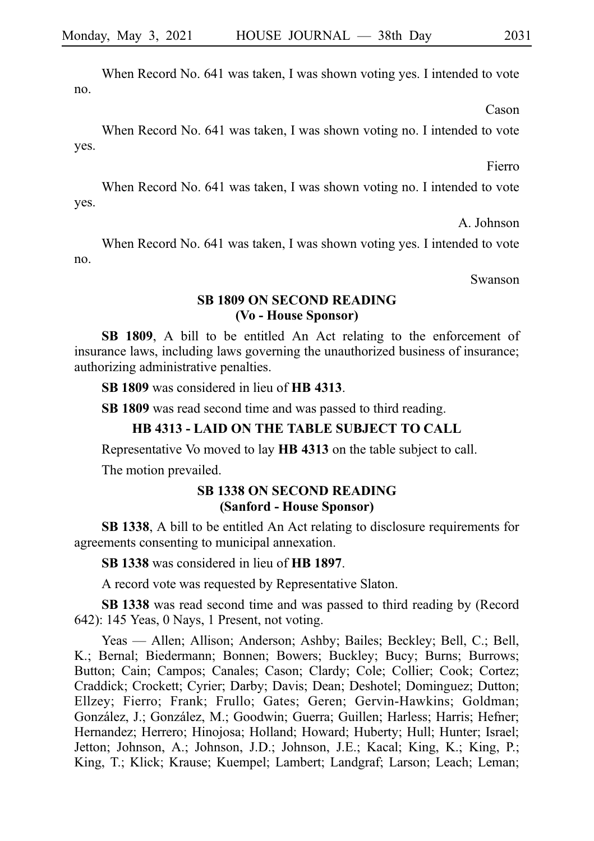When Record No. 641 was taken, I was shown voting yes. I intended to vote no.

Cason

When Record No. 641 was taken, I was shown voting no. I intended to vote yes.

Fierro

When Record No. 641 was taken, I was shown voting no. I intended to vote yes.

A. Johnson

When Record No. 641 was taken, I was shown voting yes. I intended to vote no.

Swanson

#### **SB 1809 ON SECOND READING (Vo - House Sponsor)**

**SB 1809**, A bill to be entitled An Act relating to the enforcement of insurance laws, including laws governing the unauthorized business of insurance; authorizing administrative penalties.

**SB 1809** was considered in lieu of **HB** 4313.

**SB 1809** was read second time and was passed to third reading.

# **HB 4313 - LAID ON THE TABLE SUBJECT TO CALL**

Representative Vo moved to lay **HB 4313** on the table subject to call.

The motion prevailed.

#### **SB 1338 ON SECOND READING (Sanford - House Sponsor)**

**SB 1338**, A bill to be entitled An Act relating to disclosure requirements for agreements consenting to municipal annexation.

**SB 1338** was considered in lieu of **HB 1897**.

A record vote was requested by Representative Slaton.

**SBi1338** was read second time and was passed to third reading by (Record 642): 145 Yeas, 0 Nays, 1 Present, not voting.

Yeas — Allen; Allison; Anderson; Ashby; Bailes; Beckley; Bell, C.; Bell, K.; Bernal; Biedermann; Bonnen; Bowers; Buckley; Bucy; Burns; Burrows; Button; Cain; Campos; Canales; Cason; Clardy; Cole; Collier; Cook; Cortez; Craddick; Crockett; Cyrier; Darby; Davis; Dean; Deshotel; Dominguez; Dutton; Ellzey; Fierro; Frank; Frullo; Gates; Geren; Gervin-Hawkins; Goldman; González, J.; González, M.; Goodwin; Guerra; Guillen; Harless; Harris; Hefner; Hernandez; Herrero; Hinojosa; Holland; Howard; Huberty; Hull; Hunter; Israel; Jetton; Johnson, A.; Johnson, J.D.; Johnson, J.E.; Kacal; King, K.; King, P.; King, T.; Klick; Krause; Kuempel; Lambert; Landgraf; Larson; Leach; Leman;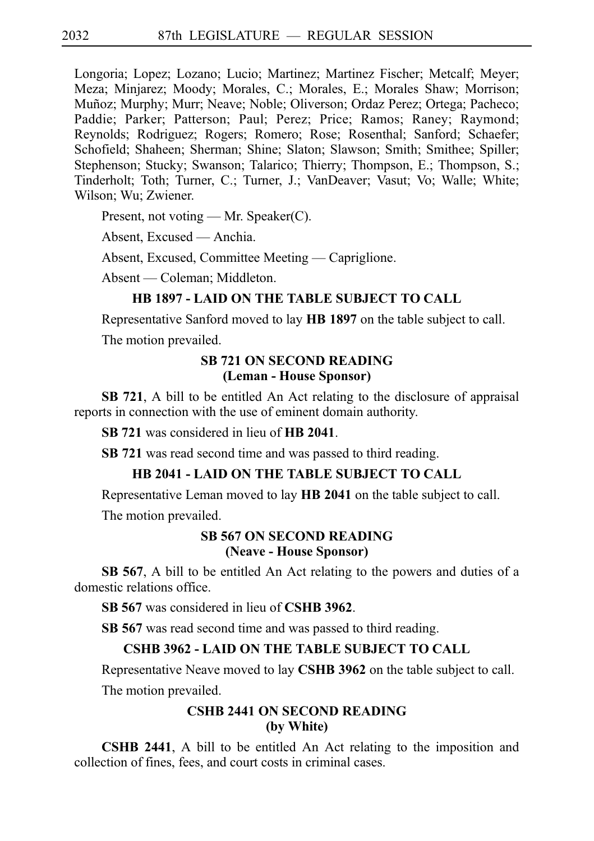Longoria; Lopez; Lozano; Lucio; Martinez; Martinez Fischer; Metcalf; Meyer; Meza; Minjarez; Moody; Morales, C.; Morales, E.; Morales Shaw; Morrison; Muñoz; Murphy; Murr; Neave; Noble; Oliverson; Ordaz Perez; Ortega; Pacheco; Paddie; Parker; Patterson; Paul; Perez; Price; Ramos; Raney; Raymond; Reynolds; Rodriguez; Rogers; Romero; Rose; Rosenthal; Sanford; Schaefer; Schofield; Shaheen; Sherman; Shine; Slaton; Slawson; Smith; Smithee; Spiller; Stephenson; Stucky; Swanson; Talarico; Thierry; Thompson, E.; Thompson, S.; Tinderholt; Toth; Turner, C.; Turner, J.; VanDeaver; Vasut; Vo; Walle; White; Wilson; Wu; Zwiener.

Present, not voting — Mr. Speaker(C).

Absent, Excused — Anchia.

Absent, Excused, Committee Meeting — Capriglione.

Absent — Coleman; Middleton.

### **HB 1897 - LAID ON THE TABLE SUBJECT TO CALL**

Representative Sanford moved to lay **HBi1897** on the table subject to call.

The motion prevailed.

### **SB 721 ON SECOND READING (Leman - House Sponsor)**

**SB 721**, A bill to be entitled An Act relating to the disclosure of appraisal reports in connection with the use of eminent domain authority.

**SB 721** was considered in lieu of **HB 2041**.

**SB** 721 was read second time and was passed to third reading.

### **HB 2041 - LAID ON THE TABLE SUBJECT TO CALL**

Representative Leman moved to lay **HB 2041** on the table subject to call.

The motion prevailed.

### **SB 567 ON SECOND READING (Neave - House Sponsor)**

**SB 567**, A bill to be entitled An Act relating to the powers and duties of a domestic relations office.

**SB 567** was considered in lieu of **CSHB 3962**.

**SB 567** was read second time and was passed to third reading.

#### **CSHB 3962 - LAID ON THE TABLE SUBJECT TO CALL**

Representative Neave moved to lay CSHB 3962 on the table subject to call.

The motion prevailed.

# **CSHB 2441 ON SECOND READING (by White)**

**CSHB 2441**, A bill to be entitled An Act relating to the imposition and collection of fines, fees, and court costs in criminal cases.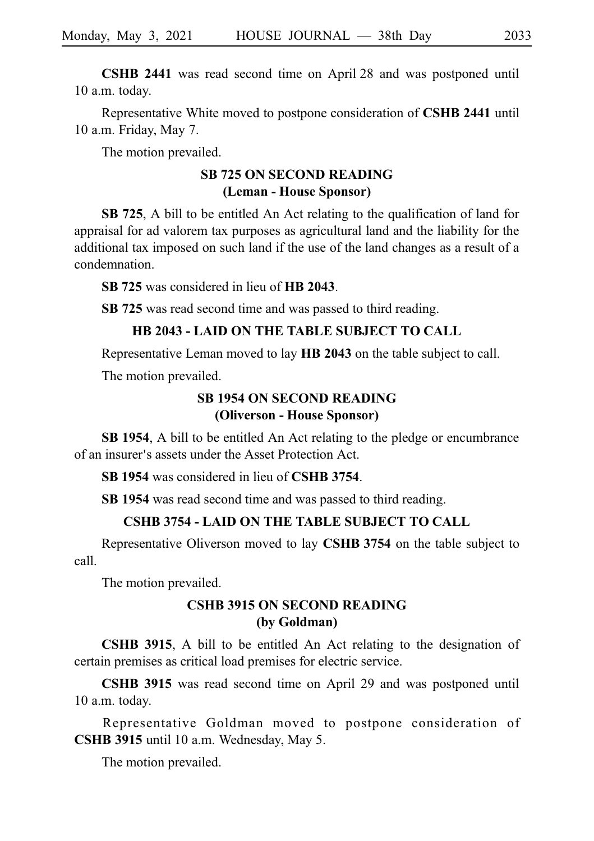**CSHB 2441** was read second time on April 28 and was postponed until 10 a.m. today.

Representative White moved to postpone consideration of **CSHB 2441** until 10 a.m. Friday, May 7.

The motion prevailed.

# **SB 725 ON SECOND READING (Leman - House Sponsor)**

**SB 725**, A bill to be entitled An Act relating to the qualification of land for appraisal for ad valorem tax purposes as agricultural land and the liability for the additional tax imposed on such land if the use of the land changes as a result of a condemnation.

**SB 725** was considered in lieu of **HB 2043**.

**SB** 725 was read second time and was passed to third reading.

## **HB 2043 - LAID ON THE TABLE SUBJECT TO CALL**

Representative Leman moved to lay **HB 2043** on the table subject to call.

The motion prevailed.

# **SB 1954 ON SECOND READING (Oliverson - House Sponsor)**

**SB 1954**, A bill to be entitled An Act relating to the pledge or encumbrance of an insurer's assets under the Asset Protection Act.

**SB 1954** was considered in lieu of **CSHB 3754**.

SB 1954 was read second time and was passed to third reading.

# **CSHB 3754 - LAID ON THE TABLE SUBJECT TO CALL**

Representative Oliverson moved to lay **CSHBi3754** on the table subject to call.

The motion prevailed.

# **CSHB 3915 ON SECOND READING (by Goldman)**

**CSHB 3915**, A bill to be entitled An Act relating to the designation of certain premises as critical load premises for electric service.

**CSHB 3915** was read second time on April 29 and was postponed until 10 a.m. today.

Representative Goldman moved to postpone consideration of **CSHB 3915** until 10 a.m. Wednesday, May 5.

The motion prevailed.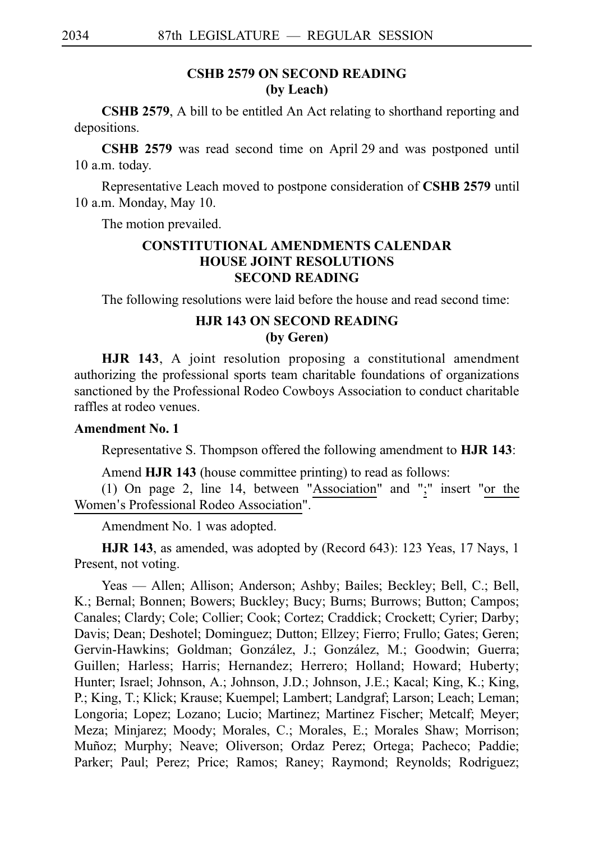# **CSHB 2579 ON SECOND READING (by Leach)**

**CSHB 2579**, A bill to be entitled An Act relating to shorthand reporting and depositions.

**CSHB 2579** was read second time on April 29 and was postponed until 10 a.m. today.

Representative Leach moved to postpone consideration of CSHB 2579 until 10 a.m. Monday, May 10.

The motion prevailed.

# **CONSTITUTIONAL AMENDMENTS CALENDAR HOUSE JOINT RESOLUTIONS SECOND READING**

The following resolutions were laid before the house and read second time:

# **HJR 143 ON SECOND READING (by Geren)**

**HJR 143**, A joint resolution proposing a constitutional amendment authorizing the professional sports team charitable foundations of organizations sanctioned by the Professional Rodeo Cowboys Association to conduct charitable raffles at rodeo venues.

#### **Amendment No. 1**

Representative S. Thompson offered the following amendment to **HJR 143**:

Amend HJR 143 (house committee printing) to read as follows:

(1) On page 2, line 14, between "Association" and ";" insert "or the Women's Professional Rodeo Association".

Amendment No. 1 was adopted.

**HJR 143**, as amended, was adopted by (Record 643): 123 Yeas, 17 Nays, 1 Present, not voting.

Yeas — Allen; Allison; Anderson; Ashby; Bailes; Beckley; Bell, C.; Bell, K.; Bernal; Bonnen; Bowers; Buckley; Bucy; Burns; Burrows; Button; Campos; Canales; Clardy; Cole; Collier; Cook; Cortez; Craddick; Crockett; Cyrier; Darby; Davis; Dean; Deshotel; Dominguez; Dutton; Ellzey; Fierro; Frullo; Gates; Geren; Gervin-Hawkins; Goldman; González, J.; González, M.; Goodwin; Guerra; Guillen; Harless; Harris; Hernandez; Herrero; Holland; Howard; Huberty; Hunter; Israel; Johnson, A.; Johnson, J.D.; Johnson, J.E.; Kacal; King, K.; King, P.; King, T.; Klick; Krause; Kuempel; Lambert; Landgraf; Larson; Leach; Leman; Longoria; Lopez; Lozano; Lucio; Martinez; Martinez Fischer; Metcalf; Meyer; Meza; Minjarez; Moody; Morales, C.; Morales, E.; Morales Shaw; Morrison; Muñoz; Murphy; Neave; Oliverson; Ordaz Perez; Ortega; Pacheco; Paddie; Parker; Paul; Perez; Price; Ramos; Raney; Raymond; Reynolds; Rodriguez;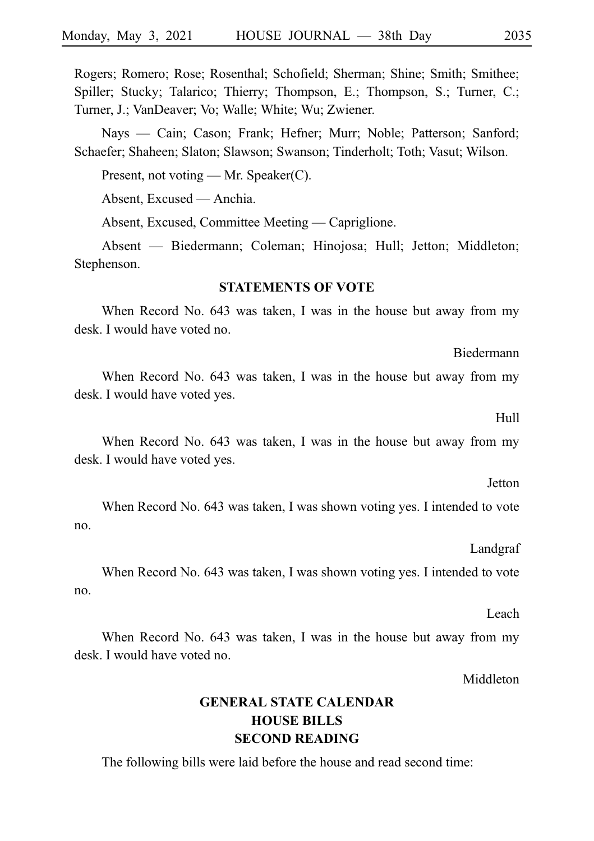Rogers; Romero; Rose; Rosenthal; Schofield; Sherman; Shine; Smith; Smithee; Spiller; Stucky; Talarico; Thierry; Thompson, E.; Thompson, S.; Turner, C.; Turner, J.; VanDeaver; Vo; Walle; White; Wu; Zwiener.

Nays — Cain; Cason; Frank; Hefner; Murr; Noble; Patterson; Sanford; Schaefer; Shaheen; Slaton; Slawson; Swanson; Tinderholt; Toth; Vasut; Wilson.

Present, not voting — Mr. Speaker(C).

Absent, Excused — Anchia.

Absent, Excused, Committee Meeting — Capriglione.

Absent — Biedermann; Coleman; Hinojosa; Hull; Jetton; Middleton; Stephenson.

#### **STATEMENTS OF VOTE**

When Record No. 643 was taken, I was in the house but away from my desk. I would have voted no.

When Record No. 643 was taken, I was in the house but away from my desk. I would have voted yes.

When Record No. 643 was taken, I was in the house but away from my desk. I would have voted yes.

When Record No. 643 was taken, I was shown voting yes. I intended to vote no.

When Record No. 643 was taken, I was shown voting yes. I intended to vote no.

When Record No. 643 was taken, I was in the house but away from my desk. I would have voted no.

Middleton

# **GENERAL STATE CALENDAR HOUSE BILLS SECOND READING**

The following bills were laid before the house and read second time:

Hull

Biedermann

Jetton

#### Landgraf

#### Leach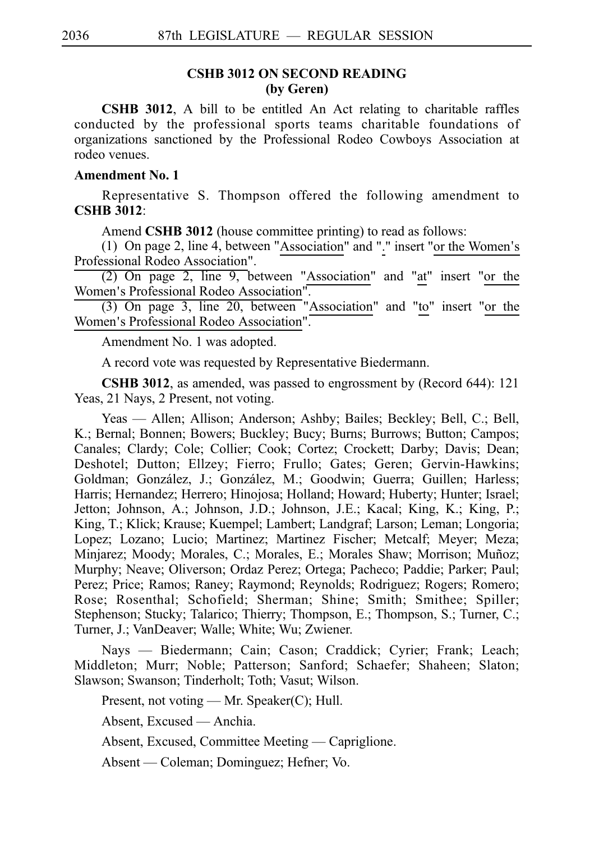# **CSHB 3012 ON SECOND READING (by Geren)**

**CSHB 3012**, A bill to be entitled An Act relating to charitable raffles conducted by the professional sports teams charitable foundations of organizations sanctioned by the Professional Rodeo Cowboys Association at rodeo venues.

#### **Amendment No. 1**

Representative S. Thompson offered the following amendment to **CSHBi3012**:

Amend **CSHB 3012** (house committee printing) to read as follows:

(1) On page 2, line 4, between "Association" and "." insert "or the Women's Professional Rodeo Association".

 $(2)$  On page 2, line 9, between "Association" and "at" insert "or the Women's Professional Rodeo Association".

(3) On page 3, line 20, between "Association" and "to" insert "or the Women's Professional Rodeo Association".

Amendment No. 1 was adopted.

A record vote was requested by Representative Biedermann.

**CSHB 3012**, as amended, was passed to engrossment by (Record 644): 121 Yeas, 21 Nays, 2 Present, not voting.

Yeas — Allen; Allison; Anderson; Ashby; Bailes; Beckley; Bell, C.; Bell, K.; Bernal; Bonnen; Bowers; Buckley; Bucy; Burns; Burrows; Button; Campos; Canales; Clardy; Cole; Collier; Cook; Cortez; Crockett; Darby; Davis; Dean; Deshotel; Dutton; Ellzey; Fierro; Frullo; Gates; Geren; Gervin-Hawkins; Goldman; González, J.; González, M.; Goodwin; Guerra; Guillen; Harless; Harris; Hernandez; Herrero; Hinojosa; Holland; Howard; Huberty; Hunter; Israel; Jetton; Johnson, A.; Johnson, J.D.; Johnson, J.E.; Kacal; King, K.; King, P.; King, T.; Klick; Krause; Kuempel; Lambert; Landgraf; Larson; Leman; Longoria; Lopez; Lozano; Lucio; Martinez; Martinez Fischer; Metcalf; Meyer; Meza; Minjarez; Moody; Morales, C.; Morales, E.; Morales Shaw; Morrison; Muñoz; Murphy; Neave; Oliverson; Ordaz Perez; Ortega; Pacheco; Paddie; Parker; Paul; Perez; Price; Ramos; Raney; Raymond; Reynolds; Rodriguez; Rogers; Romero; Rose; Rosenthal; Schofield; Sherman; Shine; Smith; Smithee; Spiller; Stephenson; Stucky; Talarico; Thierry; Thompson, E.; Thompson, S.; Turner, C.; Turner, J.; VanDeaver; Walle; White; Wu; Zwiener.

Nays — Biedermann; Cain; Cason; Craddick; Cyrier; Frank; Leach; Middleton; Murr; Noble; Patterson; Sanford; Schaefer; Shaheen; Slaton; Slawson; Swanson; Tinderholt; Toth; Vasut; Wilson.

Present, not voting — Mr. Speaker(C); Hull.

Absent, Excused — Anchia.

Absent, Excused, Committee Meeting — Capriglione.

Absent — Coleman; Dominguez; Hefner; Vo.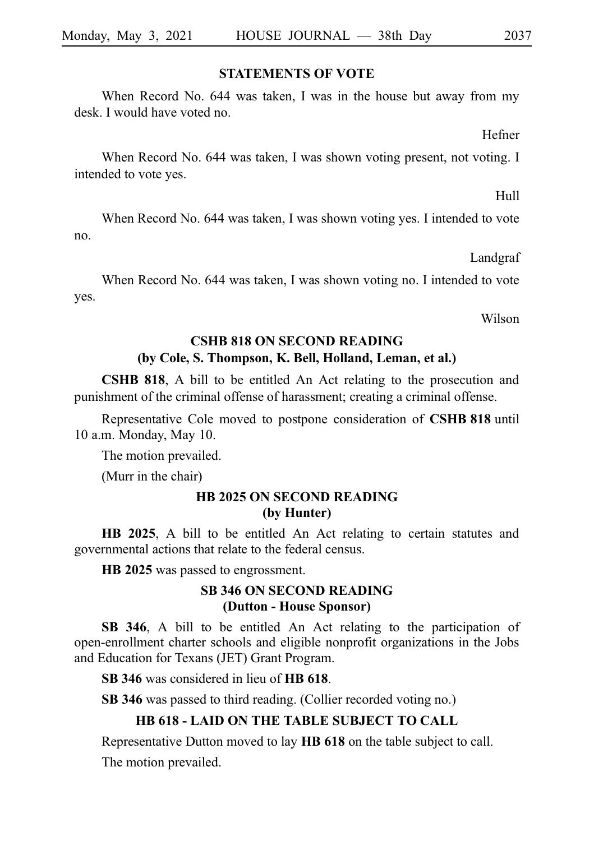#### **STATEMENTS OF VOTE**

When Record No. 644 was taken, I was in the house but away from my desk. I would have voted no.

Hefner

When Record No. 644 was taken, I was shown voting present, not voting. I intended to vote yes.

Hull

When Record No. 644 was taken, I was shown voting yes. I intended to vote no.

Landgraf

When Record No. 644 was taken, I was shown voting no. I intended to vote yes.

Wilson

#### **CSHB 818 ON SECOND READING**

#### **(by Cole, S. Thompson, K. Bell, Holland, Leman, et al.)**

**CSHB 818**, A bill to be entitled An Act relating to the prosecution and punishment of the criminal offense of harassment; creating a criminal offense.

Representative Cole moved to postpone consideration of **CSHB 818** until 10 a.m. Monday, May 10.

The motion prevailed.

(Murr in the chair)

### **HB 2025 ON SECOND READING (by Hunter)**

**HB 2025**, A bill to be entitled An Act relating to certain statutes and governmental actions that relate to the federal census.

**HB** 2025 was passed to engrossment.

# **SB 346 ON SECOND READING (Dutton - House Sponsor)**

**SB 346**, A bill to be entitled An Act relating to the participation of open-enrollment charter schools and eligible nonprofit organizations in the Jobs and Education for Texans (JET) Grant Program.

**SB 346** was considered in lieu of **HB 618**.

**SB 346** was passed to third reading. (Collier recorded voting no.)

#### **HB 618 - LAID ON THE TABLE SUBJECT TO CALL**

Representative Dutton moved to lay **HBi618** on the table subject to call.

The motion prevailed.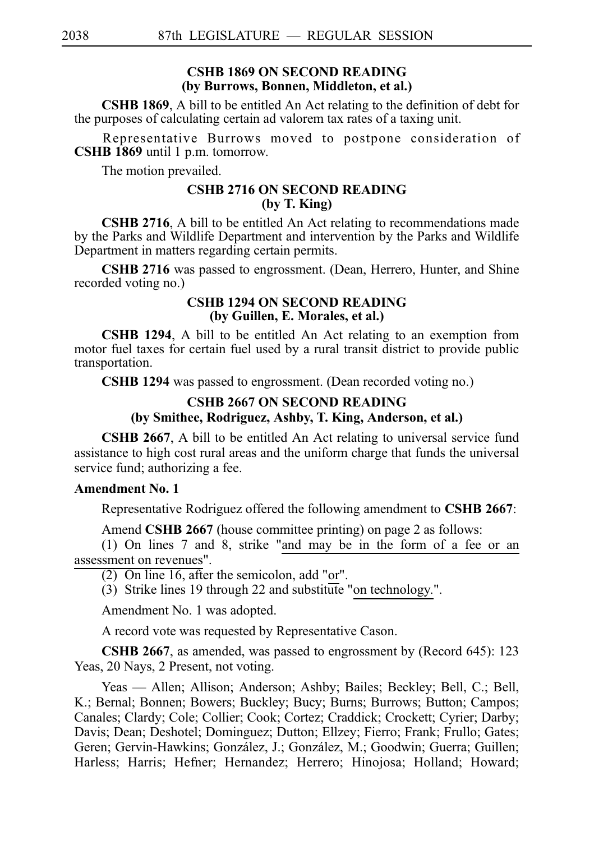#### **CSHB 1869 ON SECOND READING (by Burrows, Bonnen, Middleton, et al.)**

**CSHB 1869**, A bill to be entitled An Act relating to the definition of debt for the purposes of calculating certain ad valorem tax rates of a taxing unit.

Representative Burrows moved to postpone consideration of **CSHB** 1869 until 1 p.m. tomorrow.

The motion prevailed.

### **CSHB 2716 ON SECOND READING (by T. King)**

**CSHB 2716**, A bill to be entitled An Act relating to recommendations made by the Parks and Wildlife Department and intervention by the Parks and Wildlife Department in matters regarding certain permits.

**CSHB 2716** was passed to engrossment. (Dean, Herrero, Hunter, and Shine recorded voting no.)

#### **CSHB 1294 ON SECOND READING (by Guillen, E. Morales, et al.)**

**CSHB 1294**, A bill to be entitled An Act relating to an exemption from motor fuel taxes for certain fuel used by a rural transit district to provide public transportation.

**CSHB 1294** was passed to engrossment. (Dean recorded voting no.)

# **CSHB 2667 ON SECOND READING (by Smithee, Rodriguez, Ashby, T. King, Anderson, et al.)**

**CSHB 2667**, A bill to be entitled An Act relating to universal service fund assistance to high cost rural areas and the uniform charge that funds the universal service fund; authorizing a fee.

# **Amendment No. 1**

Representative Rodriguez offered the following amendment to **CSHB 2667**:

Amend **CSHB 2667** (house committee printing) on page 2 as follows:

(1) On lines  $7$  and  $8$ , strike "and may be in the form of a fee or an assessment on revenues".

 $(2)$  On line 16, after the semicolon, add "or".

(3) Strike lines 19 through 22 and substitute "on technology.".

Amendment No. 1 was adopted.

A record vote was requested by Representative Cason.

**CSHB 2667**, as amended, was passed to engrossment by (Record 645): 123 Yeas, 20 Nays, 2 Present, not voting.

Yeas — Allen; Allison; Anderson; Ashby; Bailes; Beckley; Bell, C.; Bell, K.; Bernal; Bonnen; Bowers; Buckley; Bucy; Burns; Burrows; Button; Campos; Canales; Clardy; Cole; Collier; Cook; Cortez; Craddick; Crockett; Cyrier; Darby; Davis; Dean; Deshotel; Dominguez; Dutton; Ellzey; Fierro; Frank; Frullo; Gates; Geren; Gervin-Hawkins; González, J.; González, M.; Goodwin; Guerra; Guillen; Harless; Harris; Hefner; Hernandez; Herrero; Hinojosa; Holland; Howard;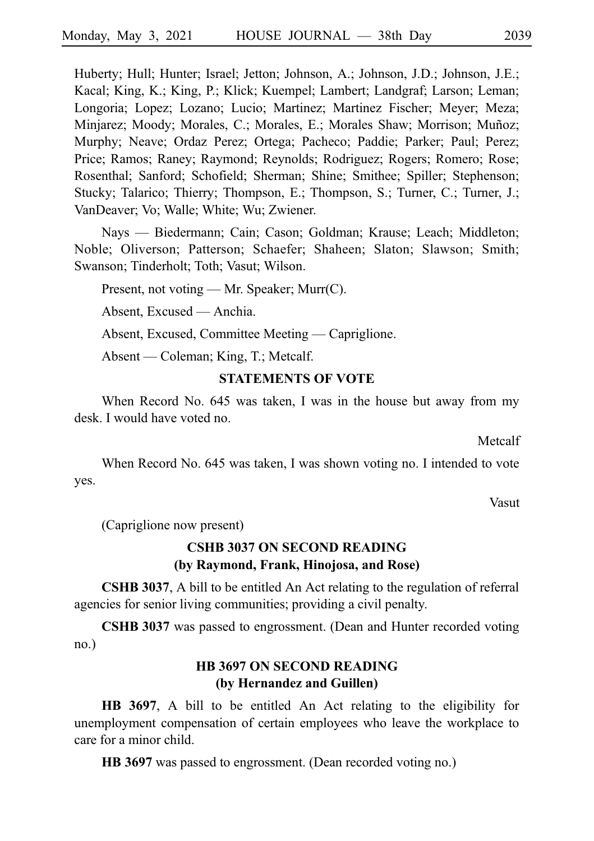Huberty; Hull; Hunter; Israel; Jetton; Johnson, A.; Johnson, J.D.; Johnson, J.E.; Kacal; King, K.; King, P.; Klick; Kuempel; Lambert; Landgraf; Larson; Leman; Longoria; Lopez; Lozano; Lucio; Martinez; Martinez Fischer; Meyer; Meza; Minjarez; Moody; Morales, C.; Morales, E.; Morales Shaw; Morrison; Muñoz; Murphy; Neave; Ordaz Perez; Ortega; Pacheco; Paddie; Parker; Paul; Perez; Price; Ramos; Raney; Raymond; Reynolds; Rodriguez; Rogers; Romero; Rose; Rosenthal; Sanford; Schofield; Sherman; Shine; Smithee; Spiller; Stephenson; Stucky; Talarico; Thierry; Thompson, E.; Thompson, S.; Turner, C.; Turner, J.; VanDeaver; Vo; Walle; White; Wu; Zwiener.

Nays — Biedermann; Cain; Cason; Goldman; Krause; Leach; Middleton; Noble; Oliverson; Patterson; Schaefer; Shaheen; Slaton; Slawson; Smith; Swanson; Tinderholt; Toth; Vasut; Wilson.

Present, not voting — Mr. Speaker; Murr(C).

Absent, Excused — Anchia.

Absent, Excused, Committee Meeting — Capriglione.

Absent — Coleman; King, T.; Metcalf.

#### **STATEMENTS OF VOTE**

When Record No. 645 was taken, I was in the house but away from my desk. I would have voted no.

Metcalf

When Record No. 645 was taken, I was shown voting no. I intended to vote yes.

Vasut

(Capriglione now present)

# **CSHB 3037 ON SECOND READING (by Raymond, Frank, Hinojosa, and Rose)**

**CSHB 3037**, A bill to be entitled An Act relating to the regulation of referral agencies for senior living communities; providing a civil penalty.

CSHB 3037 was passed to engrossment. (Dean and Hunter recorded voting no.)

# **HB 3697 ON SECOND READING (by Hernandez and Guillen)**

**HB 3697**, A bill to be entitled An Act relating to the eligibility for unemployment compensation of certain employees who leave the workplace to care for a minor child.

**HB** 3697 was passed to engrossment. (Dean recorded voting no.)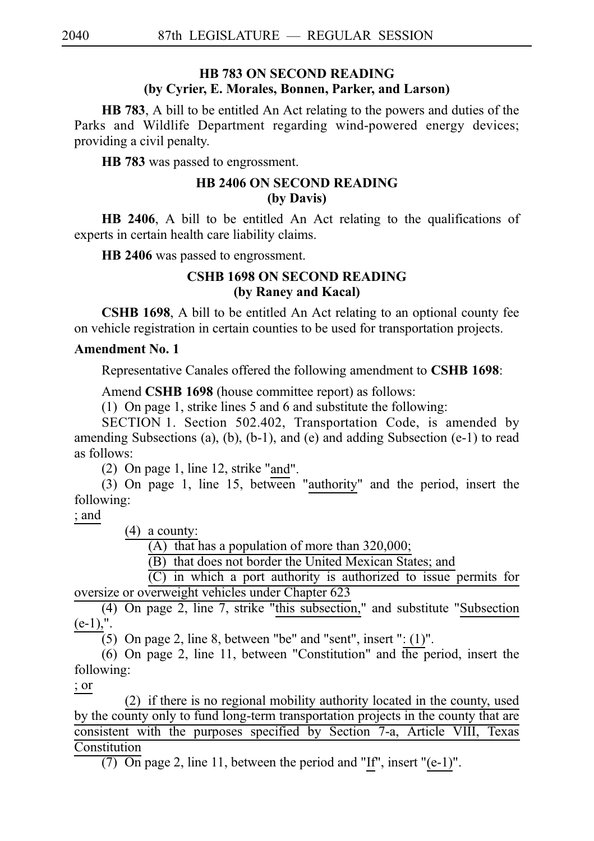# **HB 783 ON SECOND READING (by Cyrier, E. Morales, Bonnen, Parker, and Larson)**

**HB 783**, A bill to be entitled An Act relating to the powers and duties of the Parks and Wildlife Department regarding wind-powered energy devices; providing a civil penalty.

**HB** 783 was passed to engrossment.

# **HB 2406 ON SECOND READING (by Davis)**

**HB 2406**, A bill to be entitled An Act relating to the qualifications of experts in certain health care liability claims.

**HB 2406** was passed to engrossment.

# **CSHB 1698 ON SECOND READING (by Raney and Kacal)**

**CSHB 1698**, A bill to be entitled An Act relating to an optional county fee on vehicle registration in certain counties to be used for transportation projects.

# **Amendment No. 1**

Representative Canales offered the following amendment to **CSHB 1698**:

Amend **CSHB 1698** (house committee report) as follows:

(1) On page 1, strike lines 5 and 6 and substitute the following:

SECTION 1. Section 502.402, Transportation Code, is amended by amending Subsections (a), (b), (b-1), and (e) and adding Subsection (e-1) to read as follows:

(2) On page 1, line 12, strike "and".

(3) On page 1, line 15, between "authority" and the period, insert the following:

; and

 $(4)$  a county:

 $(A)$  that has a population of more than 320,000;

(B) that does not border the United Mexican States; and

 $(C)$  in which a port authority is authorized to issue permits for oversize or overweight vehicles under Chapter 623

 $(4)$  On page 2, line 7, strike "this subsection," and substitute "Subsection  $(e-1)$ ,".

(5) On page 2, line 8, between "be" and "sent", insert ":  $(1)$ ".

(6) On page 2, line 11, between "Constitution" and  $\overline{the}$  period, insert the following:

; or

 $(2)$  if there is no regional mobility authority located in the county, used by the county only to fund long-term transportation projects in the county that are consistent with the purposes specified by Section 7-a, Article VIII, Texas Constitution

(7) On page 2, line 11, between the period and "If", insert "(e-1)".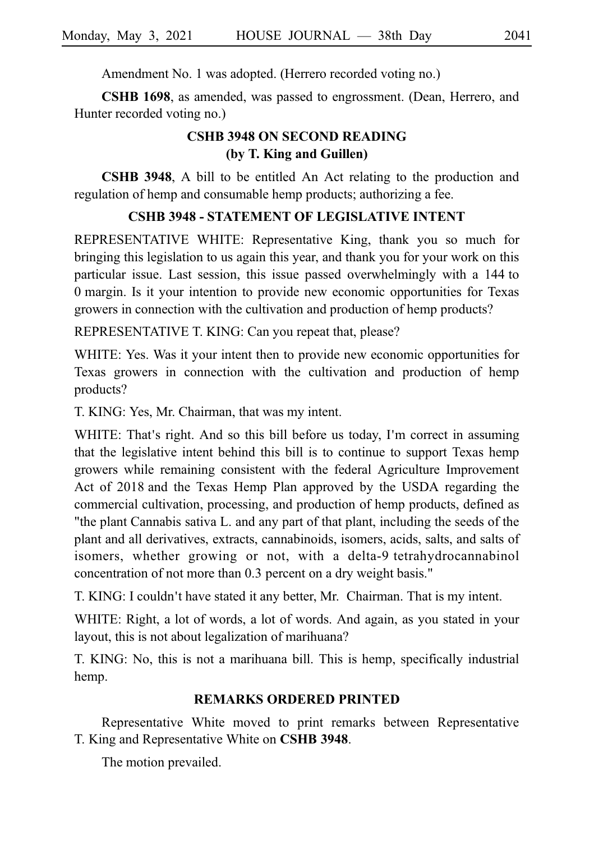Amendment No. 1 was adopted. (Herrero recorded voting no.)

**CSHB 1698**, as amended, was passed to engrossment. (Dean, Herrero, and Hunter recorded voting no.)

# **CSHB 3948 ON SECOND READING (by T. King and Guillen)**

**CSHB 3948**, A bill to be entitled An Act relating to the production and regulation of hemp and consumable hemp products; authorizing a fee.

#### **CSHB 3948 - STATEMENT OF LEGISLATIVE INTENT**

REPRESENTATIVE WHITE: Representative King, thank you so much for bringing this legislation to us again this year, and thank you for your work on this particular issue. Last session, this issue passed overwhelmingly with a 144 to 0 margin. Is it your intention to provide new economic opportunities for Texas growers in connection with the cultivation and production of hemp products?

REPRESENTATIVE T. KING: Can you repeat that, please?

WHITE: Yes. Was it your intent then to provide new economic opportunities for Texas growers in connection with the cultivation and production of hemp products?

T. KING: Yes, Mr. Chairman, that was my intent.

WHITE: That's right. And so this bill before us today, I'm correct in assuming that the legislative intent behind this bill is to continue to support Texas hemp growers while remaining consistent with the federal Agriculture Improvement Act of 2018 and the Texas Hemp Plan approved by the USDA regarding the commercial cultivation, processing, and production of hemp products, defined as "the plant Cannabis sativa L. and any part of that plant, including the seeds of the plant and all derivatives, extracts, cannabinoids, isomers, acids, salts, and salts of isomers, whether growing or not, with a delta-9 tetrahydrocannabinol concentration of not more than 0.3 percent on a dry weight basis."

T. KING: I couldn't have stated it any better, Mr. Chairman. That is my intent.

WHITE: Right, a lot of words, a lot of words. And again, as you stated in your layout, this is not about legalization of marihuana?

T. KING: No, this is not a marihuana bill. This is hemp, specifically industrial hemp.

#### **REMARKS ORDERED PRINTED**

Representative White moved to print remarks between Representative T. King and Representative White on **CSHB 3948**.

The motion prevailed.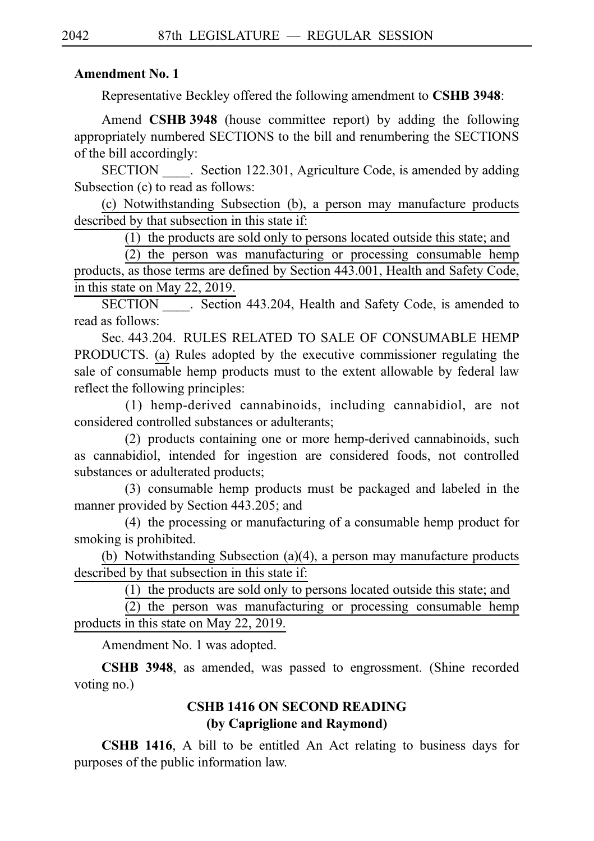#### **Amendment No. 1**

Representative Beckley offered the following amendment to **CSHB 3948**:

Amend **CSHB 3948** (house committee report) by adding the following appropriately numbered SECTIONS to the bill and renumbering the SECTIONS of the bill accordingly:

SECTION Section 122.301, Agriculture Code, is amended by adding Subsection (c) to read as follows:

(c) Notwithstanding Subsection (b), a person may manufacture products described by that subsection in this state if:

(1) the products are sold only to persons located outside this state; and

 $(2)$  the person was manufacturing or processing consumable hemp products, as those terms are defined by Section 443.001, Health and Safety Code, in this state on May 22, 2019.

SECTION . Section 443.204, Health and Safety Code, is amended to read as follows:

Sec. 443.204. RULES RELATED TO SALE OF CONSUMABLE HEMP PRODUCTS. (a) Rules adopted by the executive commissioner regulating the sale of consumable hemp products must to the extent allowable by federal law reflect the following principles:

(1) hemp-derived cannabinoids, including cannabidiol, are not considered controlled substances or adulterants;

(2) products containing one or more hemp-derived cannabinoids, such as cannabidiol, intended for ingestion are considered foods, not controlled substances or adulterated products;

(3) consumable hemp products must be packaged and labeled in the manner provided by Section 443.205; and

 $(4)$  the processing or manufacturing of a consumable hemp product for smoking is prohibited.

(b) Notwithstanding Subsection (a)(4), a person may manufacture products described by that subsection in this state if:

 $(1)$  the products are sold only to persons located outside this state; and

(2) the person was manufacturing or processing consumable hemp products in this state on May 22, 2019.

Amendment No. 1 was adopted.

**CSHB 3948**, as amended, was passed to engrossment. (Shine recorded voting no.)

# **CSHB 1416 ON SECOND READING (by Capriglione and Raymond)**

**CSHB 1416**, A bill to be entitled An Act relating to business days for purposes of the public information law.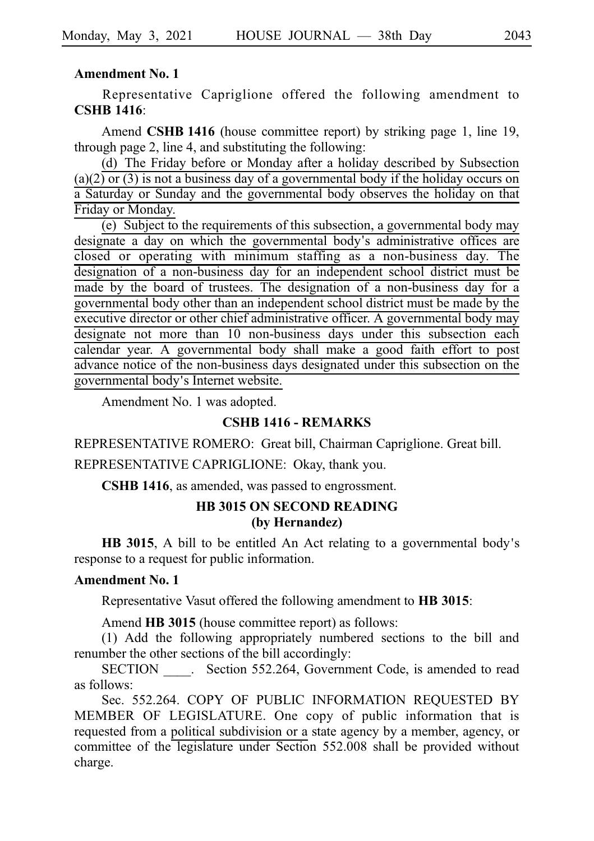#### **Amendment No. 1**

Representative Capriglione offered the following amendment to **CSHBi1416**:

Amend **CSHB 1416** (house committee report) by striking page 1, line 19, through page 2, line 4, and substituting the following:

(d) The Friday before or Monday after a holiday described by Subsection  $(a)(2)$  or  $(3)$  is not a business day of a governmental body if the holiday occurs on a Saturday or Sunday and the governmental body observes the holiday on that Friday or Monday.

(e) Subject to the requirements of this subsection, a governmental body may designate a day on which the governmental body's administrative offices are closed or operating with minimum staffing as a non-business day. The designation of a non-business day for an independent school district must be made by the board of trustees. The designation of a non-business day for a governmental body other than an independent school district must be made by the executive director or other chief administrative officer. A governmental body may designate not more than 10 non-business days under this subsection each calendar year. A governmental body shall make a good faith effort to post advance notice of the non-business days designated under this subsection on the governmental body's Internet website.

Amendment No. 1 was adopted.

#### **CSHB 1416 - REMARKS**

REPRESENTATIVE ROMERO: Great bill, Chairman Capriglione. Great bill.

REPRESENTATIVE CAPRIGLIONE: Okay, thank you.

**CSHB 1416**, as amended, was passed to engrossment.

#### **HB 3015 ON SECOND READING (by Hernandez)**

**HB 3015**, A bill to be entitled An Act relating to a governmental body's response to a request for public information.

#### **Amendment No. 1**

Representative Vasut offered the following amendment to **HB** 3015:

Amend **HB 3015** (house committee report) as follows:

(1) Add the following appropriately numbered sections to the bill and renumber the other sections of the bill accordingly:

SECTION Section 552.264, Government Code, is amended to read as follows:

Sec. 552.264. COPY OF PUBLIC INFORMATION REQUESTED BY MEMBER OF LEGISLATURE. One copy of public information that is requested from a political subdivision or a state agency by a member, agency, or committee of the legislature under Section 552.008 shall be provided without charge.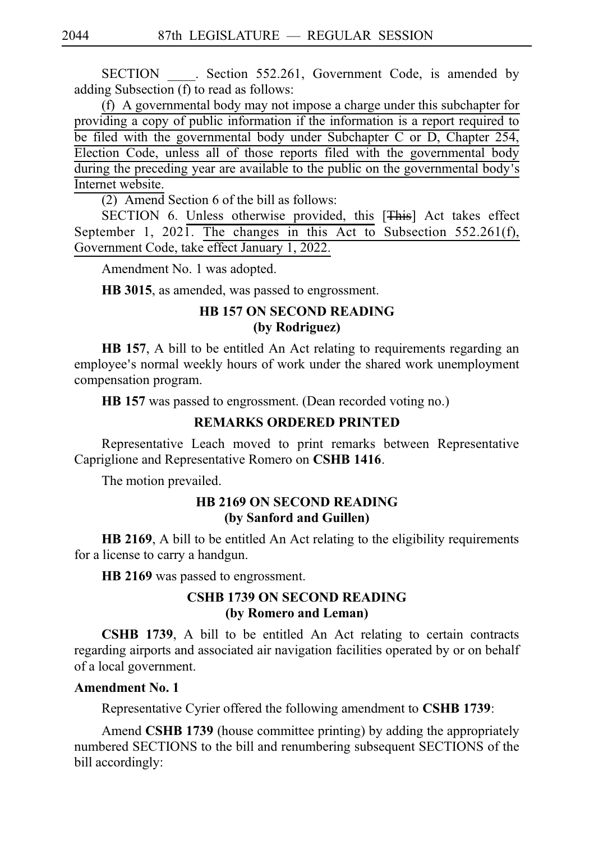SECTION . Section 552.261, Government Code, is amended by adding Subsection (f) to read as follows:

 $(f)$  A governmental body may not impose a charge under this subchapter for providing a copy of public information if the information is a report required to be filed with the governmental body under Subchapter C or D, Chapter 254, Election Code, unless all of those reports filed with the governmental body during the preceding year are available to the public on the governmental body's Internet website.

 $(2)$  Amend Section 6 of the bill as follows:

SECTION 6. Unless otherwise provided, this [This] Act takes effect September 1, 2021. The changes in this Act to Subsection 552.261(f), Government Code, take effect January 1, 2022.

Amendment No. 1 was adopted.

**HB 3015**, as amended, was passed to engrossment.

# **HB 157 ON SECOND READING**

## **(by Rodriguez)**

**HB 157**, A bill to be entitled An Act relating to requirements regarding an employee's normal weekly hours of work under the shared work unemployment compensation program.

**HB** 157 was passed to engrossment. (Dean recorded voting no.)

# **REMARKS ORDERED PRINTED**

Representative Leach moved to print remarks between Representative Capriglione and Representative Romero on **CSHBi1416**.

The motion prevailed.

# **HB 2169 ON SECOND READING (by Sanford and Guillen)**

**HB 2169**, A bill to be entitled An Act relating to the eligibility requirements for a license to carry a handgun.

HB 2169 was passed to engrossment.

# **CSHB 1739 ON SECOND READING (by Romero and Leman)**

**CSHB 1739**, A bill to be entitled An Act relating to certain contracts regarding airports and associated air navigation facilities operated by or on behalf of a local government.

#### **Amendment No. 1**

Representative Cyrier offered the following amendment to **CSHB 1739**:

Amend **CSHB 1739** (house committee printing) by adding the appropriately numbered SECTIONS to the bill and renumbering subsequent SECTIONS of the bill accordingly: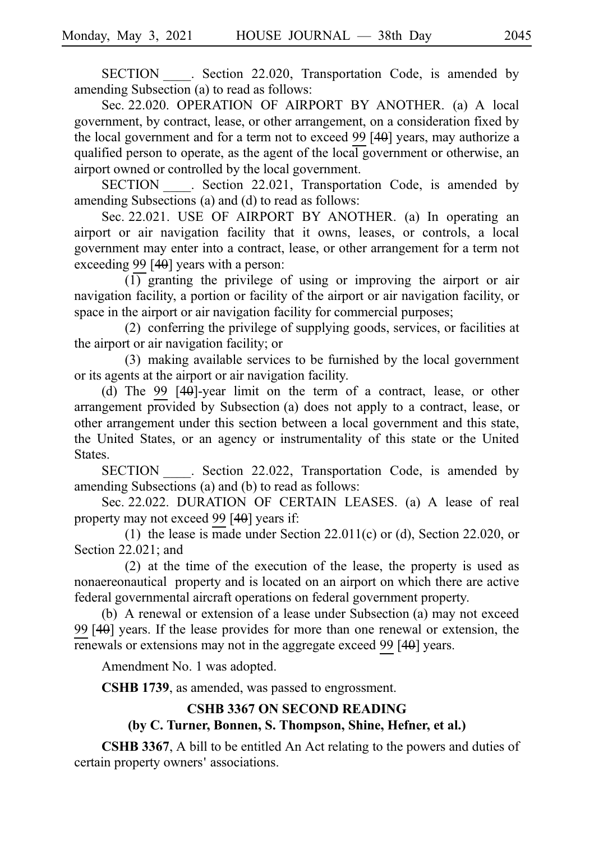SECTION . Section 22.020, Transportation Code, is amended by amending Subsection (a) to read as follows:

Sec. 22.020. OPERATION OF AIRPORT BY ANOTHER. (a) A local government, by contract, lease, or other arrangement, on a consideration fixed by the local government and for a term not to exceed 99 $[40]$  years, may authorize a qualified person to operate, as the agent of the local government or otherwise, an airport owned or controlled by the local government.

SECTION . Section 22.021, Transportation Code, is amended by amending Subsections (a) and (d) to read as follows:

Sec. 22.021. USE OF AIRPORT BY ANOTHER. (a) In operating an airport or air navigation facility that it owns, leases, or controls, a local government may enter into a contract, lease, or other arrangement for a term not exceeding 99 $[40]$  years with a person:

 $\overline{(1)}$  granting the privilege of using or improving the airport or air navigation facility, a portion or facility of the airport or air navigation facility, or space in the airport or air navigation facility for commercial purposes;

 $(2)$  conferring the privilege of supplying goods, services, or facilities at the airport or air navigation facility; or

 $(3)$  making available services to be furnished by the local government or its agents at the airport or air navigation facility.

(d) The 99  $[40]$ -year limit on the term of a contract, lease, or other arrangement provided by Subsection (a) does not apply to a contract, lease, or other arrangement under this section between a local government and this state, the United States, or an agency or instrumentality of this state or the United **States** 

SECTION . Section 22.022, Transportation Code, is amended by amending Subsections (a) and (b) to read as follows:

Sec. 22.022. DURATION OF CERTAIN LEASES. (a) A lease of real property may not exceed 99 $[40]$  years if:

(1) the lease is made under Section 22.011(c) or (d), Section 22.020, or Section 22.021; and

 $(2)$  at the time of the execution of the lease, the property is used as nonaereonautical property and is located on an airport on which there are active federal governmental aircraft operations on federal government property.

(b) A renewal or extension of a lease under Subsection (a) may not exceed 99 $[40]$  years. If the lease provides for more than one renewal or extension, the renewals or extensions may not in the aggregate exceed 99 $[40]$  years.

Amendment No. 1 was adopted.

**CSHB 1739**, as amended, was passed to engrossment.

#### **CSHB 3367 ON SECOND READING**

#### **(by C. Turner, Bonnen, S. Thompson, Shine, Hefner, et al.)**

**CSHB 3367**, A bill to be entitled An Act relating to the powers and duties of certain property owners' associations.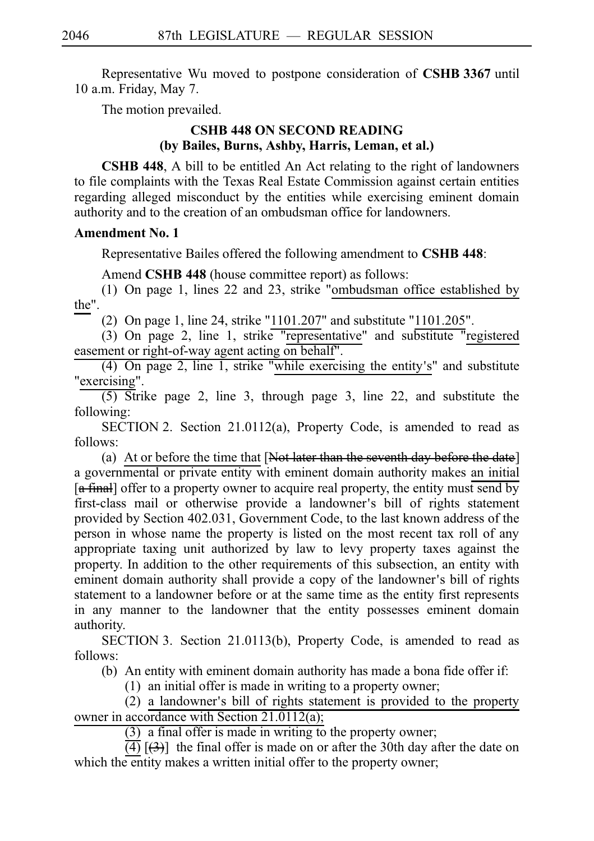Representative Wu moved to postpone consideration of **CSHB 3367** until 10 a.m. Friday, May 7.

The motion prevailed.

# **CSHB 448 ON SECOND READING (by Bailes, Burns, Ashby, Harris, Leman, et al.)**

**CSHB 448**, A bill to be entitled An Act relating to the right of landowners to file complaints with the Texas Real Estate Commission against certain entities regarding alleged misconduct by the entities while exercising eminent domain authority and to the creation of an ombudsman office for landowners.

# **Amendment No. 1**

Representative Bailes offered the following amendment to **CSHB 448**:

Amend **CSHB 448** (house committee report) as follows:

(1) On page 1, lines 22 and 23, strike "ombudsman office established by the".

(2) On page 1, line 24, strike "1101.207" and substitute "1101.205".

 $(3)$  On page 2, line 1, strike "representative" and substitute "registered easement or right-of-way agent acting on behalf".

(4) On page 2, line 1, strike "while exercising the entity's" and substitute "exercising".

 $\overline{(5)}$  Strike page 2, line 3, through page 3, line 22, and substitute the following:

SECTION 2. Section 21.0112(a), Property Code, is amended to read as follows:

(a) At or before the time that  $[**Not later than the seventh day before the date**]$ a governmental or private entity with eminent domain authority makes an initial  $\left[\frac{a \text{ final}}{c}\right]$  offer to a property owner to acquire real property, the entity must send by first-class mail or otherwise provide a landowner s bill of rights statement ' provided by Section 402.031, Government Code, to the last known address of the person in whose name the property is listed on the most recent tax roll of any appropriate taxing unit authorized by law to levy property taxes against the property. In addition to the other requirements of this subsection, an entity with eminent domain authority shall provide a copy of the landowner's bill of rights statement to a landowner before or at the same time as the entity first represents in any manner to the landowner that the entity possesses eminent domain authority.

SECTION 3. Section 21.0113(b), Property Code, is amended to read as follows:

(b) An entity with eminent domain authority has made a bona fide offer if:

 $(1)$  an initial offer is made in writing to a property owner;

 $(2)$  a landowner's bill of rights statement is provided to the property owner in accordance with Section 21.0112(a);

 $(3)$  a final offer is made in writing to the property owner;

 $\overline{(4)}$   $\overline{(3)}$ ] the final offer is made on or after the 30th day after the date on which the entity makes a written initial offer to the property owner;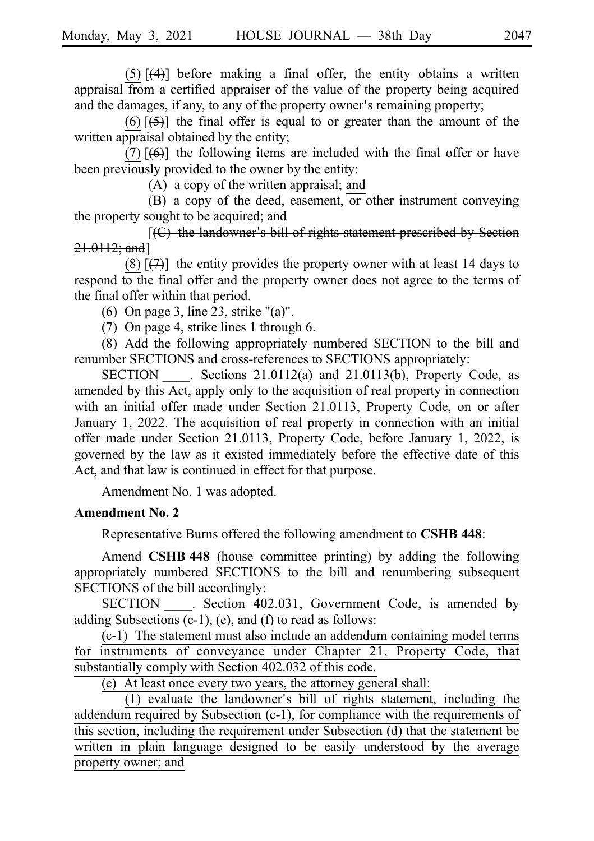$(5)$   $\overline{(4)}$ ] before making a final offer, the entity obtains a written appraisal from a certified appraiser of the value of the property being acquired and the damages, if any, to any of the property owner's remaining property;

 $(6)$   $\overline{(5)}$ ] the final offer is equal to or greater than the amount of the written appraisal obtained by the entity;

(7)  $[\left(6\right)]$  the following items are included with the final offer or have been previously provided to the owner by the entity:

 $(A)$  a copy of the written appraisal; and

 $(B)$  a copy of the deed, easement, or other instrument conveying the property sought to be acquired; and

 $[$ ( $C$ ) the landowner's bill of rights statement prescribed by Section 21.0112; and]

(8)  $\left[\frac{1}{2}\right]$  the entity provides the property owner with at least 14 days to respond to the final offer and the property owner does not agree to the terms of the final offer within that period.

(6) On page 3, line 23, strike " $(a)$ ".

(7) On page 4, strike lines 1 through 6.

(8) Add the following appropriately numbered SECTION to the bill and renumber SECTIONS and cross-references to SECTIONS appropriately:

SECTION Sections 21.0112(a) and 21.0113(b), Property Code, as amended by this Act, apply only to the acquisition of real property in connection with an initial offer made under Section 21.0113, Property Code, on or after January 1, 2022. The acquisition of real property in connection with an initial offer made under Section 21.0113, Property Code, before January 1, 2022, is governed by the law as it existed immediately before the effective date of this Act, and that law is continued in effect for that purpose.

Amendment No. 1 was adopted.

#### **Amendment No. 2**

Representative Burns offered the following amendment to **CSHB 448**:

Amend **CSHB 448** (house committee printing) by adding the following appropriately numbered SECTIONS to the bill and renumbering subsequent SECTIONS of the bill accordingly:

SECTION . Section 402.031, Government Code, is amended by adding Subsections (c-1), (e), and (f) to read as follows:

 $(c-1)$  The statement must also include an addendum containing model terms for instruments of conveyance under Chapter 21, Property Code, that substantially comply with Section 402.032 of this code.

(e) At least once every two years, the attorney general shall:

 $(1)$  evaluate the landowner's bill of rights statement, including the addendum required by Subsection (c-1), for compliance with the requirements of this section, including the requirement under Subsection (d) that the statement be written in plain language designed to be easily understood by the average property owner; and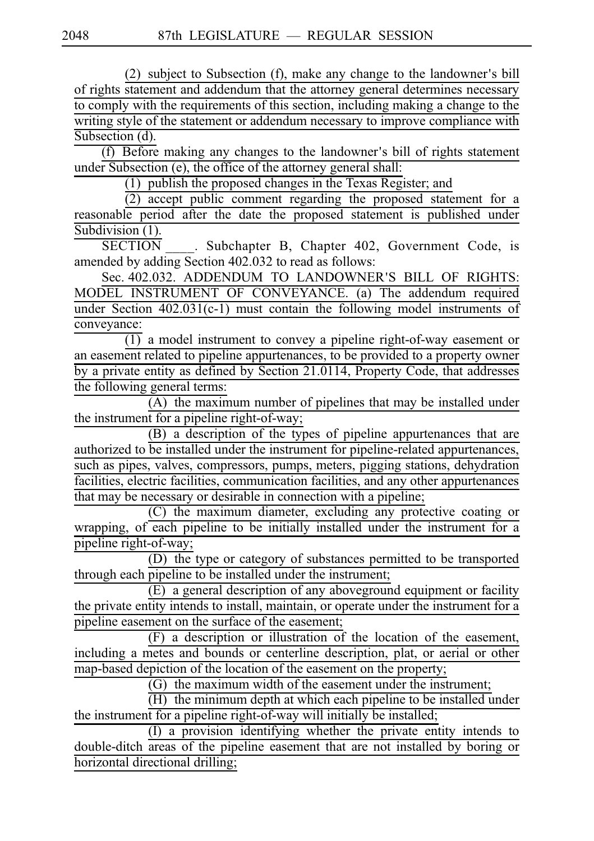(2) subject to Subsection (f), make any change to the landowner's bill of rights statement and addendum that the attorney general determines necessary to comply with the requirements of this section, including making a change to the writing style of the statement or addendum necessary to improve compliance with Subsection (d).

 $(f)$  Before making any changes to the landowner's bill of rights statement under Subsection (e), the office of the attorney general shall:

 $(1)$  publish the proposed changes in the Texas Register; and

 $\frac{1}{2}$  accept public comment regarding the proposed statement for a reasonable period after the date the proposed statement is published under Subdivision (1).

SECTION . Subchapter B, Chapter 402, Government Code, is amended by adding Section 402.032 to read as follows:

Sec. 402.032. ADDENDUM TO LANDOWNER'S BILL OF RIGHTS: MODEL INSTRUMENT OF CONVEYANCE. (a) The addendum required under Section  $402.031(c-1)$  must contain the following model instruments of conveyance:

 $\overline{(1)}$  a model instrument to convey a pipeline right-of-way easement or an easement related to pipeline appurtenances, to be provided to a property owner by a private entity as defined by Section 21.0114, Property Code, that addresses the following general terms:

 $(A)$  the maximum number of pipelines that may be installed under the instrument for a pipeline right-of-way;

(B) a description of the types of pipeline appurtenances that are authorized to be installed under the instrument for pipeline-related appurtenances, such as pipes, valves, compressors, pumps, meters, pigging stations, dehydration facilities, electric facilities, communication facilities, and any other appurtenances that may be necessary or desirable in connection with a pipeline;

 $(C)$  the maximum diameter, excluding any protective coating or wrapping, of each pipeline to be initially installed under the instrument for a pipeline right-of-way;

(D) the type or category of substances permitted to be transported through each pipeline to be installed under the instrument;

 $\overrightarrow{E}$ ) a general description of any aboveground equipment or facility the private entity intends to install, maintain, or operate under the instrument for a pipeline easement on the surface of the easement;

 $(F)$  a description or illustration of the location of the easement, including a metes and bounds or centerline description, plat, or aerial or other map-based depiction of the location of the easement on the property;

 $\overline{(\mathrm{G})}$  the maximum width of the easement under the instrument;

 $\overline{H}$ ) the minimum depth at which each pipeline to be installed under the instrument for a pipeline right-of-way will initially be installed;

 $\overline{I}$  (I) a provision identifying whether the private entity intends to double-ditch areas of the pipeline easement that are not installed by boring or horizontal directional drilling;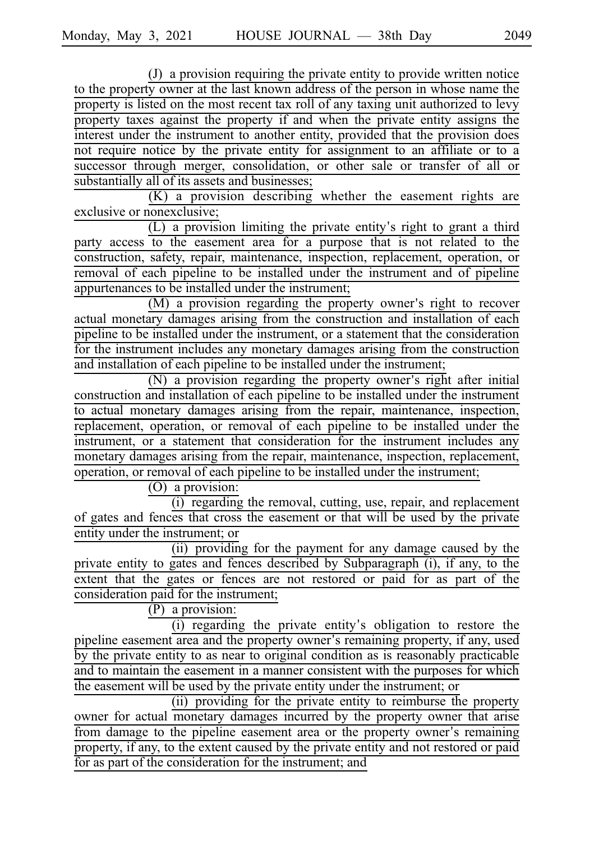$J$ ) a provision requiring the private entity to provide written notice to the property owner at the last known address of the person in whose name the property is listed on the most recent tax roll of any taxing unit authorized to levy property taxes against the property if and when the private entity assigns the interest under the instrument to another entity, provided that the provision does not require notice by the private entity for assignment to an affiliate or to a successor through merger, consolidation, or other sale or transfer of all or substantially all of its assets and businesses;

 $(K)$  a provision describing whether the easement rights are exclusive or nonexclusive;

 $(L)$  a provision limiting the private entity's right to grant a third party access to the easement area for a purpose that is not related to the construction, safety, repair, maintenance, inspection, replacement, operation, or removal of each pipeline to be installed under the instrument and of pipeline appurtenances to be installed under the instrument;

 $(M)$  a provision regarding the property owner's right to recover actual monetary damages arising from the construction and installation of each pipeline to be installed under the instrument, or a statement that the consideration for the instrument includes any monetary damages arising from the construction and installation of each pipeline to be installed under the instrument;

(N) a provision regarding the property owner's right after initial construction and installation of each pipeline to be installed under the instrument to actual monetary damages arising from the repair, maintenance, inspection, replacement, operation, or removal of each pipeline to be installed under the instrument, or a statement that consideration for the instrument includes any monetary damages arising from the repair, maintenance, inspection, replacement, operation, or removal of each pipeline to be installed under the instrument;

 $(0)$  a provision:

(i) regarding the removal, cutting, use, repair, and replacement of gates and fences that cross the easement or that will be used by the private entity under the instrument; or

(ii) providing for the payment for any damage caused by the private entity to gates and fences described by Subparagraph (i), if any, to the extent that the gates or fences are not restored or paid for as part of the consideration paid for the instrument;

 $(P)$  a provision:

 $(i)$  regarding the private entity's obligation to restore the pipeline easement area and the property owner's remaining property, if any, used by the private entity to as near to original condition as is reasonably practicable and to maintain the easement in a manner consistent with the purposes for which the easement will be used by the private entity under the instrument; or

(ii) providing for the private entity to reimburse the property owner for actual monetary damages incurred by the property owner that arise from damage to the pipeline easement area or the property owner's remaining property, if any, to the extent caused by the private entity and not restored or paid for as part of the consideration for the instrument; and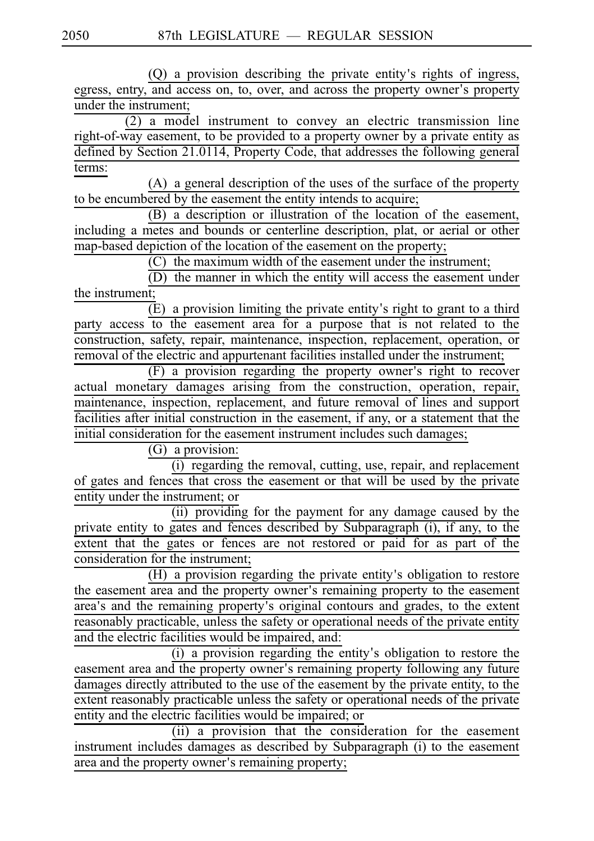$(Q)$  a provision describing the private entity's rights of ingress, egress, entry, and access on, to, over, and across the property owner's property under the instrument;

 $(2)$  a model instrument to convey an electric transmission line right-of-way easement, to be provided to a property owner by a private entity as defined by Section 21.0114, Property Code, that addresses the following general terms:

 $(A)$  a general description of the uses of the surface of the property to be encumbered by the easement the entity intends to acquire;

 $(B)$  a description or illustration of the location of the easement, including a metes and bounds or centerline description, plat, or aerial or other map-based depiction of the location of the easement on the property;

 $(C)$  the maximum width of the easement under the instrument;

 $(D)$  the manner in which the entity will access the easement under the instrument;

 $(E)$  a provision limiting the private entity's right to grant to a third party access to the easement area for a purpose that is not related to the construction, safety, repair, maintenance, inspection, replacement, operation, or removal of the electric and appurtenant facilities installed under the instrument;

 $(F)$  a provision regarding the property owner's right to recover actual monetary damages arising from the construction, operation, repair, maintenance, inspection, replacement, and future removal of lines and support facilities after initial construction in the easement, if any, or a statement that the initial consideration for the easement instrument includes such damages;

 $(G)$  a provision:

 $(i)$  regarding the removal, cutting, use, repair, and replacement of gates and fences that cross the easement or that will be used by the private entity under the instrument; or

(ii) providing for the payment for any damage caused by the private entity to gates and fences described by Subparagraph (i), if any, to the extent that the gates or fences are not restored or paid for as part of the consideration for the instrument;

(H) a provision regarding the private entity's obligation to restore the easement area and the property owner's remaining property to the easement area's and the remaining property's original contours and grades, to the extent reasonably practicable, unless the safety or operational needs of the private entity and the electric facilities would be impaired, and:

(i) a provision regarding the entity's obligation to restore the easement area and the property owner's remaining property following any future damages directly attributed to the use of the easement by the private entity, to the extent reasonably practicable unless the safety or operational needs of the private entity and the electric facilities would be impaired; or

(ii) a provision that the consideration for the easement instrument includes damages as described by Subparagraph (i) to the easement area and the property owner's remaining property;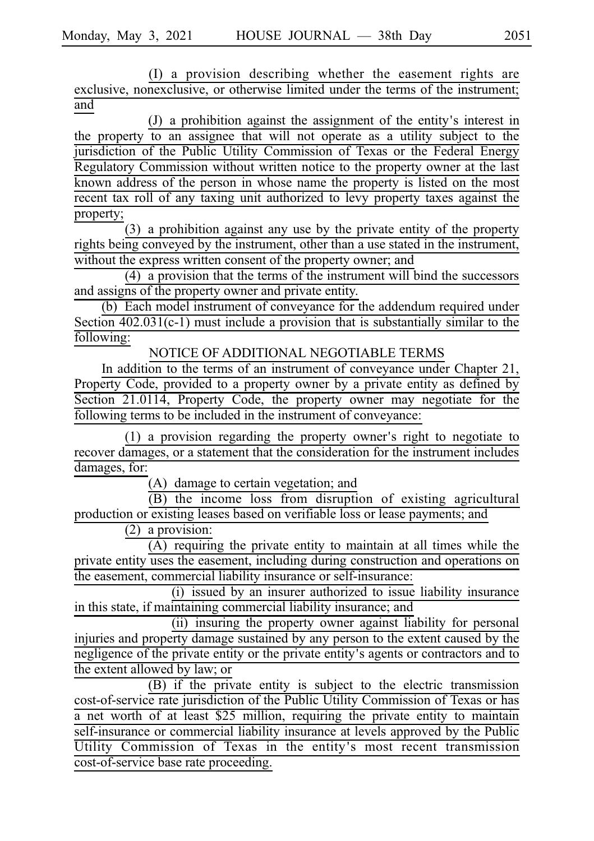(I) a provision describing whether the easement rights are exclusive, nonexclusive, or otherwise limited under the terms of the instrument; and

 $(J)$  a prohibition against the assignment of the entity's interest in the property to an assignee that will not operate as a utility subject to the jurisdiction of the Public Utility Commission of Texas or the Federal Energy Regulatory Commission without written notice to the property owner at the last known address of the person in whose name the property is listed on the most recent tax roll of any taxing unit authorized to levy property taxes against the property;

 $(3)$  a prohibition against any use by the private entity of the property rights being conveyed by the instrument, other than a use stated in the instrument, without the express written consent of the property owner; and

 $(4)$  a provision that the terms of the instrument will bind the successors and assigns of the property owner and private entity.

(b) Each model instrument of conveyance for the addendum required under Section 402.031(c-1) must include a provision that is substantially similar to the following:

NOTICE OF ADDITIONAL NEGOTIABLE TERMS

In addition to the terms of an instrument of conveyance under Chapter 21, Property Code, provided to a property owner by a private entity as defined by Section 21.0114, Property Code, the property owner may negotiate for the following terms to be included in the instrument of conveyance:

 $(1)$  a provision regarding the property owner's right to negotiate to recover damages, or a statement that the consideration for the instrument includes damages, for:

(A) damage to certain vegetation; and

 $(B)$  the income loss from disruption of existing agricultural production or existing leases based on verifiable loss or lease payments; and

 $(2)$  a provision:

 $(A)$  requiring the private entity to maintain at all times while the private entity uses the easement, including during construction and operations on the easement, commercial liability insurance or self-insurance:

 $(i)$  issued by an insurer authorized to issue liability insurance in this state, if maintaining commercial liability insurance; and

(ii) insuring the property owner against liability for personal injuries and property damage sustained by any person to the extent caused by the negligence of the private entity or the private entity's agents or contractors and to the extent allowed by law; or

(B) if the private entity is subject to the electric transmission cost-of-service rate jurisdiction of the Public Utility Commission of Texas or has a net worth of at least \$25 million, requiring the private entity to maintain self-insurance or commercial liability insurance at levels approved by the Public Utility Commission of Texas in the entity's most recent transmission cost-of-service base rate proceeding.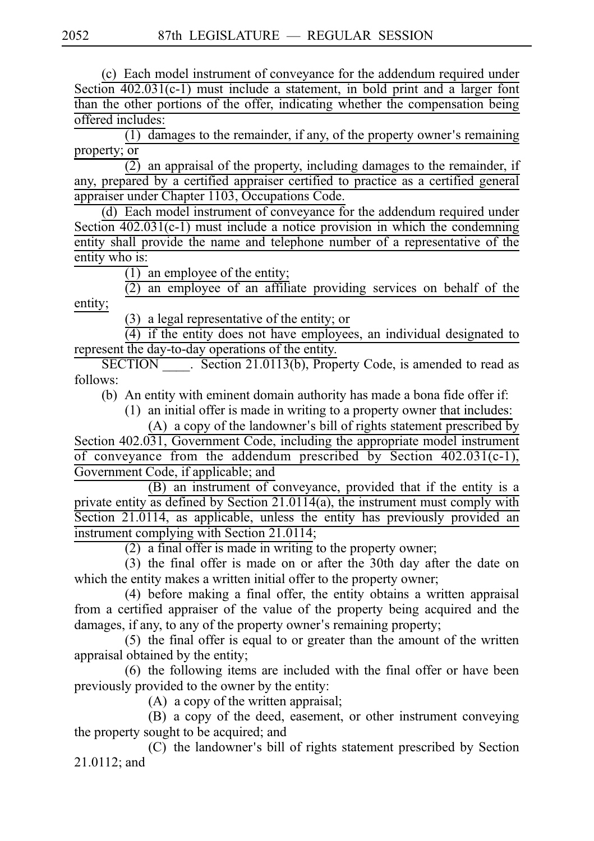(c) Each model instrument of conveyance for the addendum required under Section 402.031(c-1) must include a statement, in bold print and a larger font than the other portions of the offer, indicating whether the compensation being offered includes:

 $(1)$  damages to the remainder, if any, of the property owner's remaining property; or

 $\overline{(2)}$  an appraisal of the property, including damages to the remainder, if any, prepared by a certified appraiser certified to practice as a certified general appraiser under Chapter 1103, Occupations Code.

(d) Each model instrument of conveyance for the addendum required under Section  $402.031(c-1)$  must include a notice provision in which the condemning entity shall provide the name and telephone number of a representative of the entity who is:

 $\overline{(1)}$  an employee of the entity;

 $(2)$  an employee of an affiliate providing services on behalf of the entity;

 $(3)$  a legal representative of the entity; or

 $\overline{(4)}$  if the entity does not have employees, an individual designated to represent the day-to-day operations of the entity.

SECTION Section 21.0113(b), Property Code, is amended to read as follows:

(b) An entity with eminent domain authority has made a bona fide offer if:

 $(1)$  an initial offer is made in writing to a property owner that includes:

(A) a copy of the landowner's bill of rights statement prescribed by Section 402.031, Government Code, including the appropriate model instrument of conveyance from the addendum prescribed by Section  $402.031(c-1)$ , Government Code, if applicable; and

 $\overline{(B)}$  an instrument of conveyance, provided that if the entity is a private entity as defined by Section 21.0114(a), the instrument must comply with Section 21.0114, as applicable, unless the entity has previously provided an instrument complying with Section 21.0114;

 $(2)$  a final offer is made in writing to the property owner;

 $(3)$  the final offer is made on or after the 30th day after the date on which the entity makes a written initial offer to the property owner;

(4) before making a final offer, the entity obtains a written appraisal from a certified appraiser of the value of the property being acquired and the damages, if any, to any of the property owner's remaining property;

 $(5)$  the final offer is equal to or greater than the amount of the written appraisal obtained by the entity;

 $(6)$  the following items are included with the final offer or have been previously provided to the owner by the entity:

 $(A)$  a copy of the written appraisal;

(B) a copy of the deed, easement, or other instrument conveying the property sought to be acquired; and

 $(C)$  the landowner's bill of rights statement prescribed by Section 21.0112; and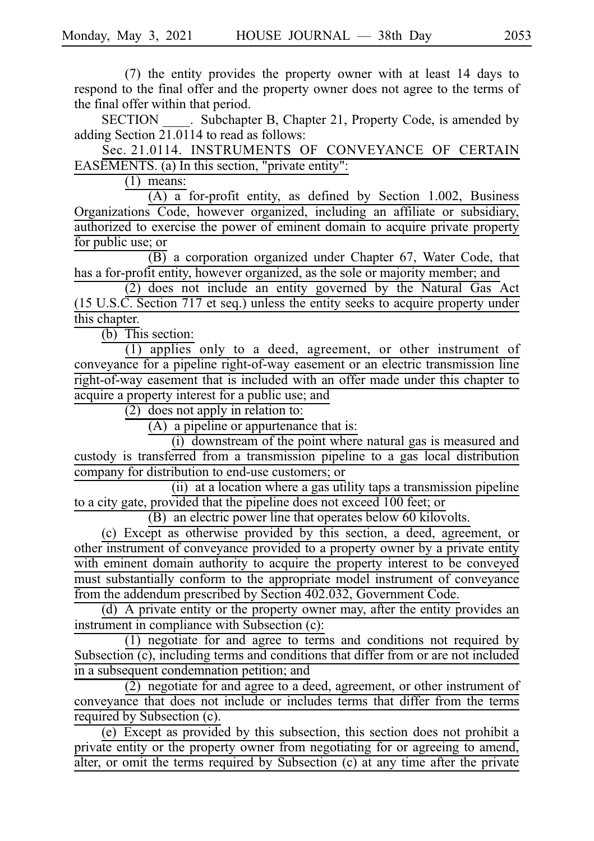$(7)$  the entity provides the property owner with at least 14 days to respond to the final offer and the property owner does not agree to the terms of the final offer within that period.

SECTION Subchapter B, Chapter 21, Property Code, is amended by adding Section  $21.0114$  to read as follows:

Sec. 21.0114. INSTRUMENTS OF CONVEYANCE OF CERTAIN EASEMENTS. (a) In this section, "private entity":

 $(1)$  means:

 $(A)$  a for-profit entity, as defined by Section 1.002, Business Organizations Code, however organized, including an affiliate or subsidiary, authorized to exercise the power of eminent domain to acquire private property for public use; or

 $\overline{(B)}$  a corporation organized under Chapter 67, Water Code, that has a for-profit entity, however organized, as the sole or majority member; and

 $(2)$  does not include an entity governed by the Natural Gas Act (15 U.S.C. Section 717 et seq.) unless the entity seeks to acquire property under this chapter.

 $(b)$  This section:

 $(1)$  applies only to a deed, agreement, or other instrument of conveyance for a pipeline right-of-way easement or an electric transmission line right-of-way easement that is included with an offer made under this chapter to acquire a property interest for a public use; and

 $\frac{1}{2}$  does not apply in relation to:

 $(A)$  a pipeline or appurtenance that is:

 $(i)$  downstream of the point where natural gas is measured and custody is transferred from a transmission pipeline to a gas local distribution company for distribution to end-use customers; or

 $(ii)$  at a location where a gas utility taps a transmission pipeline to a city gate, provided that the pipeline does not exceed 100 feet; or

 $(B)$  an electric power line that operates below 60 kilovolts.

 $(c)$  Except as otherwise provided by this section, a deed, agreement, or other instrument of conveyance provided to a property owner by a private entity with eminent domain authority to acquire the property interest to be conveyed must substantially conform to the appropriate model instrument of conveyance from the addendum prescribed by Section 402.032, Government Code.

(d) A private entity or the property owner may, after the entity provides an instrument in compliance with Subsection (c):

 $(1)$  negotiate for and agree to terms and conditions not required by Subsection (c), including terms and conditions that differ from or are not included in a subsequent condemnation petition; and

 $\overline{2}$ ) negotiate for and agree to a deed, agreement, or other instrument of conveyance that does not include or includes terms that differ from the terms required by Subsection (c).

 $(e)$  Except as provided by this subsection, this section does not prohibit a private entity or the property owner from negotiating for or agreeing to amend, alter, or omit the terms required by Subsection (c) at any time after the private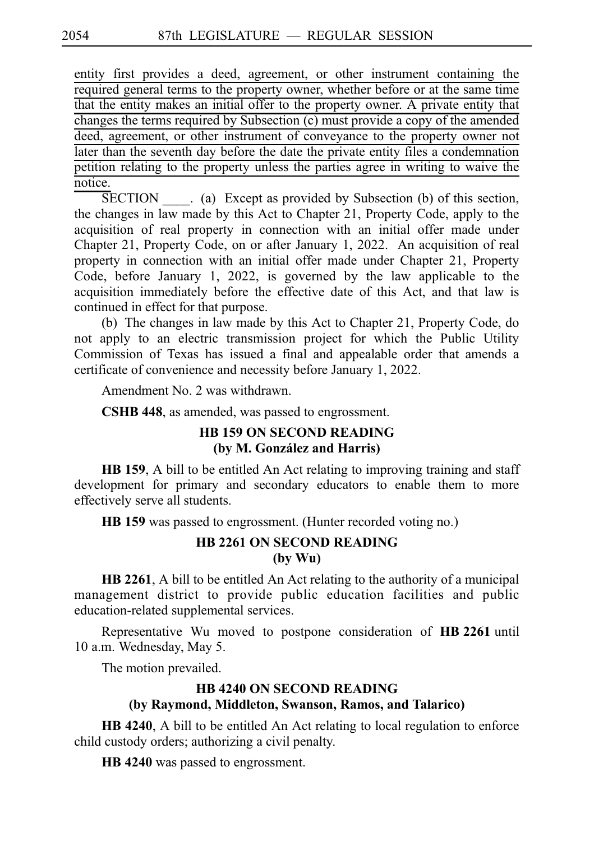entity first provides a deed, agreement, or other instrument containing the required general terms to the property owner, whether before or at the same time that the entity makes an initial offer to the property owner. A private entity that changes the terms required by Subsection (c) must provide a copy of the amended deed, agreement, or other instrument of conveyance to the property owner not later than the seventh day before the date the private entity files a condemnation petition relating to the property unless the parties agree in writing to waive the notice.

SECTION \_\_\_\_. (a) Except as provided by Subsection (b) of this section, the changes in law made by this Act to Chapter 21, Property Code, apply to the acquisition of real property in connection with an initial offer made under Chapter 21, Property Code, on or after January 1, 2022. An acquisition of real property in connection with an initial offer made under Chapter 21, Property Code, before January 1, 2022, is governed by the law applicable to the acquisition immediately before the effective date of this Act, and that law is continued in effect for that purpose.

(b) The changes in law made by this Act to Chapter 21, Property Code, do not apply to an electric transmission project for which the Public Utility Commission of Texas has issued a final and appealable order that amends a certificate of convenience and necessity before January 1, 2022.

Amendment No. 2 was withdrawn.

**CSHB 448**, as amended, was passed to engrossment.

# **HB 159 ON SECOND READING (by M. Gonza´lez and Harris)**

**HB 159**, A bill to be entitled An Act relating to improving training and staff development for primary and secondary educators to enable them to more effectively serve all students.

**HB** 159 was passed to engrossment. (Hunter recorded voting no.)

# **HB 2261 ON SECOND READING (by Wu)**

**HB 2261**, A bill to be entitled An Act relating to the authority of a municipal management district to provide public education facilities and public education-related supplemental services.

Representative Wu moved to postpone consideration of **HB 2261** until 10 a.m. Wednesday, May 5.

The motion prevailed.

# **HB 4240 ON SECOND READING (by Raymond, Middleton, Swanson, Ramos, and Talarico)**

**HB 4240**, A bill to be entitled An Act relating to local regulation to enforce child custody orders; authorizing a civil penalty.

**HB** 4240 was passed to engrossment.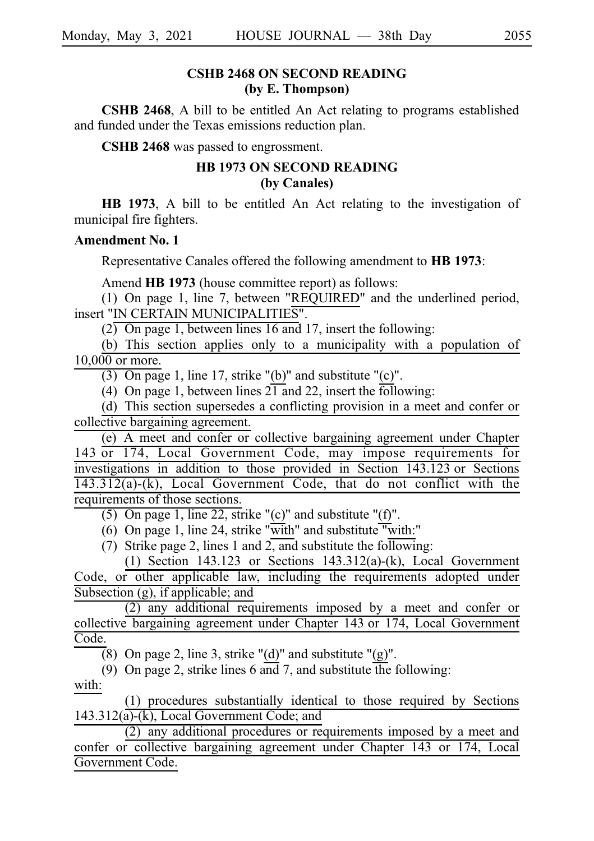## **CSHB 2468 ON SECOND READING (by E. Thompson)**

**CSHB 2468**, A bill to be entitled An Act relating to programs established and funded under the Texas emissions reduction plan.

**CSHB 2468** was passed to engrossment.

# **HB 1973 ON SECOND READING (by Canales)**

**HB 1973**, A bill to be entitled An Act relating to the investigation of municipal fire fighters.

#### **Amendment No. 1**

Representative Canales offered the following amendment to **HB 1973**:

Amend **HB 1973** (house committee report) as follows:

(1) On page 1, line 7, between "REQUIRED" and the underlined period, insert "IN CERTAIN MUNICIPALITIES".

 $\overline{(2)}$  On page 1, between lines 16 and 17, insert the following:

(b) This section applies only to a municipality with a population of  $10,000$  or more.

(3) On page 1, line 17, strike "(b)" and substitute "(c)".

(4) On page 1, between lines  $21$  and 22, insert the following:

 $(d)$  This section supersedes a conflicting provision in a meet and confer or collective bargaining agreement.

(e) A meet and confer or collective bargaining agreement under Chapter 143 or 174, Local Government Code, may impose requirements for investigations in addition to those provided in Section 143.123 or Sections 143.312(a)-(k), Local Government Code, that do not conflict with the requirements of those sections.

(5) On page 1, line 22, strike "(c)" and substitute "(f)".

(6) On page 1, line 24, strike "with" and substitute "with:"

(7) Strike page 2, lines 1 and 2, and substitute the following:

(1) Section 143.123 or Sections  $143.312(a)$ -(k), Local Government Code, or other applicable law, including the requirements adopted under Subsection (g), if applicable; and

 $(2)$  any additional requirements imposed by a meet and confer or collective bargaining agreement under Chapter 143 or 174, Local Government Code.

(8) On page 2, line 3, strike "(d)" and substitute "(g)".

(9) On page 2, strike lines 6 and 7, and substitute the following: with:

(1) procedures substantially identical to those required by Sections  $143.312(a)-(k)$ , Local Government Code; and

 $(2)$  any additional procedures or requirements imposed by a meet and confer or collective bargaining agreement under Chapter 143 or 174, Local Government Code.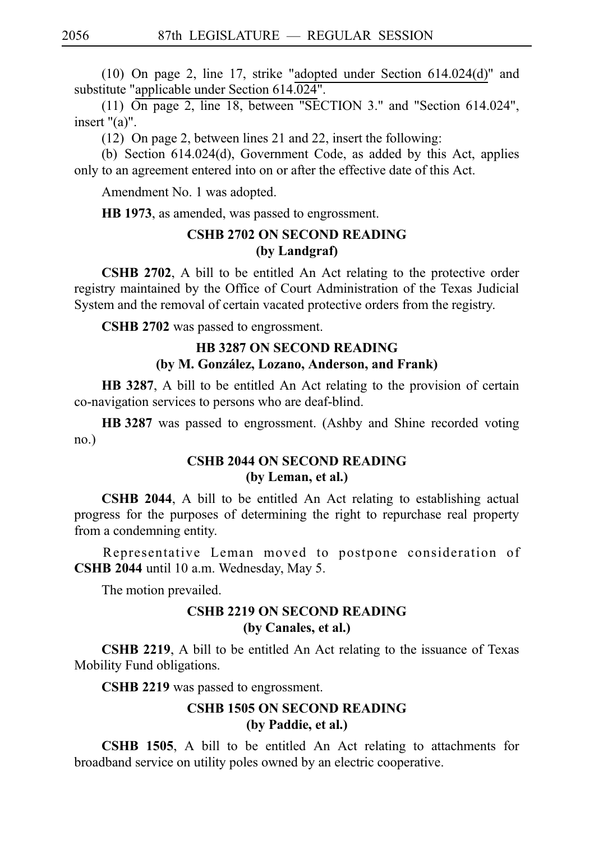(10) On page 2, line 17, strike "adopted under Section  $614.024(d)$ " and substitute "applicable under Section 614.024".

(11)  $\overline{On}$  page 2, line 18, between "SECTION 3." and "Section 614.024", insert "(a)".

(12) On page 2, between lines 21 and 22, insert the following:

(b) Section  $614.024(d)$ , Government Code, as added by this Act, applies only to an agreement entered into on or after the effective date of this Act.

Amendment No. 1 was adopted.

**HB 1973**, as amended, was passed to engrossment.

# **CSHB 2702 ON SECOND READING (by Landgraf)**

**CSHB 2702**, A bill to be entitled An Act relating to the protective order registry maintained by the Office of Court Administration of the Texas Judicial System and the removal of certain vacated protective orders from the registry.

CSHB 2702 was passed to engrossment.

# **HB 3287 ON SECOND READING (by M. Gonza´lez, Lozano, Anderson, and Frank)**

**HB 3287**, A bill to be entitled An Act relating to the provision of certain co-navigation services to persons who are deaf-blind.

**HB** 3287 was passed to engrossment. (Ashby and Shine recorded voting no.)

# **CSHB 2044 ON SECOND READING (by Leman, et al.)**

**CSHB 2044**, A bill to be entitled An Act relating to establishing actual progress for the purposes of determining the right to repurchase real property from a condemning entity.

Representative Leman moved to postpone consideration of **CSHB 2044** until 10 a.m. Wednesday, May 5.

The motion prevailed.

# **CSHB 2219 ON SECOND READING (by Canales, et al.)**

**CSHB 2219**, A bill to be entitled An Act relating to the issuance of Texas Mobility Fund obligations.

CSHB 2219 was passed to engrossment.

# **CSHB 1505 ON SECOND READING (by Paddie, et al.)**

**CSHB 1505**, A bill to be entitled An Act relating to attachments for broadband service on utility poles owned by an electric cooperative.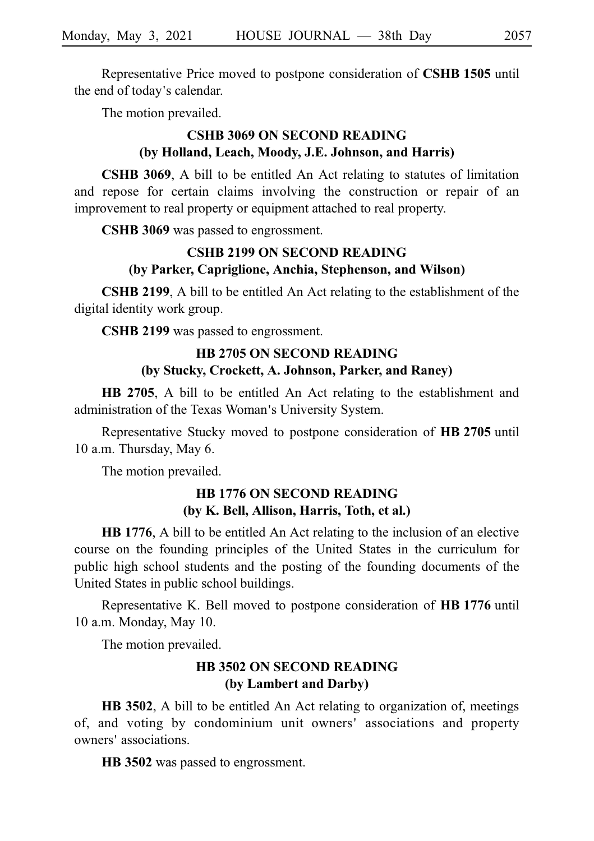Representative Price moved to postpone consideration of **CSHB 1505** until the end of today's calendar.

The motion prevailed.

# **CSHB 3069 ON SECOND READING (by Holland, Leach, Moody, J.E. Johnson, and Harris)**

**CSHB 3069**, A bill to be entitled An Act relating to statutes of limitation and repose for certain claims involving the construction or repair of an improvement to real property or equipment attached to real property.

CSHB 3069 was passed to engrossment.

# **CSHB 2199 ON SECOND READING (by Parker, Capriglione, Anchia, Stephenson, and Wilson)**

**CSHB 2199**, A bill to be entitled An Act relating to the establishment of the digital identity work group.

**CSHB 2199** was passed to engrossment.

# **HB 2705 ON SECOND READING**

# **(by Stucky, Crockett, A. Johnson, Parker, and Raney)**

**HB 2705**, A bill to be entitled An Act relating to the establishment and administration of the Texas Woman's University System.

Representative Stucky moved to postpone consideration of **HB 2705** until 10 a.m. Thursday, May 6.

The motion prevailed.

# **HB 1776 ON SECOND READING (by K. Bell, Allison, Harris, Toth, et al.)**

**HB 1776**, A bill to be entitled An Act relating to the inclusion of an elective course on the founding principles of the United States in the curriculum for public high school students and the posting of the founding documents of the United States in public school buildings.

Representative K. Bell moved to postpone consideration of **HB 1776** until 10 a.m. Monday, May 10.

The motion prevailed.

# **HB 3502 ON SECOND READING (by Lambert and Darby)**

**HB 3502**, A bill to be entitled An Act relating to organization of, meetings of, and voting by condominium unit owners' associations and property owners' associations.

**HB** 3502 was passed to engrossment.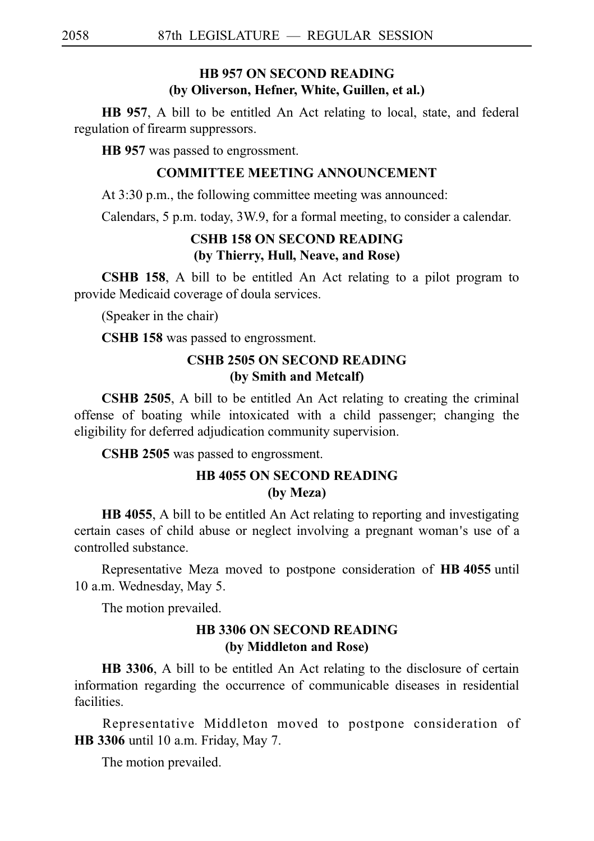# **HB 957 ON SECOND READING (by Oliverson, Hefner, White, Guillen, et al.)**

**HB 957**, A bill to be entitled An Act relating to local, state, and federal regulation of firearm suppressors.

**HB 957** was passed to engrossment.

### **COMMITTEE MEETING ANNOUNCEMENT**

At 3:30 p.m., the following committee meeting was announced:

Calendars, 5 p.m. today, 3W.9, for a formal meeting, to consider a calendar.

# **CSHB 158 ON SECOND READING (by Thierry, Hull, Neave, and Rose)**

**CSHB 158**, A bill to be entitled An Act relating to a pilot program to provide Medicaid coverage of doula services.

(Speaker in the chair)

**CSHB 158** was passed to engrossment.

# **CSHB 2505 ON SECOND READING (by Smith and Metcalf)**

**CSHB 2505**, A bill to be entitled An Act relating to creating the criminal offense of boating while intoxicated with a child passenger; changing the eligibility for deferred adjudication community supervision.

**CSHB 2505** was passed to engrossment.

# **HB 4055 ON SECOND READING (by Meza)**

**HB 4055**, A bill to be entitled An Act relating to reporting and investigating certain cases of child abuse or neglect involving a pregnant woman's use of a controlled substance.

Representative Meza moved to postpone consideration of **HB** 4055 until 10 a.m. Wednesday, May 5.

The motion prevailed.

# **HB 3306 ON SECOND READING (by Middleton and Rose)**

**HB 3306**, A bill to be entitled An Act relating to the disclosure of certain information regarding the occurrence of communicable diseases in residential facilities.

Representative Middleton moved to postpone consideration of **HB** 3306 until 10 a.m. Friday, May 7.

The motion prevailed.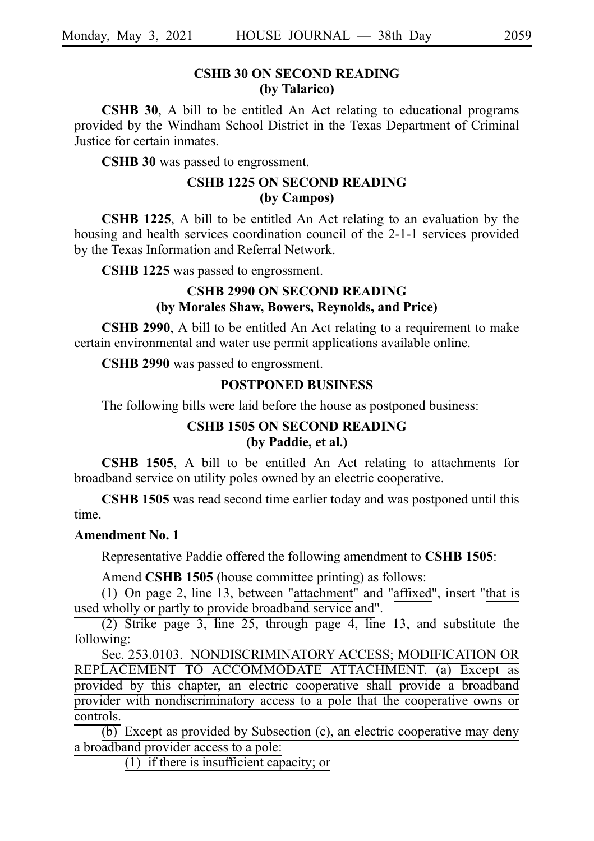# **CSHB 30 ON SECOND READING (by Talarico)**

**CSHB 30**, A bill to be entitled An Act relating to educational programs provided by the Windham School District in the Texas Department of Criminal Justice for certain inmates.

**CSHB 30** was passed to engrossment.

# **CSHB 1225 ON SECOND READING (by Campos)**

**CSHB 1225**, A bill to be entitled An Act relating to an evaluation by the housing and health services coordination council of the 2-1-1 services provided by the Texas Information and Referral Network.

CSHB 1225 was passed to engrossment.

# **CSHB 2990 ON SECOND READING (by Morales Shaw, Bowers, Reynolds, and Price)**

**CSHB 2990**, A bill to be entitled An Act relating to a requirement to make certain environmental and water use permit applications available online.

CSHB 2990 was passed to engrossment.

#### **POSTPONED BUSINESS**

The following bills were laid before the house as postponed business:

# **CSHB 1505 ON SECOND READING (by Paddie, et al.)**

**CSHB 1505**, A bill to be entitled An Act relating to attachments for broadband service on utility poles owned by an electric cooperative.

**CSHB 1505** was read second time earlier today and was postponed until this time.

#### **Amendment No. 1**

Representative Paddie offered the following amendment to **CSHB 1505**:

Amend **CSHB 1505** (house committee printing) as follows:

(1) On page 2, line 13, between "attachment" and "affixed", insert "that is used wholly or partly to provide broadband service and".

 $(2)$  Strike page 3, line 25, through page 4, line 13, and substitute the following:

Sec. 253.0103. NONDISCRIMINATORY ACCESS; MODIFICATION OR REPLACEMENT TO ACCOMMODATE ATTACHMENT. (a) Except as provided by this chapter, an electric cooperative shall provide a broadband provider with nondiscriminatory access to a pole that the cooperative owns or controls.

 $\overline{(b)}$  Except as provided by Subsection (c), an electric cooperative may deny a broadband provider access to a pole:

 $(1)$  if there is insufficient capacity; or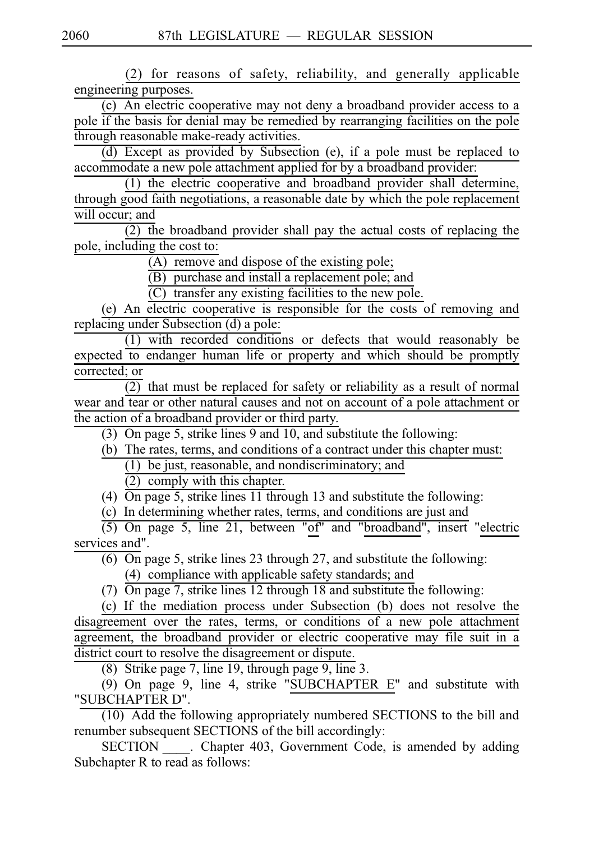(2) for reasons of safety, reliability, and generally applicable engineering purposes.

 $\overline{(c)}$  An electric cooperative may not deny a broadband provider access to a pole if the basis for denial may be remedied by rearranging facilities on the pole through reasonable make-ready activities.

(d) Except as provided by Subsection (e), if a pole must be replaced to accommodate a new pole attachment applied for by a broadband provider:

 $(1)$  the electric cooperative and broadband provider shall determine, through good faith negotiations, a reasonable date by which the pole replacement will occur; and

 $\overline{(2)}$  the broadband provider shall pay the actual costs of replacing the pole, including the cost to:

 $(A)$  remove and dispose of the existing pole;

 $(B)$  purchase and install a replacement pole; and

 $\overline{C}$  transfer any existing facilities to the new pole.

(e) An electric cooperative is responsible for the costs of removing and replacing under Subsection (d) a pole:

(1) with recorded conditions or defects that would reasonably be expected to endanger human life or property and which should be promptly corrected; or

 $\overline{(2)}$  that must be replaced for safety or reliability as a result of normal wear and tear or other natural causes and not on account of a pole attachment or the action of a broadband provider or third party.

(3) On page 5, strike lines 9 and 10, and substitute the following:

(b) The rates, terms, and conditions of a contract under this chapter must:

 $(1)$  be just, reasonable, and nondiscriminatory; and

 $(2)$  comply with this chapter.

(4) On page 5, strike lines 11 through 13 and substitute the following:

(c) In determining whether rates, terms, and conditions are just and

 $(5)$  On page 5, line 21, between "of" and "broadband", insert "electric services and".

 $\overline{(6)}$  On page 5, strike lines 23 through 27, and substitute the following: (4) compliance with applicable safety standards; and

(7)  $\overline{On}$  page 7, strike lines 12 through 18 and substitute the following:

(c) If the mediation process under Subsection (b) does not resolve the disagreement over the rates, terms, or conditions of a new pole attachment agreement, the broadband provider or electric cooperative may file suit in a district court to resolve the disagreement or dispute.

(8) Strike page 7, line 19, through page 9, line 3.

 $(9)$  On page 9, line 4, strike "SUBCHAPTER E" and substitute with "SUBCHAPTER D".

 $(10)$  Add the following appropriately numbered SECTIONS to the bill and renumber subsequent SECTIONS of the bill accordingly:

SECTION Chapter 403, Government Code, is amended by adding Subchapter R to read as follows: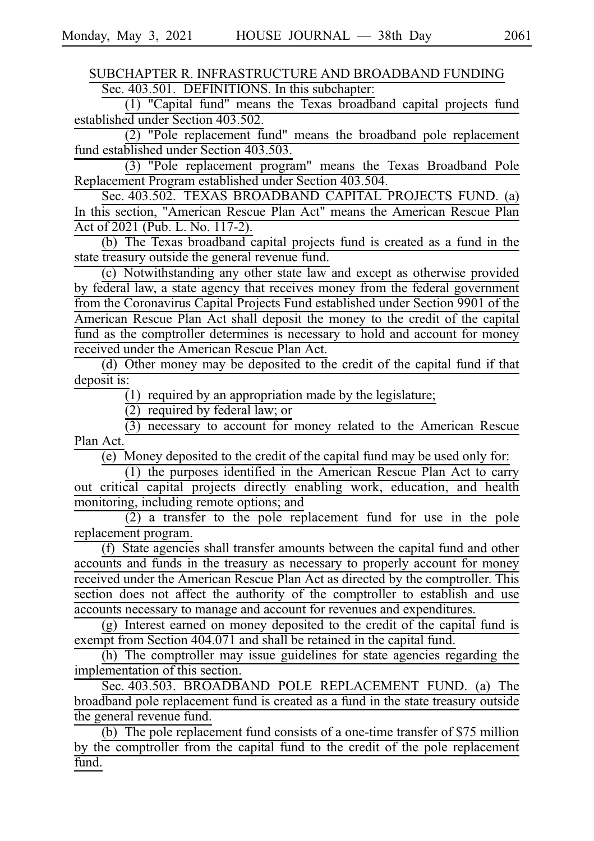SUBCHAPTER R. INFRASTRUCTURE AND BROADBAND FUNDING Sec. 403.501. DEFINITIONS. In this subchapter:

(1) "Capital fund" means the Texas broadband capital projects fund established under Section 403.502.

 $(2)$  "Pole replacement fund" means the broadband pole replacement fund established under Section 403.503.

(3) "Pole replacement program" means the Texas Broadband Pole Replacement Program established under Section 403.504.

Sec. 403.502. TEXAS BROADBAND CAPITAL PROJECTS FUND. (a) In this section, "American Rescue Plan Act" means the American Rescue Plan Act of 2021 (Pub. L. No. 117-2).

(b) The Texas broadband capital projects fund is created as a fund in the state treasury outside the general revenue fund.

(c) Notwithstanding any other state law and except as otherwise provided by federal law, a state agency that receives money from the federal government from the Coronavirus Capital Projects Fund established under Section 9901 of the American Rescue Plan Act shall deposit the money to the credit of the capital fund as the comptroller determines is necessary to hold and account for money received under the American Rescue Plan Act.

 $(d)$  Other money may be deposited to the credit of the capital fund if that deposit is:

 $(1)$  required by an appropriation made by the legislature;

 $(2)$  required by federal law; or

 $\overline{(3)}$  necessary to account for money related to the American Rescue Plan Act.

 $\overline{(e)}$  Money deposited to the credit of the capital fund may be used only for:

 $(1)$  the purposes identified in the American Rescue Plan Act to carry out critical capital projects directly enabling work, education, and health monitoring, including remote options; and

 $(2)$  a transfer to the pole replacement fund for use in the pole replacement program.

 $(f)$  State agencies shall transfer amounts between the capital fund and other accounts and funds in the treasury as necessary to properly account for money received under the American Rescue Plan Act as directed by the comptroller. This section does not affect the authority of the comptroller to establish and use accounts necessary to manage and account for revenues and expenditures.

 $(g)$  Interest earned on money deposited to the credit of the capital fund is exempt from Section 404.071 and shall be retained in the capital fund.

(h) The comptroller may issue guidelines for state agencies regarding the implementation of this section.

Sec. 403.503. BROADBAND POLE REPLACEMENT FUND. (a) The broadband pole replacement fund is created as a fund in the state treasury outside the general revenue fund.

(b) The pole replacement fund consists of a one-time transfer of  $$75$  million by the comptroller from the capital fund to the credit of the pole replacement fund.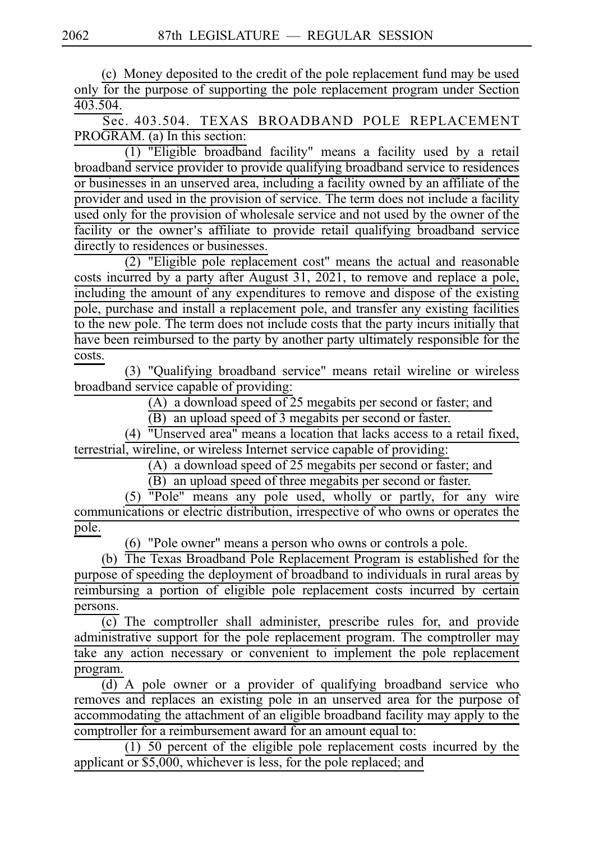(c) Money deposited to the credit of the pole replacement fund may be used only for the purpose of supporting the pole replacement program under Section 403.504.

Sec. 403.504. TEXAS BROADBAND POLE REPLACEMENT PROGRAM. (a) In this section:

 $\overline{(1)}$  "Eligible broadband facility" means a facility used by a retail broadband service provider to provide qualifying broadband service to residences or businesses in an unserved area, including a facility owned by an affiliate of the provider and used in the provision of service. The term does not include a facility used only for the provision of wholesale service and not used by the owner of the facility or the owner's affiliate to provide retail qualifying broadband service directly to residences or businesses.

 $(2)$  "Eligible pole replacement cost" means the actual and reasonable costs incurred by a party after August 31, 2021, to remove and replace a pole, including the amount of any expenditures to remove and dispose of the existing pole, purchase and install a replacement pole, and transfer any existing facilities to the new pole. The term does not include costs that the party incurs initially that have been reimbursed to the party by another party ultimately responsible for the costs.

(3) "Qualifying broadband service" means retail wireline or wireless broadband service capable of providing:

(A) a download speed of 25 megabits per second or faster; and

(B) an upload speed of 3 megabits per second or faster.

(4)  $\overline{''}$ Unserved area" means a location that lacks access to a retail fixed, terrestrial, wireline, or wireless Internet service capable of providing:

(A) a download speed of 25 megabits per second or faster; and

(B) an upload speed of three megabits per second or faster.

 $(5)$   $\overline{"Pole"$  means any pole used, wholly or partly, for any wire communications or electric distribution, irrespective of who owns or operates the pole.

 $(6)$  "Pole owner" means a person who owns or controls a pole.

(b) The Texas Broadband Pole Replacement Program is established for the purpose of speeding the deployment of broadband to individuals in rural areas by reimbursing a portion of eligible pole replacement costs incurred by certain persons.

 $\overline{(c)}$  The comptroller shall administer, prescribe rules for, and provide administrative support for the pole replacement program. The comptroller may take any action necessary or convenient to implement the pole replacement program.

 $\overline{(d)}$  A pole owner or a provider of qualifying broadband service who removes and replaces an existing pole in an unserved area for the purpose of accommodating the attachment of an eligible broadband facility may apply to the comptroller for a reimbursement award for an amount equal to:

 $(1)$  50 percent of the eligible pole replacement costs incurred by the applicant or \$5,000, whichever is less, for the pole replaced; and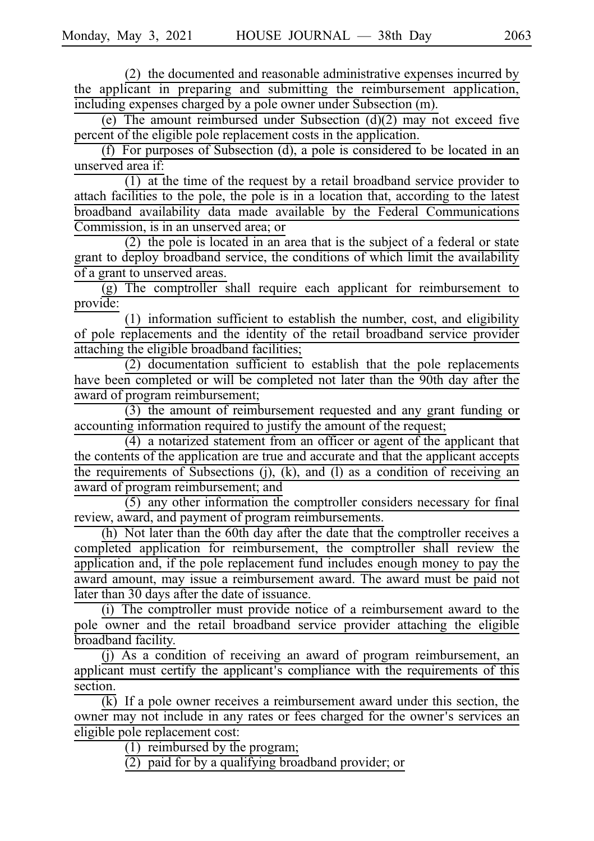$(2)$  the documented and reasonable administrative expenses incurred by the applicant in preparing and submitting the reimbursement application, including expenses charged by a pole owner under Subsection (m).

(e) The amount reimbursed under Subsection  $(d)(2)$  may not exceed five percent of the eligible pole replacement costs in the application.

(f) For purposes of Subsection (d), a pole is considered to be located in an unserved area if:

 $(1)$  at the time of the request by a retail broadband service provider to attach facilities to the pole, the pole is in a location that, according to the latest broadband availability data made available by the Federal Communications Commission, is in an unserved area; or

 $(2)$  the pole is located in an area that is the subject of a federal or state grant to deploy broadband service, the conditions of which limit the availability of a grant to unserved areas.

(g) The comptroller shall require each applicant for reimbursement to provide:

 $(1)$  information sufficient to establish the number, cost, and eligibility of pole replacements and the identity of the retail broadband service provider attaching the eligible broadband facilities;

 $(2)$  documentation sufficient to establish that the pole replacements have been completed or will be completed not later than the 90th day after the award of program reimbursement;

 $(3)$  the amount of reimbursement requested and any grant funding or accounting information required to justify the amount of the request;

 $(4)$  a notarized statement from an officer or agent of the applicant that the contents of the application are true and accurate and that the applicant accepts the requirements of Subsections  $(j)$ ,  $(k)$ , and  $(l)$  as a condition of receiving an award of program reimbursement; and

 $(5)$  any other information the comptroller considers necessary for final review, award, and payment of program reimbursements.

(h) Not later than the 60th day after the date that the comptroller receives a completed application for reimbursement, the comptroller shall review the application and, if the pole replacement fund includes enough money to pay the award amount, may issue a reimbursement award. The award must be paid not later than 30 days after the date of issuance.

(i) The comptroller must provide notice of a reimbursement award to the pole owner and the retail broadband service provider attaching the eligible broadband facility.

(j) As a condition of receiving an award of program reimbursement, an applicant must certify the applicant's compliance with the requirements of this section.

 $\overline{k}$  If a pole owner receives a reimbursement award under this section, the owner may not include in any rates or fees charged for the owner's services an eligible pole replacement cost:

 $(1)$  reimbursed by the program;

 $(2)$  paid for by a qualifying broadband provider; or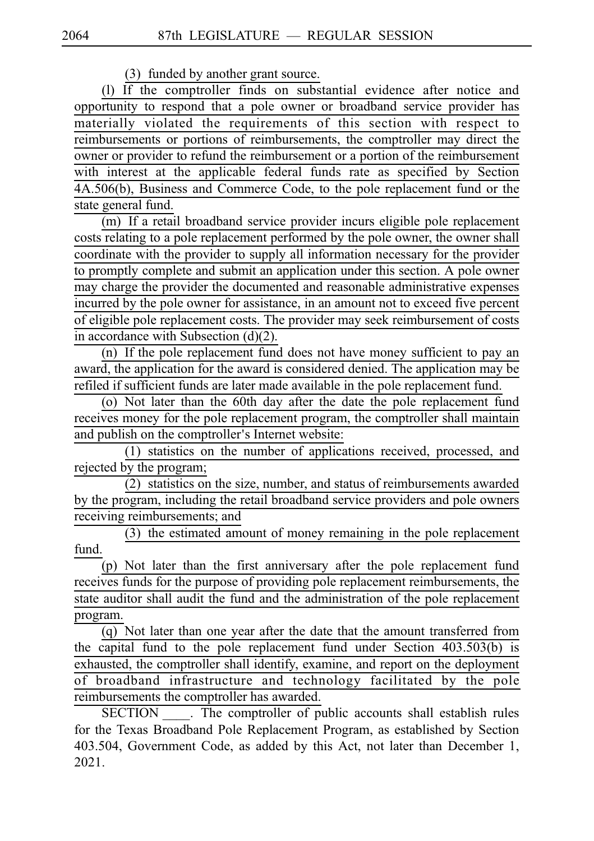(3) funded by another grant source.

(1) If the comptroller finds on substantial evidence after notice and opportunity to respond that a pole owner or broadband service provider has materially violated the requirements of this section with respect to reimbursements or portions of reimbursements, the comptroller may direct the owner or provider to refund the reimbursement or a portion of the reimbursement with interest at the applicable federal funds rate as specified by Section 4A.506(b), Business and Commerce Code, to the pole replacement fund or the state general fund.

(m) If a retail broadband service provider incurs eligible pole replacement costs relating to a pole replacement performed by the pole owner, the owner shall coordinate with the provider to supply all information necessary for the provider to promptly complete and submit an application under this section. A pole owner may charge the provider the documented and reasonable administrative expenses incurred by the pole owner for assistance, in an amount not to exceed five percent of eligible pole replacement costs. The provider may seek reimbursement of costs in accordance with Subsection (d)(2).

(n) If the pole replacement fund does not have money sufficient to pay an award, the application for the award is considered denied. The application may be refiled if sufficient funds are later made available in the pole replacement fund.

(o) Not later than the 60th day after the date the pole replacement fund receives money for the pole replacement program, the comptroller shall maintain and publish on the comptroller's Internet website:

 $\overline{(1)}$  statistics on the number of applications received, processed, and rejected by the program;

 $(2)$  statistics on the size, number, and status of reimbursements awarded by the program, including the retail broadband service providers and pole owners receiving reimbursements; and

(3) the estimated amount of money remaining in the pole replacement fund.

 $(p)$  Not later than the first anniversary after the pole replacement fund receives funds for the purpose of providing pole replacement reimbursements, the state auditor shall audit the fund and the administration of the pole replacement program.

(q) Not later than one year after the date that the amount transferred from the capital fund to the pole replacement fund under Section 403.503(b) is exhausted, the comptroller shall identify, examine, and report on the deployment of broadband infrastructure and technology facilitated by the pole reimbursements the comptroller has awarded.

SECTION . The comptroller of public accounts shall establish rules for the Texas Broadband Pole Replacement Program, as established by Section 403.504, Government Code, as added by this Act, not later than December 1, 2021.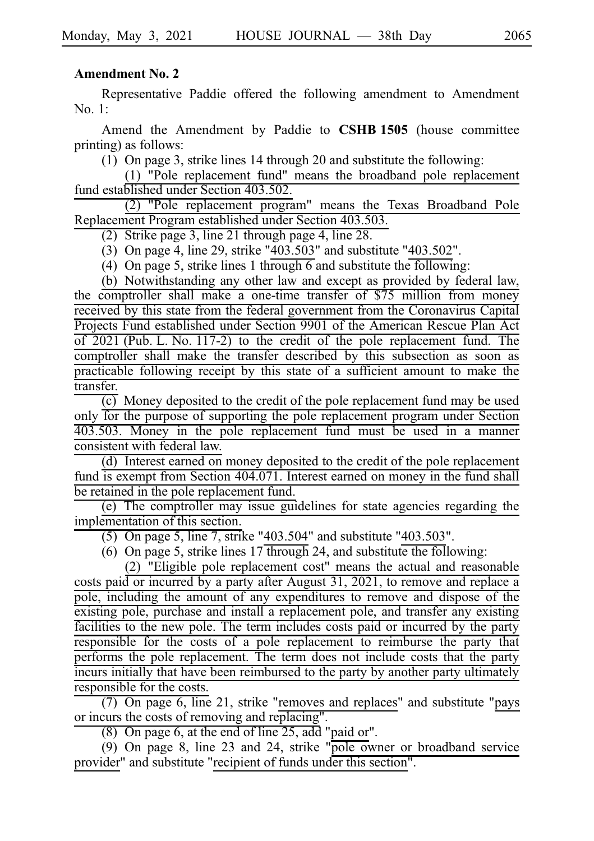#### **Amendment No. 2**

Representative Paddie offered the following amendment to Amendment No.  $1:$ 

Amend the Amendment by Paddie to **CSHBi1505** (house committee printing) as follows:

(1) On page 3, strike lines 14 through 20 and substitute the following:

 $(1)$  "Pole replacement fund" means the broadband pole replacement fund established under Section 403.502.

(2) "Pole replacement program" means the Texas Broadband Pole Replacement Program established under Section 403.503.

(2) Strike page 3, line 21 through page 4, line  $28$ .

(3) On page 4, line 29, strike "403.503" and substitute "403.502".

(4) On page 5, strike lines 1 through 6 and substitute the following:

(b) Notwithstanding any other law and except as provided by federal law, the comptroller shall make a one-time transfer of \$75 million from money received by this state from the federal government from the Coronavirus Capital Projects Fund established under Section 9901 of the American Rescue Plan Act of 2021 (Pub. L. No. 117-2) to the credit of the pole replacement fund. The comptroller shall make the transfer described by this subsection as soon as practicable following receipt by this state of a sufficient amount to make the transfer.

 $\overline{(c)}$  Money deposited to the credit of the pole replacement fund may be used only for the purpose of supporting the pole replacement program under Section 403.503. Money in the pole replacement fund must be used in a manner consistent with federal law.

 $(d)$  Interest earned on money deposited to the credit of the pole replacement fund is exempt from Section 404.071. Interest earned on money in the fund shall be retained in the pole replacement fund.

(e) The comptroller may issue guidelines for state agencies regarding the implementation of this section.

(5) On page 5, line 7, strike "403.504" and substitute "403.503".

(6) On page 5, strike lines  $17$  through 24, and substitute the following:

 $(2)$  "Eligible pole replacement cost" means the actual and reasonable costs paid or incurred by a party after August 31, 2021, to remove and replace a pole, including the amount of any expenditures to remove and dispose of the existing pole, purchase and install a replacement pole, and transfer any existing facilities to the new pole. The term includes costs paid or incurred by the party responsible for the costs of a pole replacement to reimburse the party that performs the pole replacement. The term does not include costs that the party incurs initially that have been reimbursed to the party by another party ultimately responsible for the costs.

(7) On page 6, line 21, strike "removes and replaces" and substitute "pays or incurs the costs of removing and replacing".

(8) On page 6, at the end of line  $25$ , add "paid or".

(9) On page 8, line 23 and 24, strike "pole owner or broadband service provider" and substitute "recipient of funds under this section".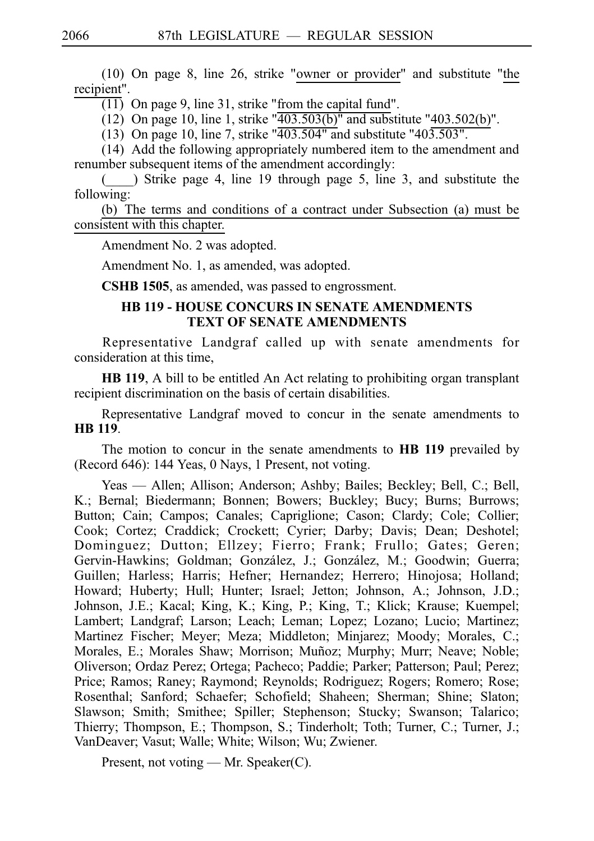$(10)$  On page 8, line 26, strike "owner or provider" and substitute "the recipient".

 $\overline{(11)}$  On page 9, line 31, strike "from the capital fund".

(12) On page 10, line 1, strike " $\overline{403.503(b)}$ " and substitute "403.502(b)".

(13) On page 10, line 7, strike " $\overline{403.504}$ " and substitute "403.503".

 $(14)$  Add the following appropriately numbered item to the amendment and renumber subsequent items of the amendment accordingly:

 $($   $)$  Strike page 4, line 19 through page 5, line 3, and substitute the following:

(b) The terms and conditions of a contract under Subsection (a) must be consistent with this chapter.

Amendment No. 2 was adopted.

Amendment No. 1, as amended, was adopted.

**CSHB 1505**, as amended, was passed to engrossment.

## **HB 119 - HOUSE CONCURS IN SENATE AMENDMENTS TEXT OF SENATE AMENDMENTS**

Representative Landgraf called up with senate amendments for consideration at this time,

**HB 119**, A bill to be entitled An Act relating to prohibiting organ transplant recipient discrimination on the basis of certain disabilities.

Representative Landgraf moved to concur in the senate amendments to **HBi119**.

The motion to concur in the senate amendments to **HB 119** prevailed by (Record 646): 144 Yeas, 0 Nays, 1 Present, not voting.

Yeas — Allen; Allison; Anderson; Ashby; Bailes; Beckley; Bell, C.; Bell, K.; Bernal; Biedermann; Bonnen; Bowers; Buckley; Bucy; Burns; Burrows; Button; Cain; Campos; Canales; Capriglione; Cason; Clardy; Cole; Collier; Cook; Cortez; Craddick; Crockett; Cyrier; Darby; Davis; Dean; Deshotel; Dominguez; Dutton; Ellzey; Fierro; Frank; Frullo; Gates; Geren; Gervin-Hawkins; Goldman; González, J.; González, M.; Goodwin; Guerra; Guillen; Harless; Harris; Hefner; Hernandez; Herrero; Hinojosa; Holland; Howard; Huberty; Hull; Hunter; Israel; Jetton; Johnson, A.; Johnson, J.D.; Johnson, J.E.; Kacal; King, K.; King, P.; King, T.; Klick; Krause; Kuempel; Lambert; Landgraf; Larson; Leach; Leman; Lopez; Lozano; Lucio; Martinez; Martinez Fischer; Meyer; Meza; Middleton; Minjarez; Moody; Morales, C.; Morales, E.; Morales Shaw; Morrison; Muñoz; Murphy; Murr; Neave; Noble; Oliverson; Ordaz Perez; Ortega; Pacheco; Paddie; Parker; Patterson; Paul; Perez; Price; Ramos; Raney; Raymond; Reynolds; Rodriguez; Rogers; Romero; Rose; Rosenthal; Sanford; Schaefer; Schofield; Shaheen; Sherman; Shine; Slaton; Slawson; Smith; Smithee; Spiller; Stephenson; Stucky; Swanson; Talarico; Thierry; Thompson, E.; Thompson, S.; Tinderholt; Toth; Turner, C.; Turner, J.; VanDeaver; Vasut; Walle; White; Wilson; Wu; Zwiener.

Present, not voting — Mr. Speaker(C).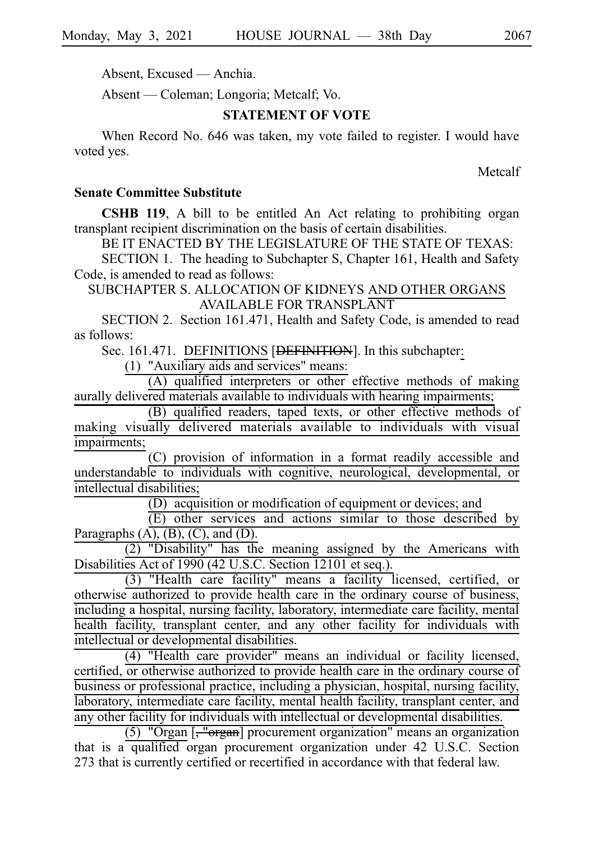Absent, Excused — Anchia.

Absent — Coleman; Longoria; Metcalf; Vo.

## **STATEMENT OF VOTE**

When Record No. 646 was taken, my vote failed to register. I would have voted yes.

Metcalf

# **Senate Committee Substitute**

**CSHB 119**, A bill to be entitled An Act relating to prohibiting organ transplant recipient discrimination on the basis of certain disabilities.

BE IT ENACTED BY THE LEGISLATURE OF THE STATE OF TEXAS:

SECTION 1. The heading to Subchapter S, Chapter 161, Health and Safety Code, is amended to read as follows:

SUBCHAPTER S. ALLOCATION OF KIDNEYS AND OTHER ORGANS AVAILABLE FOR TRANSPLANT

SECTION 2. Section 161.471, Health and Safety Code, is amended to read as follows:

Sec. 161.471. DEFINITIONS [<del>DEFINITION</del>]. In this subchapter:

 $(1)$  "Auxiliary aids and services" means:

 $(A)$  qualified interpreters or other effective methods of making aurally delivered materials available to individuals with hearing impairments;

(B) qualified readers, taped texts, or other effective methods of making visually delivered materials available to individuals with visual impairments;

(C) provision of information in a format readily accessible and understandable to individuals with cognitive, neurological, developmental, or intellectual disabilities;

 $(D)$  acquisition or modification of equipment or devices; and

 $(E)$  other services and actions similar to those described by Paragraphs  $(A)$ ,  $(B)$ ,  $(C)$ , and  $(D)$ .

 $(2)$  "Disability" has the meaning assigned by the Americans with Disabilities Act of 1990 (42 U.S.C. Section 12101 et seq.).

(3) "Health care facility" means a facility licensed, certified, or otherwise authorized to provide health care in the ordinary course of business, including a hospital, nursing facility, laboratory, intermediate care facility, mental health facility, transplant center, and any other facility for individuals with intellectual or developmental disabilities.

(4) "Health care provider" means an individual or facility licensed, certified, or otherwise authorized to provide health care in the ordinary course of business or professional practice, including a physician, hospital, nursing facility, laboratory, intermediate care facility, mental health facility, transplant center, and any other facility for individuals with intellectual or developmental disabilities.

 $(5)$  "Organ  $\left[\frac{1}{2}$ "organ] procurement organization" means an organization that is a qualified organ procurement organization under 42 U.S.C. Section 273 that is currently certified or recertified in accordance with that federal law.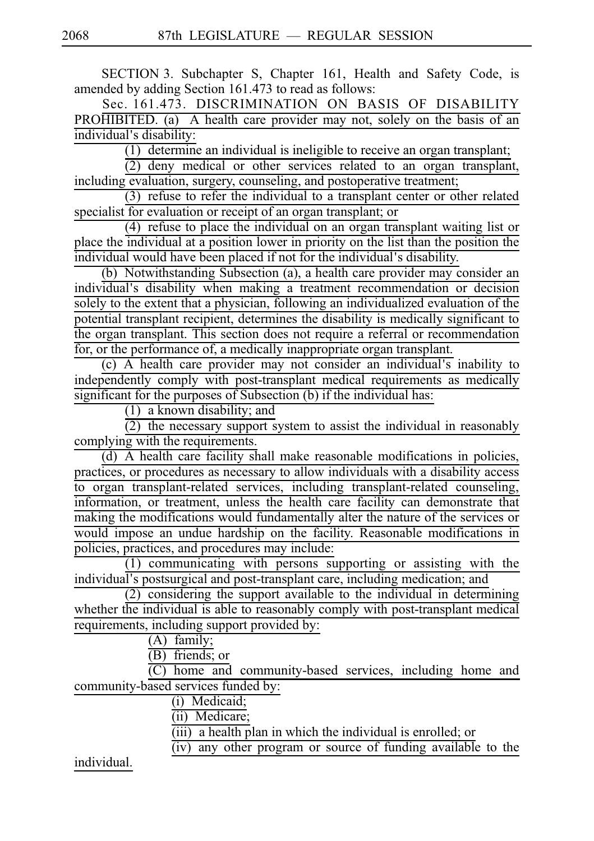SECTION 3. Subchapter S, Chapter 161, Health and Safety Code, is amended by adding Section 161.473 to read as follows:

Sec. 161.473. DISCRIMINATION ON BASIS OF DISABILITY PROHIBITED. (a) A health care provider may not, solely on the basis of an individual's disability:

 $(1)$  determine an individual is ineligible to receive an organ transplant;

 $\overline{2}$ ) deny medical or other services related to an organ transplant, including evaluation, surgery, counseling, and postoperative treatment;

 $(3)$  refuse to refer the individual to a transplant center or other related specialist for evaluation or receipt of an organ transplant; or

(4) refuse to place the individual on an organ transplant waiting list or place the individual at a position lower in priority on the list than the position the individual would have been placed if not for the individual's disability.

(b) Notwithstanding Subsection (a), a health care provider may consider an individual's disability when making a treatment recommendation or decision solely to the extent that a physician, following an individualized evaluation of the potential transplant recipient, determines the disability is medically significant to the organ transplant. This section does not require a referral or recommendation for, or the performance of, a medically inappropriate organ transplant.

 $(c)$  A health care provider may not consider an individual's inability to independently comply with post-transplant medical requirements as medically significant for the purposes of Subsection (b) if the individual has:

 $(1)$  a known disability; and

 $\overline{(2)}$  the necessary support system to assist the individual in reasonably complying with the requirements.

 $\overline{d}$ ) A health care facility shall make reasonable modifications in policies, practices, or procedures as necessary to allow individuals with a disability access to organ transplant-related services, including transplant-related counseling, information, or treatment, unless the health care facility can demonstrate that making the modifications would fundamentally alter the nature of the services or would impose an undue hardship on the facility. Reasonable modifications in policies, practices, and procedures may include:

(1) communicating with persons supporting or assisting with the individual's postsurgical and post-transplant care, including medication; and

 $(2)$  considering the support available to the individual in determining whether the individual is able to reasonably comply with post-transplant medical requirements, including support provided by:

 $(A)$  family;

 $(B)$  friends; or

 $(C)$  home and community-based services, including home and community-based services funded by:

(i) Medicaid;

(ii) Medicare;

 $(iii)$  a health plan in which the individual is enrolled; or

 $\frac{\overline{(ii)}}{\overline{(iv)}}$  any other program or source of funding available to the

individual.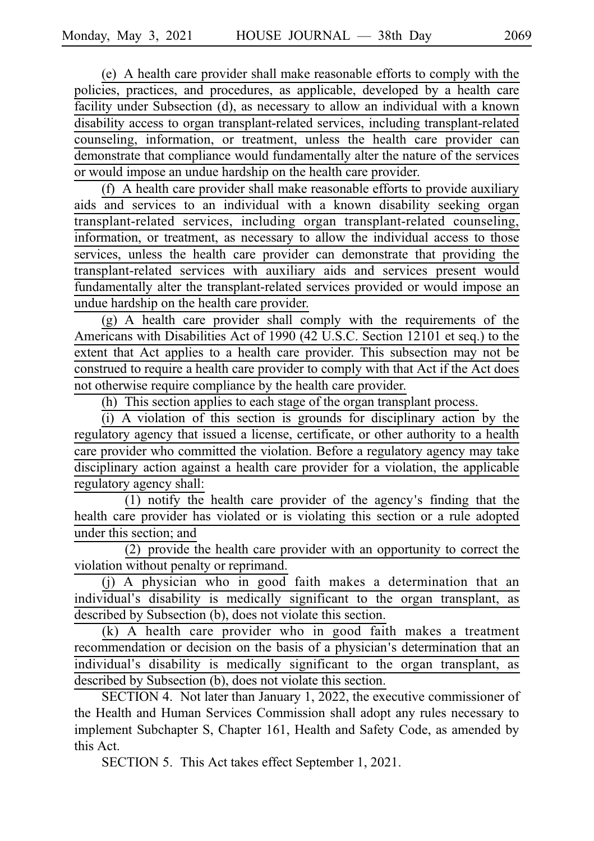(e) A health care provider shall make reasonable efforts to comply with the policies, practices, and procedures, as applicable, developed by a health care facility under Subsection (d), as necessary to allow an individual with a known disability access to organ transplant-related services, including transplant-related counseling, information, or treatment, unless the health care provider can demonstrate that compliance would fundamentally alter the nature of the services or would impose an undue hardship on the health care provider.

(f) A health care provider shall make reasonable efforts to provide auxiliary aids and services to an individual with a known disability seeking organ transplant-related services, including organ transplant-related counseling, information, or treatment, as necessary to allow the individual access to those services, unless the health care provider can demonstrate that providing the transplant-related services with auxiliary aids and services present would fundamentally alter the transplant-related services provided or would impose an undue hardship on the health care provider.

 $(g)$  A health care provider shall comply with the requirements of the Americans with Disabilities Act of 1990 (42 U.S.C. Section 12101 et seq.) to the extent that Act applies to a health care provider. This subsection may not be construed to require a health care provider to comply with that Act if the Act does not otherwise require compliance by the health care provider.

(h) This section applies to each stage of the organ transplant process.

 $(i)$  A violation of this section is grounds for disciplinary action by the regulatory agency that issued a license, certificate, or other authority to a health care provider who committed the violation. Before a regulatory agency may take disciplinary action against a health care provider for a violation, the applicable regulatory agency shall:

 $(1)$  notify the health care provider of the agency's finding that the health care provider has violated or is violating this section or a rule adopted under this section; and

 $(2)$  provide the health care provider with an opportunity to correct the violation without penalty or reprimand.

(j) A physician who in good faith makes a determination that an individual's disability is medically significant to the organ transplant, as described by Subsection (b), does not violate this section.

 $(k)$  A health care provider who in good faith makes a treatment recommendation or decision on the basis of a physician's determination that an individual's disability is medically significant to the organ transplant, as described by Subsection (b), does not violate this section.

SECTION 4. Not later than January 1, 2022, the executive commissioner of the Health and Human Services Commission shall adopt any rules necessary to implement Subchapter S, Chapter 161, Health and Safety Code, as amended by this Act.

SECTION 5. This Act takes effect September 1, 2021.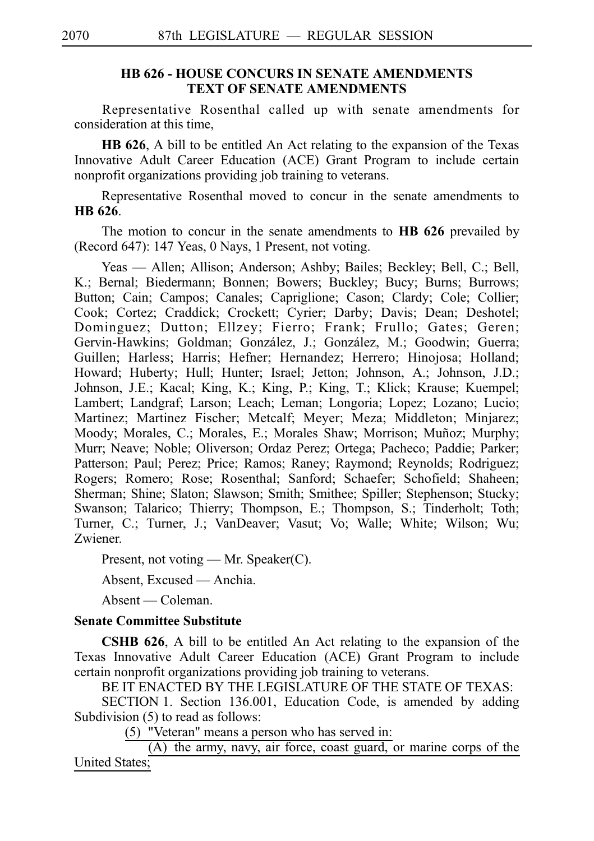### **HB 626 - HOUSE CONCURS IN SENATE AMENDMENTS TEXT OF SENATE AMENDMENTS**

Representative Rosenthal called up with senate amendments for consideration at this time,

**HB 626**, A bill to be entitled An Act relating to the expansion of the Texas Innovative Adult Career Education (ACE) Grant Program to include certain nonprofit organizations providing job training to veterans.

Representative Rosenthal moved to concur in the senate amendments to **HB** 626.

The motion to concur in the senate amendments to **HB 626** prevailed by (Record 647): 147 Yeas, 0 Nays, 1 Present, not voting.

Yeas — Allen; Allison; Anderson; Ashby; Bailes; Beckley; Bell, C.; Bell, K.; Bernal; Biedermann; Bonnen; Bowers; Buckley; Bucy; Burns; Burrows; Button; Cain; Campos; Canales; Capriglione; Cason; Clardy; Cole; Collier; Cook; Cortez; Craddick; Crockett; Cyrier; Darby; Davis; Dean; Deshotel; Dominguez; Dutton; Ellzey; Fierro; Frank; Frullo; Gates; Geren; Gervin-Hawkins; Goldman; González, J.; González, M.; Goodwin; Guerra; Guillen; Harless; Harris; Hefner; Hernandez; Herrero; Hinojosa; Holland; Howard; Huberty; Hull; Hunter; Israel; Jetton; Johnson, A.; Johnson, J.D.; Johnson, J.E.; Kacal; King, K.; King, P.; King, T.; Klick; Krause; Kuempel; Lambert; Landgraf; Larson; Leach; Leman; Longoria; Lopez; Lozano; Lucio; Martinez; Martinez Fischer; Metcalf; Meyer; Meza; Middleton; Minjarez; Moody; Morales, C.; Morales, E.; Morales Shaw; Morrison; Muñoz; Murphy; Murr; Neave; Noble; Oliverson; Ordaz Perez; Ortega; Pacheco; Paddie; Parker; Patterson; Paul; Perez; Price; Ramos; Raney; Raymond; Reynolds; Rodriguez; Rogers; Romero; Rose; Rosenthal; Sanford; Schaefer; Schofield; Shaheen; Sherman; Shine; Slaton; Slawson; Smith; Smithee; Spiller; Stephenson; Stucky; Swanson; Talarico; Thierry; Thompson, E.; Thompson, S.; Tinderholt; Toth; Turner, C.; Turner, J.; VanDeaver; Vasut; Vo; Walle; White; Wilson; Wu; Zwiener.

Present, not voting — Mr. Speaker(C).

Absent, Excused — Anchia.

Absent — Coleman.

## **Senate Committee Substitute**

**CSHB 626**, A bill to be entitled An Act relating to the expansion of the Texas Innovative Adult Career Education (ACE) Grant Program to include certain nonprofit organizations providing job training to veterans.

BE IT ENACTED BY THE LEGISLATURE OF THE STATE OF TEXAS:

SECTION 1. Section 136.001, Education Code, is amended by adding Subdivision (5) to read as follows:

 $(5)$  "Veteran" means a person who has served in:

(A) the army, navy, air force, coast guard, or marine corps of the United States;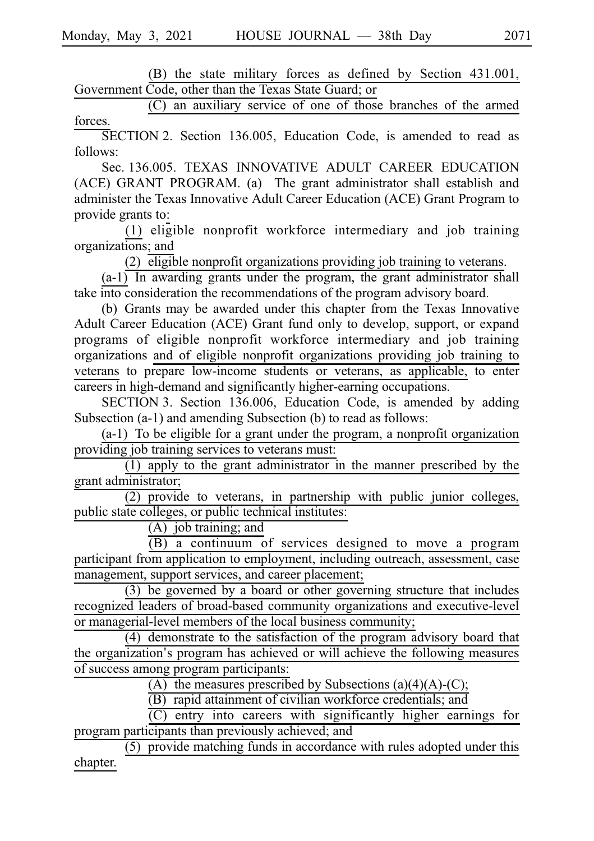(B) the state military forces as defined by Section 431.001, Government Code, other than the Texas State Guard; or

(C) an auxiliary service of one of those branches of the armed forces.

SECTION 2. Section 136.005, Education Code, is amended to read as follows:

Sec. 136.005. TEXAS INNOVATIVE ADULT CAREER EDUCATION (ACE) GRANT PROGRAM. (a) The grant administrator shall establish and administer the Texas Innovative Adult Career Education (ACE) Grant Program to provide grants to:

 $(1)$  eligible nonprofit workforce intermediary and job training organizations; and

(2)  $\overline{eligible}$  nonprofit organizations providing job training to veterans.

 $(a-1)$  In awarding grants under the program, the grant administrator shall take into consideration the recommendations of the program advisory board.

(b) Grants may be awarded under this chapter from the Texas Innovative Adult Career Education (ACE) Grant fund only to develop, support, or expand programs of eligible nonprofit workforce intermediary and job training organizations and of eligible nonprofit organizations providing job training to veterans to prepare low-income students or veterans, as applicable, to enter careers in high-demand and significantly higher-earning occupations.

SECTION 3. Section 136.006, Education Code, is amended by adding Subsection (a-1) and amending Subsection (b) to read as follows:

 $(a-1)$  To be eligible for a grant under the program, a nonprofit organization providing job training services to veterans must:

 $(1)$  apply to the grant administrator in the manner prescribed by the grant administrator;

 $(2)$  provide to veterans, in partnership with public junior colleges, public state colleges, or public technical institutes:

 $(A)$  job training; and

 $\overline{(B)}$  a continuum of services designed to move a program participant from application to employment, including outreach, assessment, case management, support services, and career placement;

 $(3)$  be governed by a board or other governing structure that includes recognized leaders of broad-based community organizations and executive-level or managerial-level members of the local business community;

 $(4)$  demonstrate to the satisfaction of the program advisory board that the organization's program has achieved or will achieve the following measures of success among program participants:

(A) the measures prescribed by Subsections (a)(4)(A)-(C);

(B) rapid attainment of civilian workforce credentials; and

 $(C)$  entry into careers with significantly higher earnings for program participants than previously achieved; and

 $(5)$  provide matching funds in accordance with rules adopted under this chapter.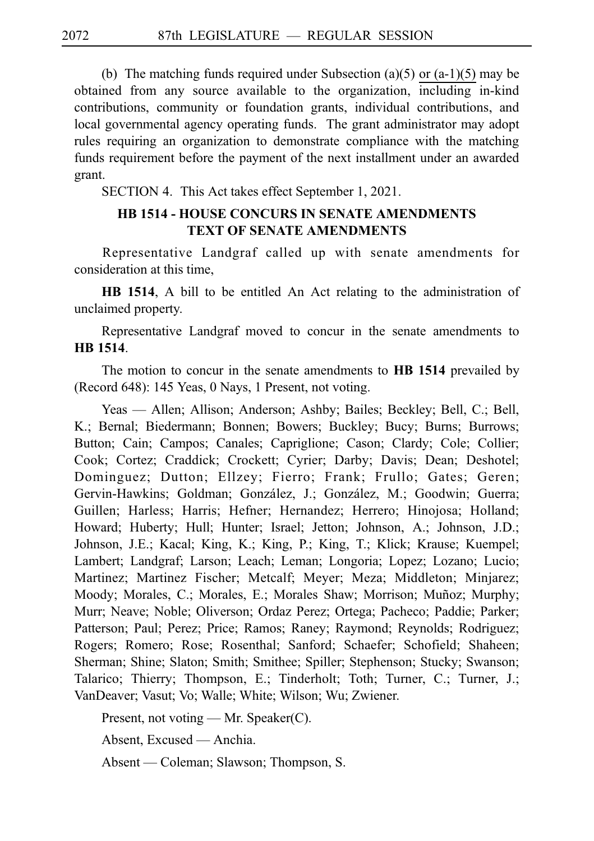(b) The matching funds required under Subsection (a)(5) or (a-1)(5) may be obtained from any source available to the organization, including in-kind contributions, community or foundation grants, individual contributions, and local governmental agency operating funds. The grant administrator may adopt rules requiring an organization to demonstrate compliance with the matching funds requirement before the payment of the next installment under an awarded grant.

SECTION 4. This Act takes effect September 1, 2021.

# **HB 1514 - HOUSE CONCURS IN SENATE AMENDMENTS TEXT OF SENATE AMENDMENTS**

Representative Landgraf called up with senate amendments for consideration at this time,

**HB 1514**, A bill to be entitled An Act relating to the administration of unclaimed property.

Representative Landgraf moved to concur in the senate amendments to **HB** 1514.

The motion to concur in the senate amendments to **HB 1514** prevailed by (Record 648): 145 Yeas, 0 Nays, 1 Present, not voting.

Yeas — Allen; Allison; Anderson; Ashby; Bailes; Beckley; Bell, C.; Bell, K.; Bernal; Biedermann; Bonnen; Bowers; Buckley; Bucy; Burns; Burrows; Button; Cain; Campos; Canales; Capriglione; Cason; Clardy; Cole; Collier; Cook; Cortez; Craddick; Crockett; Cyrier; Darby; Davis; Dean; Deshotel; Dominguez; Dutton; Ellzey; Fierro; Frank; Frullo; Gates; Geren; Gervin-Hawkins; Goldman; González, J.; González, M.; Goodwin; Guerra; Guillen; Harless; Harris; Hefner; Hernandez; Herrero; Hinojosa; Holland; Howard; Huberty; Hull; Hunter; Israel; Jetton; Johnson, A.; Johnson, J.D.; Johnson, J.E.; Kacal; King, K.; King, P.; King, T.; Klick; Krause; Kuempel; Lambert; Landgraf; Larson; Leach; Leman; Longoria; Lopez; Lozano; Lucio; Martinez; Martinez Fischer; Metcalf; Meyer; Meza; Middleton; Minjarez; Moody; Morales, C.; Morales, E.; Morales Shaw; Morrison; Muñoz; Murphy; Murr; Neave; Noble; Oliverson; Ordaz Perez; Ortega; Pacheco; Paddie; Parker; Patterson; Paul; Perez; Price; Ramos; Raney; Raymond; Reynolds; Rodriguez; Rogers; Romero; Rose; Rosenthal; Sanford; Schaefer; Schofield; Shaheen; Sherman; Shine; Slaton; Smith; Smithee; Spiller; Stephenson; Stucky; Swanson; Talarico; Thierry; Thompson, E.; Tinderholt; Toth; Turner, C.; Turner, J.; VanDeaver; Vasut; Vo; Walle; White; Wilson; Wu; Zwiener.

Present, not voting — Mr. Speaker(C).

Absent, Excused — Anchia.

Absent — Coleman; Slawson; Thompson, S.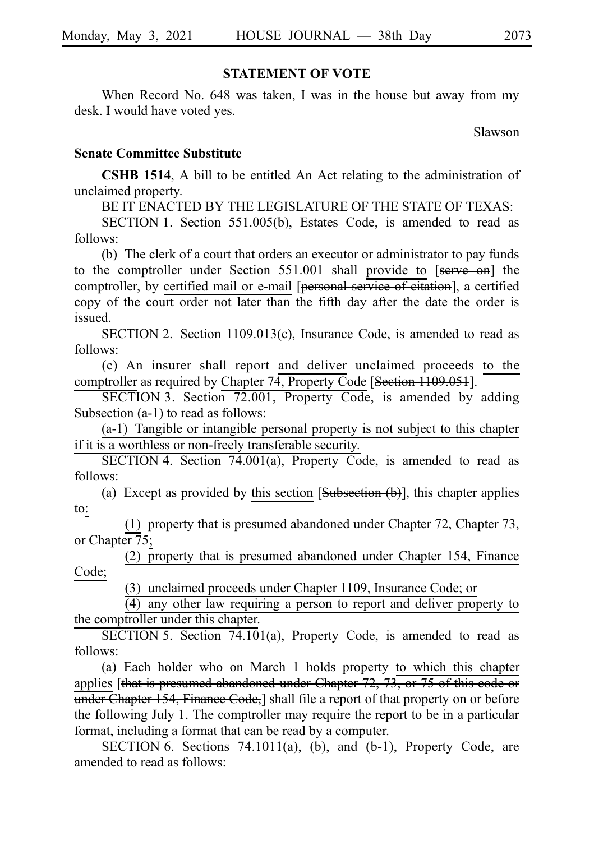### **STATEMENT OF VOTE**

When Record No. 648 was taken, I was in the house but away from my desk. I would have voted yes.

Slawson

#### **Senate Committee Substitute**

**CSHB 1514**, A bill to be entitled An Act relating to the administration of unclaimed property.

BE IT ENACTED BY THE LEGISLATURE OF THE STATE OF TEXAS:

SECTION 1. Section 551.005(b), Estates Code, is amended to read as follows:

(b) The clerk of a court that orders an executor or administrator to pay funds to the comptroller under Section  $551.001$  shall provide to  $[**serve on**]$  the comptroller, by certified mail or e-mail [personal service of citation], a certified copy of the court order not later than the fifth day after the date the order is issued.

SECTION 2. Section  $1109.013(c)$ , Insurance Code, is amended to read as follows:

(c) An insurer shall report and deliver unclaimed proceeds to the comptroller as required by Chapter 74, Property Code [Section 1109.051].

SECTION 3. Section 72.001, Property Code, is amended by adding Subsection (a-1) to read as follows:

(a-1) Tangible or intangible personal property is not subject to this chapter if it is a worthless or non-freely transferable security.

SECTION 4. Section 74.001(a), Property Code, is amended to read as follows:

(a) Except as provided by this section  $[Subsection (b)]$ , this chapter applies to:

(1) property that is presumed abandoned under Chapter 72, Chapter 73, or Chapter 75;

(2) property that is presumed abandoned under Chapter 154, Finance Code;

(3) unclaimed proceeds under Chapter 1109, Insurance Code; or

 $\overline{(4)}$  any other law requiring a person to report and deliver property to the comptroller under this chapter.

SECTION 5. Section  $74.101(a)$ , Property Code, is amended to read as follows:

(a) Each holder who on March 1 holds property to which this chapter applies [that is presumed abandoned under Chapter  $72$ ,  $73$ , or  $75$  of this code or under Chapter 154, Finance Code, shall file a report of that property on or before the following July 1. The comptroller may require the report to be in a particular format, including a format that can be read by a computer.

SECTION 6. Sections  $74.1011(a)$ , (b), and (b-1), Property Code, are amended to read as follows: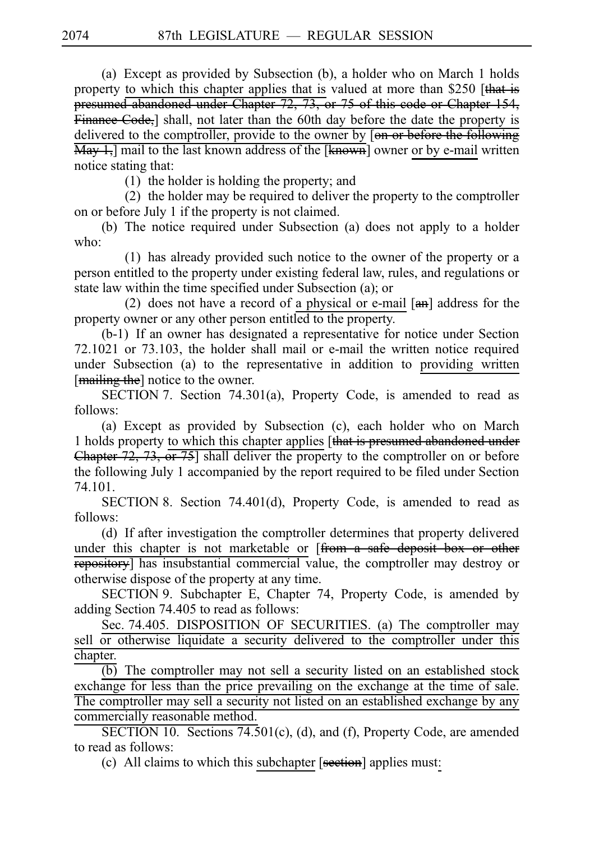(a) Except as provided by Subsection (b), a holder who on March 1 holds property to which this chapter applies that is valued at more than \$250 [that is presumed abandoned under Chapter 72, 73, or 75 of this code or Chapter 154, Finance Code, shall, not later than the 60th day before the date the property is delivered to the comptroller, provide to the owner by [on or before the following  $\overline{\text{May 1}}$ , mail to the last known address of the [known] owner or by e-mail written notice stating that:

 $(1)$  the holder is holding the property; and

 $(2)$  the holder may be required to deliver the property to the comptroller on or before July 1 if the property is not claimed.

(b) The notice required under Subsection (a) does not apply to a holder who:

 $(1)$  has already provided such notice to the owner of the property or a person entitled to the property under existing federal law, rules, and regulations or state law within the time specified under Subsection (a); or

(2) does not have a record of a physical or e-mail  $[**an**]$  address for the property owner or any other person entitled to the property.

 $(b-1)$  If an owner has designated a representative for notice under Section 72.1021 or 73.103, the holder shall mail or e-mail the written notice required under Subsection (a) to the representative in addition to providing written [mailing the] notice to the owner.

SECTION 7. Section 74.301(a), Property Code, is amended to read as follows:

(a) Except as provided by Subsection (c), each holder who on March 1 holds property to which this chapter applies [that is presumed abandoned under Chapter 72, 73, or 75] shall deliver the property to the comptroller on or before the following July 1 accompanied by the report required to be filed under Section 74.101.

SECTION 8. Section 74.401(d), Property Code, is amended to read as follows:

(d) If after investigation the comptroller determines that property delivered under this chapter is not marketable or [from a safe deposit box or other repository] has insubstantial commercial value, the comptroller may destroy or otherwise dispose of the property at any time.

SECTION 9. Subchapter E, Chapter 74, Property Code, is amended by adding Section 74.405 to read as follows:

Sec. 74.405. DISPOSITION OF SECURITIES. (a) The comptroller may sell or otherwise liquidate a security delivered to the comptroller under this chapter.

(b) The comptroller may not sell a security listed on an established stock exchange for less than the price prevailing on the exchange at the time of sale. The comptroller may sell a security not listed on an established exchange by any commercially reasonable method.

SECTION 10. Sections  $74.501(c)$ , (d), and (f), Property Code, are amended to read as follows:

(c) All claims to which this subchapter  $[*section*]$  applies must: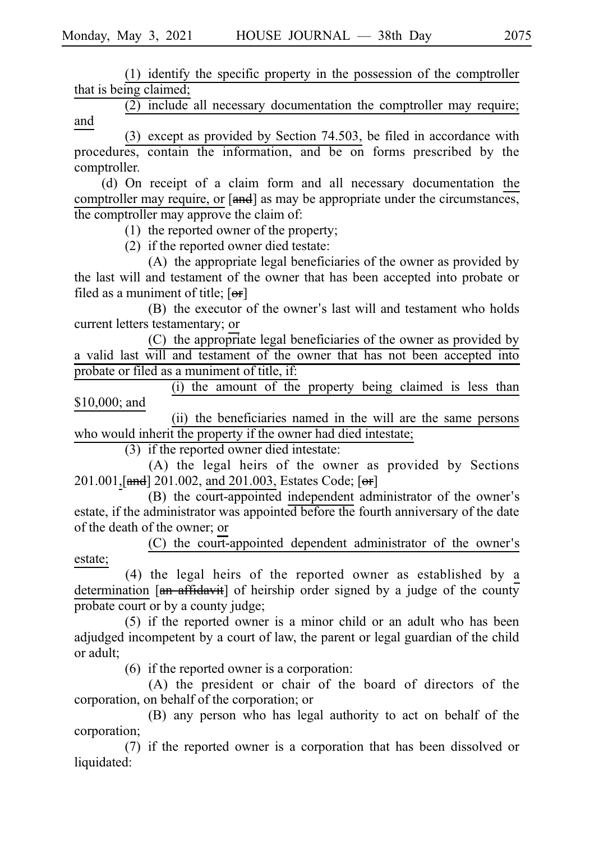$(1)$  identify the specific property in the possession of the comptroller that is being claimed;

 $(2)$  include all necessary documentation the comptroller may require; and

(3) except as provided by Section 74.503, be filed in accordance with procedures, contain the information, and be on forms prescribed by the comptroller.

(d) On receipt of a claim form and all necessary documentation the comptroller may require, or [and] as may be appropriate under the circumstances, the comptroller may approve the claim of:

(1) the reported owner of the property;

 $(2)$  if the reported owner died testate:

(A) the appropriate legal beneficiaries of the owner as provided by the last will and testament of the owner that has been accepted into probate or filed as a muniment of title;  $[**or**]$ 

(B) the executor of the owner's last will and testament who holds current letters testamentary; or

(C) the appropriate legal beneficiaries of the owner as provided by a valid last will and testament of the owner that has not been accepted into probate or filed as a muniment of title, if:

(i) the amount of the property being claimed is less than \$10,000; and

(ii) the beneficiaries named in the will are the same persons who would inherit the property if the owner had died intestate;

 $(3)$  if the reported owner died intestate:

(A) the legal heirs of the owner as provided by Sections 201.001, [and] 201.002, and 201.003, Estates Code; [or]

(B) the court-appointed independent administrator of the owner's estate, if the administrator was appointed before the fourth anniversary of the date of the death of the owner; or

 $(C)$  the court-appointed dependent administrator of the owner's estate;

(4) the legal heirs of the reported owner as established by a determination  $\left[\frac{a_n}{a_n} + \frac{a_n}{b_n}\right]$  of heirship order signed by a judge of the county probate court or by a county judge;

 $(5)$  if the reported owner is a minor child or an adult who has been adjudged incompetent by a court of law, the parent or legal guardian of the child or adult;

 $(6)$  if the reported owner is a corporation:

 $(A)$  the president or chair of the board of directors of the corporation, on behalf of the corporation; or

(B) any person who has legal authority to act on behalf of the corporation;

(7) if the reported owner is a corporation that has been dissolved or liquidated: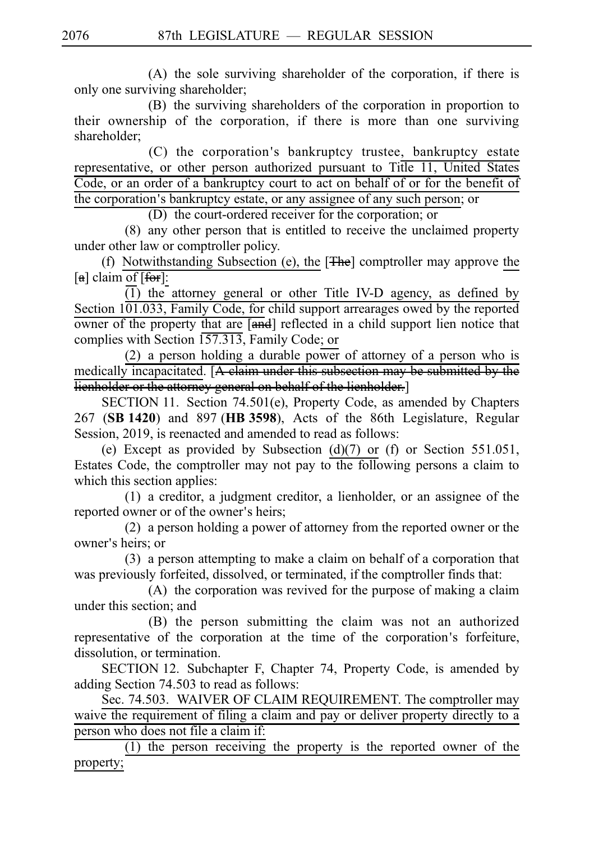$(A)$  the sole surviving shareholder of the corporation, if there is only one surviving shareholder;

(B) the surviving shareholders of the corporation in proportion to their ownership of the corporation, if there is more than one surviving shareholder;

(C) the corporation's bankruptcy trustee, bankruptcy estate representative, or other person authorized pursuant to Title 11, United States Code, or an order of a bankruptcy court to act on behalf of or for the benefit of the corporation's bankruptcy estate, or any assignee of any such person; or

(D) the court-ordered receiver for the corporation; or

 $(8)$  any other person that is entitled to receive the unclaimed property under other law or comptroller policy.

(f) Notwithstanding Subsection (e), the  $[**The**]$  comptroller may approve the  $[a]$  claim of  $[**for**]$ :

 $\overline{(1)}$  the attorney general or other Title IV-D agency, as defined by Section 101.033, Family Code, for child support arrearages owed by the reported owner of the property that are  $\overline{[and]}$  reflected in a child support lien notice that complies with Section 157.313, Family Code; or

(2) a person holding a durable power of attorney of a person who is medically incapacitated. [A claim under this subsection may be submitted by the lienholder or the attorney general on behalf of the lienholder.]

SECTION 11. Section 74.501(e), Property Code, as amended by Chapters 267 (SB 1420) and 897 (HB 3598), Acts of the 86th Legislature, Regular Session, 2019, is reenacted and amended to read as follows:

(e) Except as provided by Subsection (d)(7) or (f) or Section 551.051, Estates Code, the comptroller may not pay to the following persons a claim to which this section applies:

 $(1)$  a creditor, a judgment creditor, a lienholder, or an assignee of the reported owner or of the owner's heirs;

 $(2)$  a person holding a power of attorney from the reported owner or the owner's heirs; or

 $(3)$  a person attempting to make a claim on behalf of a corporation that was previously forfeited, dissolved, or terminated, if the comptroller finds that:

 $(A)$  the corporation was revived for the purpose of making a claim under this section; and

(B) the person submitting the claim was not an authorized representative of the corporation at the time of the corporation's forfeiture, dissolution, or termination.

SECTION 12. Subchapter F, Chapter 74, Property Code, is amended by adding Section 74.503 to read as follows:

Sec. 74.503. WAIVER OF CLAIM REQUIREMENT. The comptroller may waive the requirement of filing a claim and pay or deliver property directly to a person who does not file a claim if:

 $(1)$  the person receiving the property is the reported owner of the property;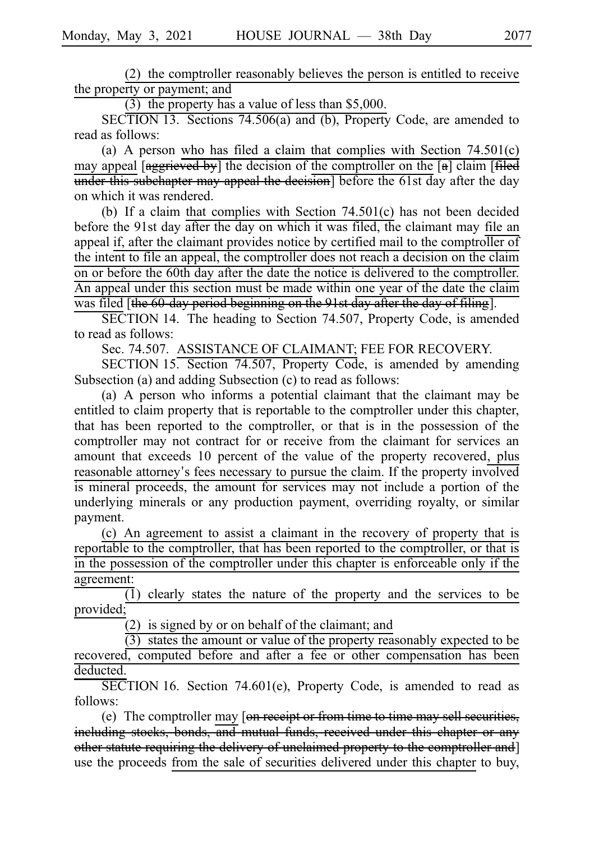$(2)$  the comptroller reasonably believes the person is entitled to receive the property or payment; and

(3) the property has a value of less than  $$5,000$ .

SECTION 13. Sections 74.506(a) and (b), Property Code, are amended to read as follows:

(a) A person who has filed a claim that complies with Section  $74.501(c)$ may appeal  $\left[\frac{1}{2} + \frac{1}{2} + \frac{1}{2} + \frac{1}{2} + \frac{1}{2} + \frac{1}{2} + \frac{1}{2} + \frac{1}{2} + \frac{1}{2} + \frac{1}{2} + \frac{1}{2} + \frac{1}{2} + \frac{1}{2} + \frac{1}{2} + \frac{1}{2} + \frac{1}{2} + \frac{1}{2} + \frac{1}{2} + \frac{1}{2} + \frac{1}{2} + \frac{1}{2} + \frac{1}{2} + \frac{1}{2} + \frac{1}{2} + \frac{1}{2} + \frac{1}{2}$ under this subchapter may appeal the decision] before the 61st day after the day on which it was rendered.

(b) If a claim that complies with Section  $74.501(c)$  has not been decided before the 91st day after the day on which it was filed, the claimant may file an appeal if, after the claimant provides notice by certified mail to the comptroller of the intent to file an appeal, the comptroller does not reach a decision on the claim on or before the 60th day after the date the notice is delivered to the comptroller. An appeal under this section must be made within one year of the date the claim was filed [the 60-day period beginning on the 91st day after the day of filing].

SECTION 14. The heading to Section 74.507, Property Code, is amended to read as follows:

Sec. 74.507. ASSISTANCE OF CLAIMANT; FEE FOR RECOVERY.

SECTION 15. Section 74.507, Property Code, is amended by amending Subsection (a) and adding Subsection (c) to read as follows:

(a) A person who informs a potential claimant that the claimant may be entitled to claim property that is reportable to the comptroller under this chapter, that has been reported to the comptroller, or that is in the possession of the comptroller may not contract for or receive from the claimant for services an amount that exceeds 10 percent of the value of the property recovered, plus reasonable attorney's fees necessary to pursue the claim. If the property involved is mineral proceeds, the amount for services may not include a portion of the underlying minerals or any production payment, overriding royalty, or similar payment.

 $(c)$  An agreement to assist a claimant in the recovery of property that is reportable to the comptroller, that has been reported to the comptroller, or that is in the possession of the comptroller under this chapter is enforceable only if the agreement:

 $\overline{1}$ ) clearly states the nature of the property and the services to be provided;

 $(2)$  is signed by or on behalf of the claimant; and

 $(3)$  states the amount or value of the property reasonably expected to be recovered, computed before and after a fee or other compensation has been deducted.

 $\overline{\text{SECTION 16}}$ . Section 74.601(e), Property Code, is amended to read as follows:

(e) The comptroller may  $\left[ \text{on } \frac{1}{\text{receipt}} \right]$  from time to time may sell securities, including stocks, bonds, and mutual funds, received under this chapter or any other statute requiring the delivery of unclaimed property to the comptroller and] use the proceeds from the sale of securities delivered under this chapter to buy,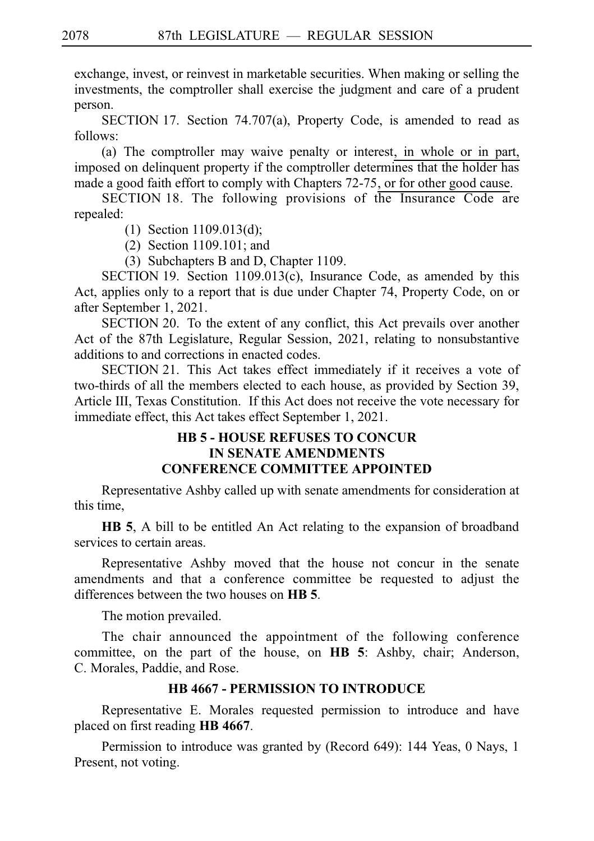exchange, invest, or reinvest in marketable securities. When making or selling the investments, the comptroller shall exercise the judgment and care of a prudent person.

SECTION 17. Section 74.707(a), Property Code, is amended to read as follows:

(a) The comptroller may waive penalty or interest, in whole or in part, imposed on delinquent property if the comptroller determines that the holder has made a good faith effort to comply with Chapters 72-75, or for other good cause.

SECTION 18. The following provisions of the Insurance Code are repealed:

- (1) Section  $1109.013(d)$ ;
- $(2)$  Section 1109.101; and

(3) Subchapters B and D, Chapter 1109.

SECTION 19. Section 1109.013(c), Insurance Code, as amended by this Act, applies only to a report that is due under Chapter 74, Property Code, on or after September 1, 2021.

SECTION 20. To the extent of any conflict, this Act prevails over another Act of the 87th Legislature, Regular Session, 2021, relating to nonsubstantive additions to and corrections in enacted codes.

SECTION 21. This Act takes effect immediately if it receives a vote of two-thirds of all the members elected to each house, as provided by Section 39, Article III, Texas Constitution. If this Act does not receive the vote necessary for immediate effect, this Act takes effect September 1, 2021.

# **HB 5 - HOUSE REFUSES TO CONCUR IN SENATE AMENDMENTS CONFERENCE COMMITTEE APPOINTED**

Representative Ashby called up with senate amendments for consideration at this time,

**HB 5**, A bill to be entitled An Act relating to the expansion of broadband services to certain areas.

Representative Ashby moved that the house not concur in the senate amendments and that a conference committee be requested to adjust the differences between the two houses on **HB 5**.

The motion prevailed.

The chair announced the appointment of the following conference committee, on the part of the house, on **HB 5**: Ashby, chair; Anderson, C. Morales, Paddie, and Rose.

# **HB 4667 - PERMISSION TO INTRODUCE**

Representative E. Morales requested permission to introduce and have placed on first reading **HBi4667**.

Permission to introduce was granted by (Record 649): 144 Yeas, 0 Nays, 1 Present, not voting.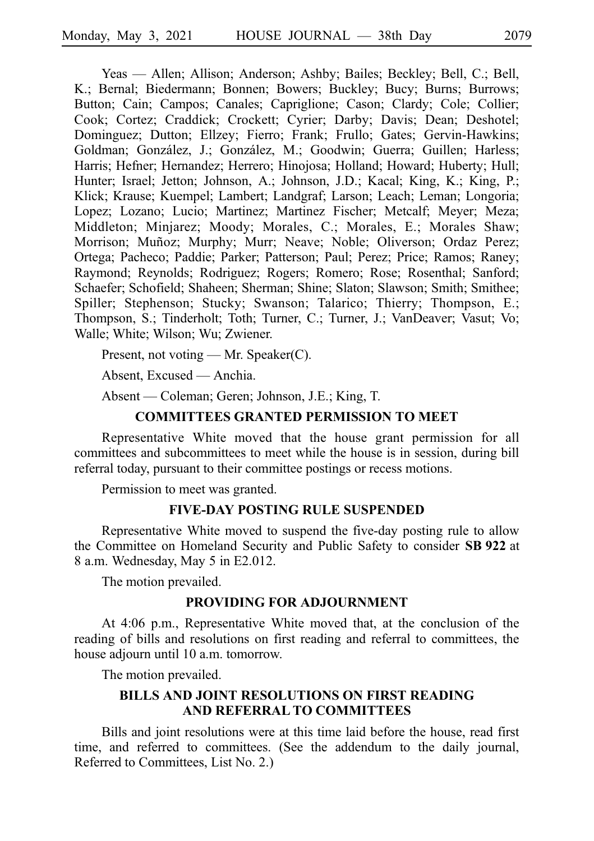Yeas — Allen; Allison; Anderson; Ashby; Bailes; Beckley; Bell, C.; Bell, K.; Bernal; Biedermann; Bonnen; Bowers; Buckley; Bucy; Burns; Burrows; Button; Cain; Campos; Canales; Capriglione; Cason; Clardy; Cole; Collier; Cook; Cortez; Craddick; Crockett; Cyrier; Darby; Davis; Dean; Deshotel; Dominguez; Dutton; Ellzey; Fierro; Frank; Frullo; Gates; Gervin-Hawkins; Goldman; González, J.; González, M.; Goodwin; Guerra; Guillen; Harless; Harris; Hefner; Hernandez; Herrero; Hinojosa; Holland; Howard; Huberty; Hull; Hunter; Israel; Jetton; Johnson, A.; Johnson, J.D.; Kacal; King, K.; King, P.; Klick; Krause; Kuempel; Lambert; Landgraf; Larson; Leach; Leman; Longoria; Lopez; Lozano; Lucio; Martinez; Martinez Fischer; Metcalf; Meyer; Meza; Middleton; Minjarez; Moody; Morales, C.; Morales, E.; Morales Shaw; Morrison; Muñoz; Murphy; Murr; Neave; Noble; Oliverson; Ordaz Perez; Ortega; Pacheco; Paddie; Parker; Patterson; Paul; Perez; Price; Ramos; Raney; Raymond; Reynolds; Rodriguez; Rogers; Romero; Rose; Rosenthal; Sanford; Schaefer; Schofield; Shaheen; Sherman; Shine; Slaton; Slawson; Smith; Smithee; Spiller; Stephenson; Stucky; Swanson; Talarico; Thierry; Thompson, E.; Thompson, S.; Tinderholt; Toth; Turner, C.; Turner, J.; VanDeaver; Vasut; Vo; Walle; White; Wilson; Wu; Zwiener.

Present, not voting — Mr. Speaker(C).

Absent, Excused — Anchia.

Absent — Coleman; Geren; Johnson, J.E.; King, T.

## **COMMITTEES GRANTED PERMISSION TO MEET**

Representative White moved that the house grant permission for all committees and subcommittees to meet while the house is in session, during bill referral today, pursuant to their committee postings or recess motions.

Permission to meet was granted.

# **FIVE-DAY POSTING RULE SUSPENDED**

Representative White moved to suspend the five-day posting rule to allow the Committee on Homeland Security and Public Safety to consider **SB 922** at 8 a.m. Wednesday, May 5 in E2.012.

The motion prevailed.

#### **PROVIDING FOR ADJOURNMENT**

At 4:06 p.m., Representative White moved that, at the conclusion of the reading of bills and resolutions on first reading and referral to committees, the house adjourn until 10 a.m. tomorrow.

The motion prevailed.

### **BILLS AND JOINT RESOLUTIONS ON FIRST READING AND REFERRAL TO COMMITTEES**

Bills and joint resolutions were at this time laid before the house, read first time, and referred to committees. (See the addendum to the daily journal, Referred to Committees, List No. 2.)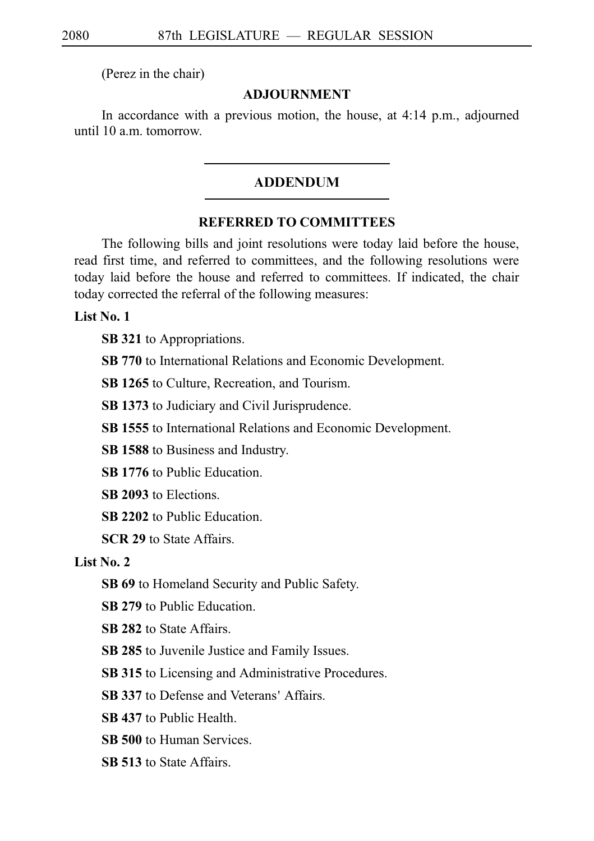(Perez in the chair)

#### **ADJOURNMENT**

In accordance with a previous motion, the house, at 4:14 p.m., adjourned until 10 a.m. tomorrow.

## ADDENDUM

### **REFERRED TO COMMITTEES**

The following bills and joint resolutions were today laid before the house, read first time, and referred to committees, and the following resolutions were today laid before the house and referred to committees. If indicated, the chair today corrected the referral of the following measures:

**List No. 1**

**SB 321** to Appropriations.

**SB 770** to International Relations and Economic Development.

**SB 1265** to Culture, Recreation, and Tourism.

**SB 1373** to Judiciary and Civil Jurisprudence.

**SB 1555** to International Relations and Economic Development.

**SB 1588** to Business and Industry.

**SB 1776** to Public Education.

**SB 2093** to Elections.

**SB 2202** to Public Education.

**SCR 29** to State Affairs.

# **List No. 2**

**SB 69** to Homeland Security and Public Safety.

**SB 279** to Public Education.

**SB 282** to State Affairs.

**SB 285** to Juvenile Justice and Family Issues.

**SB 315** to Licensing and Administrative Procedures.

**SB 337** to Defense and Veterans' Affairs.

**SB 437** to Public Health.

**SB 500** to Human Services.

**SB 513** to State Affairs.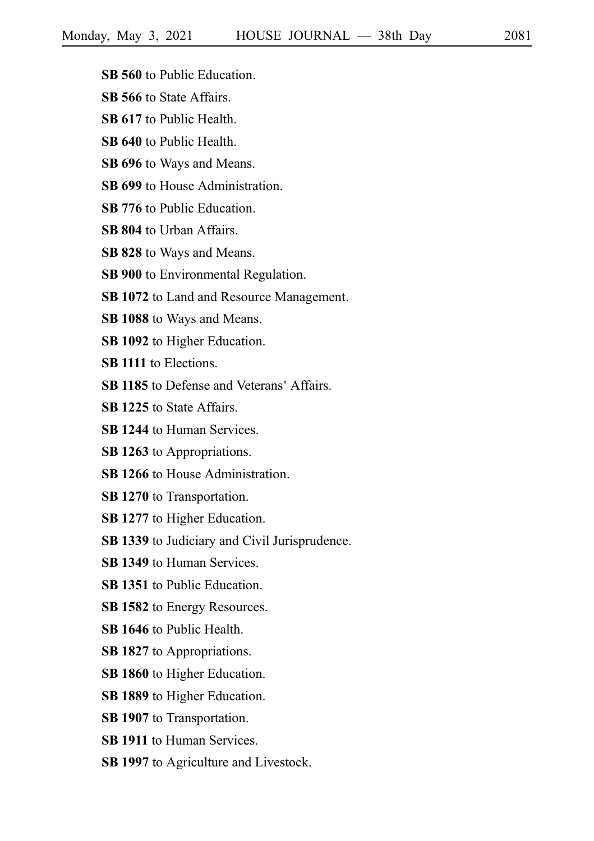- **SB 560** to Public Education.
- **SB 566** to State Affairs.
- **SB 617** to Public Health.
- **SB 640** to Public Health.
- **SB 696** to Ways and Means.
- **SB 699** to House Administration.
- **SB 776** to Public Education.
- **SB 804** to Urban Affairs.
- **SB 828** to Ways and Means.
- **SB 900** to Environmental Regulation.
- **SB 1072** to Land and Resource Management.
- **SB 1088** to Ways and Means.
- **SB 1092** to Higher Education.
- **SB 1111** to Elections.
- **SB 1185** to Defense and Veterans' Affairs.
- **SB 1225** to State Affairs.
- **SB 1244** to Human Services.
- **SB 1263** to Appropriations.
- **SB 1266** to House Administration.
- **SB 1270** to Transportation.
- **SB 1277** to Higher Education.
- **SB 1339** to Judiciary and Civil Jurisprudence.
- **SB 1349** to Human Services.
- **SB 1351** to Public Education.
- **SB 1582** to Energy Resources.
- **SB 1646** to Public Health.
- **SB 1827** to Appropriations.
- **SB 1860** to Higher Education.
- **SB 1889** to Higher Education.
- **SB 1907** to Transportation.
- **SB 1911** to Human Services.
- **SB 1997** to Agriculture and Livestock.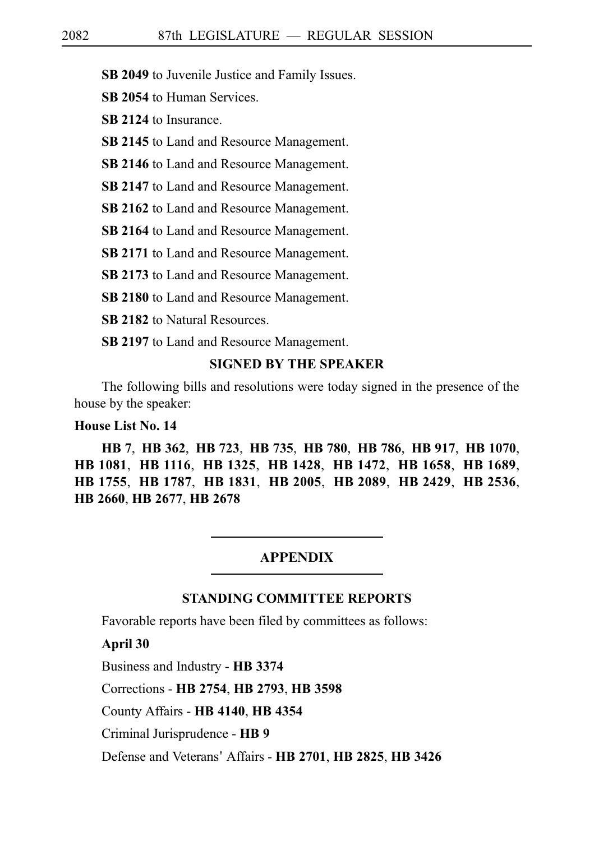**SB 2049** to Juvenile Justice and Family Issues.

**SB 2054** to Human Services.

**SB 2124** to Insurance.

**SB 2145** to Land and Resource Management.

**SB 2146** to Land and Resource Management.

**SB 2147** to Land and Resource Management.

**SB 2162** to Land and Resource Management.

**SB 2164** to Land and Resource Management.

**SB 2171** to Land and Resource Management.

**SB 2173** to Land and Resource Management.

**SB 2180** to Land and Resource Management.

**SB 2182** to Natural Resources.

**SB 2197** to Land and Resource Management.

### **SIGNED BY THE SPEAKER**

The following bills and resolutions were today signed in the presence of the house by the speaker:

#### **House List No. 14**

**HB**i**7**, **HB**i**362**, **HB**i**723**, **HB**i**735**, **HB**i**780**, **HB**i**786**, **HB**i**917**, **HB**i**1070**, **HB**i**1081**, **HB**i**1116**, **HB**i**1325**, **HB**i**1428**, **HB**i**1472**, **HB**i**1658**, **HB**i**1689**, **HB**i**1755**, **HB**i**1787**, **HB**i**1831**, **HB**i**2005**, **HB**i**2089**, **HB**i**2429**, **HB**i**2536**, **HB**i**2660**, **HB**i**2677**, **HB**i**2678**

#### **APPENDIX**

### **STANDING COMMITTEE REPORTS**

Favorable reports have been filed by committees as follows:

**April 30**

Business and Industry - **HB**i**3374**

Corrections - **HB**i**2754**, **HB**i**2793**, **HB**i**3598**

County Affairs - **HB**i**4140**, **HB**i**4354**

Criminal Jurisprudence - **HB**i**9**

Defense and Veterans 'Affairs - **HB**i**2701**, **HB**i**2825**, **HB**i**3426**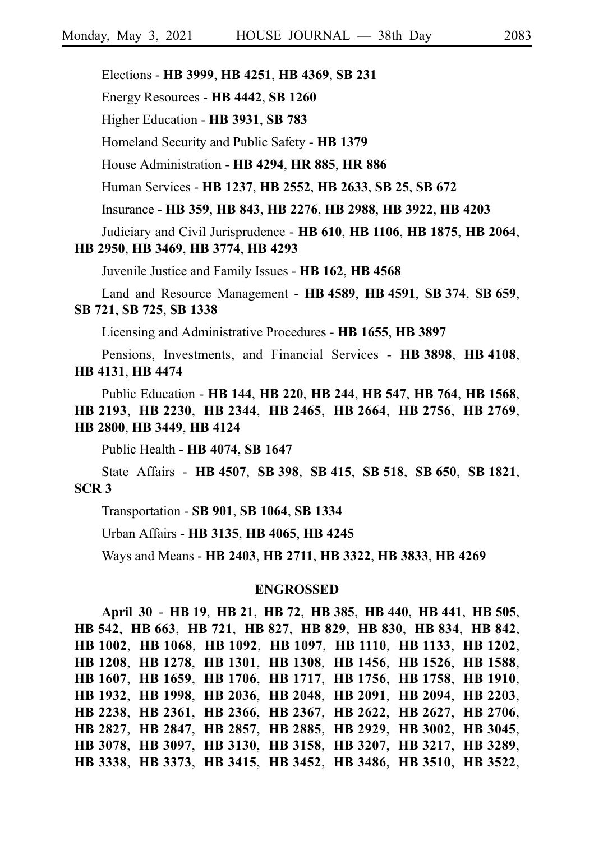Elections - **HB**i**3999**, **HB**i**4251**, **HB**i**4369**, **SB**i**231**

Energy Resources - **HB**i**4442**, **SB**i**1260**

Higher Education - **HB**i**3931**, **SB**i**783**

Homeland Security and Public Safety - **HB**i**1379**

House Administration - **HB**i**4294**, **HR**i**885**, **HR**i**886**

Human Services - **HB**i**1237**, **HB**i**2552**, **HB**i**2633**, **SB**i**25**, **SB**i**672**

Insurance - **HB**i**359**, **HB**i**843**, **HB**i**2276**, **HB**i**2988**, **HB**i**3922**, **HB**i**4203**

Judiciary and Civil Jurisprudence - **HB**i**610**, **HB**i**1106**, **HB**i**1875**, **HB**i**2064**,

#### **HB**i**2950**, **HB**i**3469**, **HB**i**3774**, **HB**i**4293**

Juvenile Justice and Family Issues - **HB**i**162**, **HB**i**4568**

Land and Resource Management - **HB**i**4589**, **HB**i**4591**, **SB**i**374**, **SB**i**659**, **SB**i**721**, **SB**i**725**, **SB**i**1338**

Licensing and Administrative Procedures - **HB**i**1655**, **HB**i**3897**

Pensions, Investments, and Financial Services - **HB**i**3898**, **HB**i**4108**, **HB**i**4131**, **HB**i**4474**

Public Education - **HB**i**144**, **HB**i**220**, **HB**i**244**, **HB**i**547**, **HB**i**764**, **HB**i**1568**, **HB**i**2193**, **HB**i**2230**, **HB**i**2344**, **HB**i**2465**, **HB**i**2664**, **HB**i**2756**, **HB**i**2769**, **HB**i**2800**, **HB**i**3449**, **HB**i**4124**

Public Health - **HB**i**4074**, **SB**i**1647**

State Affairs - **HB**i**4507**, **SB**i**398**, **SB**i**415**, **SB**i**518**, **SB**i**650**, **SB**i**1821**, **SCR**i**3**

Transportation - **SB**i**901**, **SB**i**1064**, **SB**i**1334**

Urban Affairs - **HB**i**3135**, **HB**i**4065**, **HB**i**4245**

Ways and Means - **HB**i**2403**, **HB**i**2711**, **HB**i**3322**, **HB**i**3833**, **HB**i**4269**

#### **ENGROSSED**

**April 30** - **HB**i**19**, **HB**i**21**, **HB**i**72**, **HB**i**385**, **HB**i**440**, **HB**i**441**, **HB**i**505**, **HB**i**542**, **HB**i**663**, **HB**i**721**, **HB**i**827**, **HB**i**829**, **HB**i**830**, **HB**i**834**, **HB**i**842**, **HB**i**1002**, **HB**i**1068**, **HB**i**1092**, **HB**i**1097**, **HB**i**1110**, **HB**i**1133**, **HB**i**1202**, **HB**i**1208**, **HB**i**1278**, **HB**i**1301**, **HB**i**1308**, **HB**i**1456**, **HB**i**1526**, **HB**i**1588**, **HB**i**1607**, **HB**i**1659**, **HB**i**1706**, **HB**i**1717**, **HB**i**1756**, **HB**i**1758**, **HB**i**1910**, **HB**i**1932**, **HB**i**1998**, **HB**i**2036**, **HB**i**2048**, **HB**i**2091**, **HB**i**2094**, **HB**i**2203**, **HB**i**2238**, **HB**i**2361**, **HB**i**2366**, **HB**i**2367**, **HB**i**2622**, **HB**i**2627**, **HB**i**2706**, **HB**i**2827**, **HB**i**2847**, **HB**i**2857**, **HB**i**2885**, **HB**i**2929**, **HB**i**3002**, **HB**i**3045**, **HB**i**3078**, **HB**i**3097**, **HB**i**3130**, **HB**i**3158**, **HB**i**3207**, **HB**i**3217**, **HB**i**3289**, **HB**i**3338**, **HB**i**3373**, **HB**i**3415**, **HB**i**3452**, **HB**i**3486**, **HB**i**3510**, **HB**i**3522**,